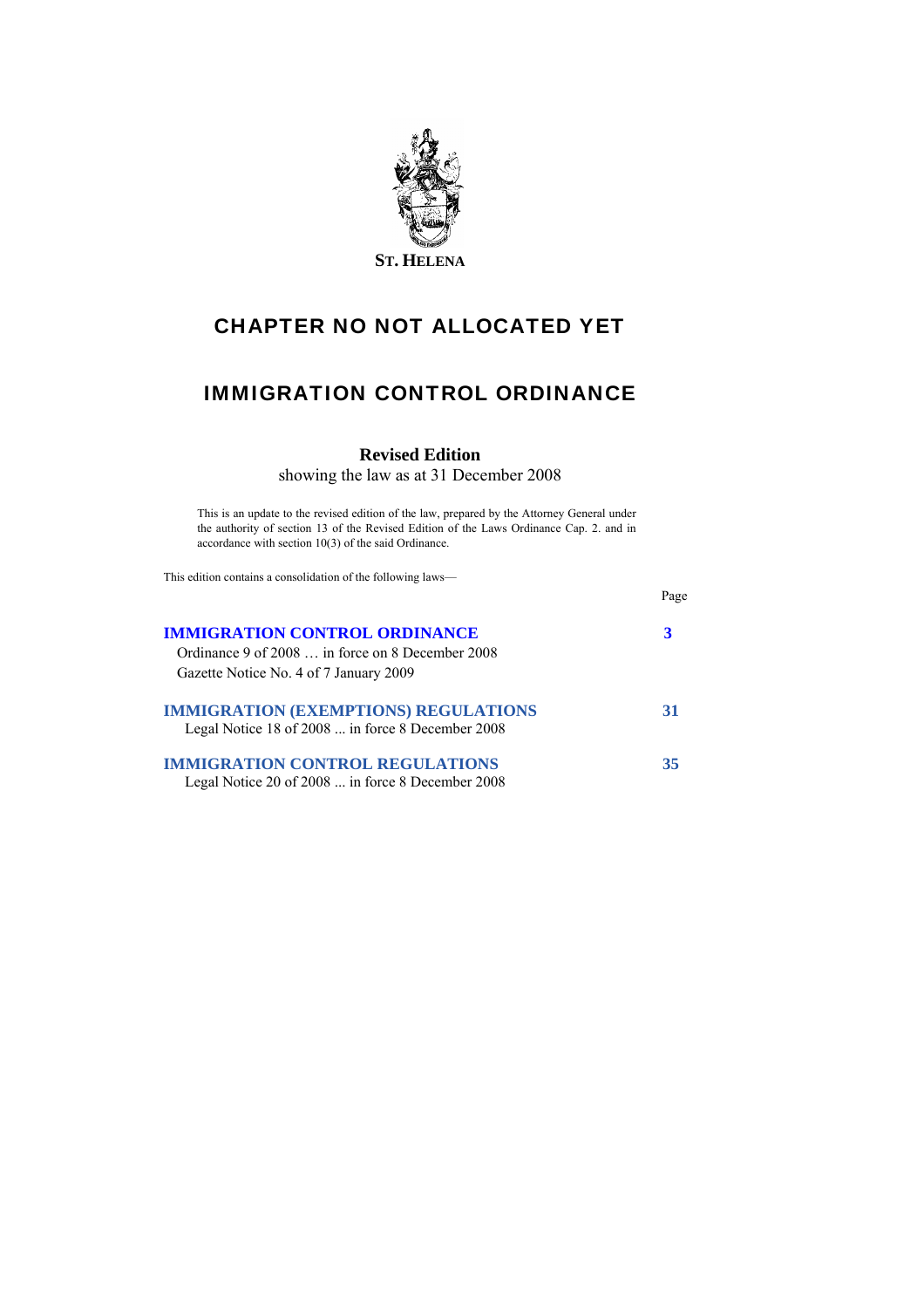

# CHAPTER NO NOT ALLOCATED YET

# IMMIGRATION CONTROL ORDINANCE

**Revised Edition** 

showing the law as at 31 December 2008

This is an update to the revised edition of the law, prepared by the Attorney General under the authority of section 13 of the Revised Edition of the Laws Ordinance Cap. 2. and in accordance with section 10(3) of the said Ordinance.

Page

This edition contains a consolidation of the following laws—

| <b>IMMIGRATION CONTROL ORDINANCE</b><br>Ordinance 9 of 2008  in force on 8 December 2008         |     |
|--------------------------------------------------------------------------------------------------|-----|
| Gazette Notice No. 4 of 7 January 2009                                                           |     |
| <b>IMMIGRATION (EXEMPTIONS) REGULATIONS</b><br>Legal Notice 18 of 2008  in force 8 December 2008 | 31  |
| <b>IMMIGRATION CONTROL REGULATIONS</b><br>Legal Notice 20 of 2008  in force 8 December 2008      | 35. |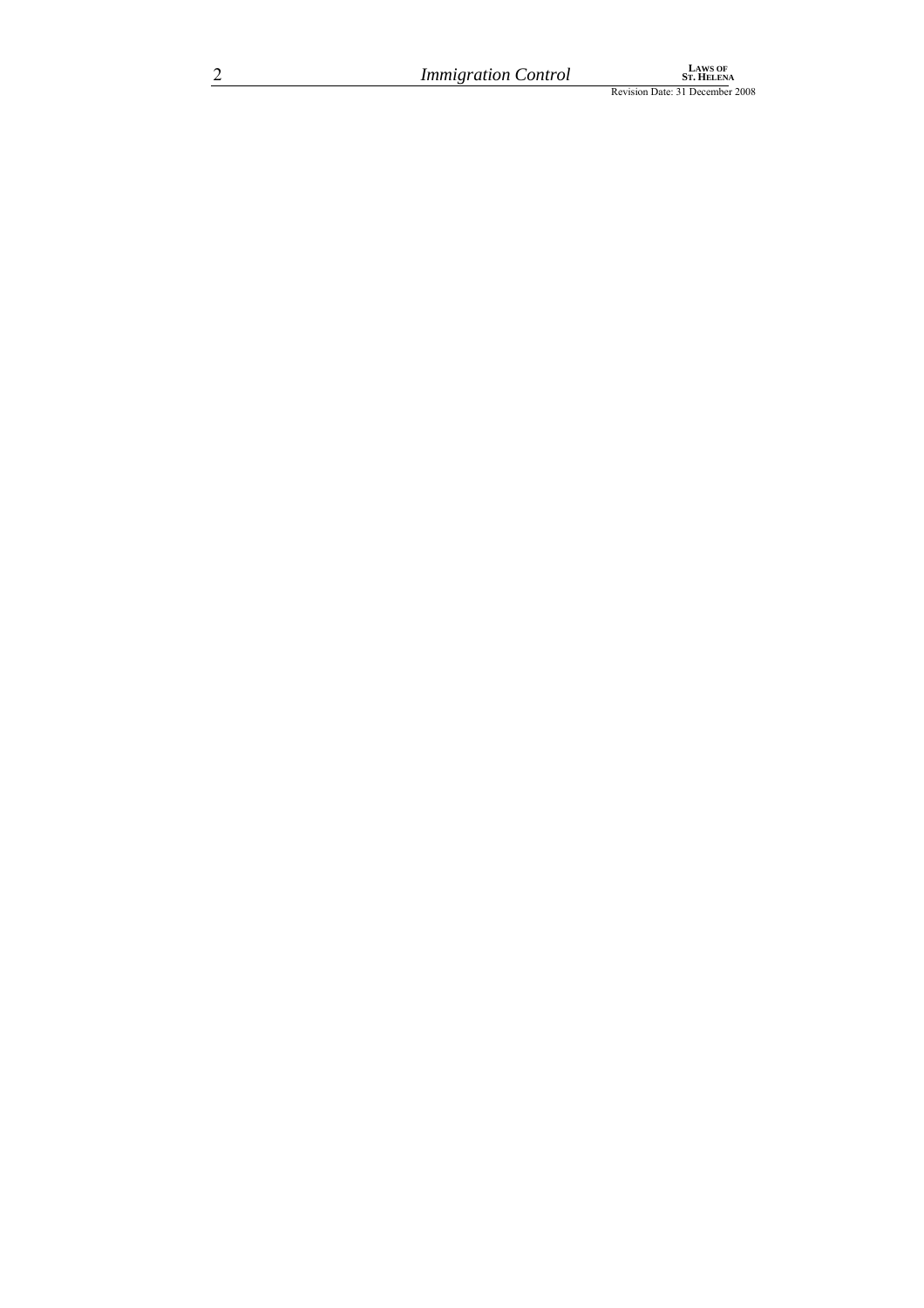| <i>Immigration Control</i> |  |
|----------------------------|--|
|                            |  |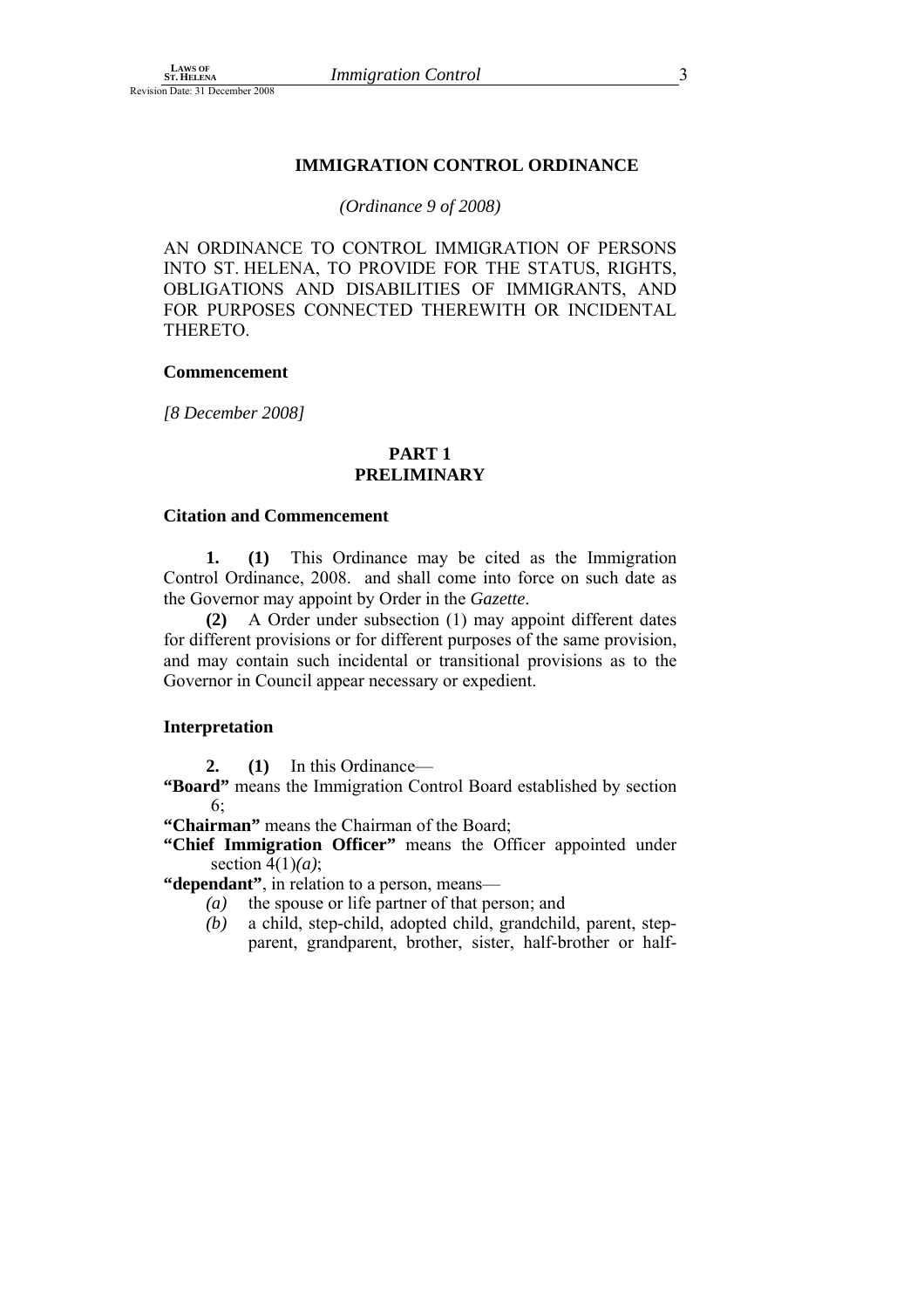## **IMMIGRATION CONTROL ORDINANCE**

## *(Ordinance 9 of 2008)*

AN ORDINANCE TO CONTROL IMMIGRATION OF PERSONS INTO ST. HELENA, TO PROVIDE FOR THE STATUS, RIGHTS, OBLIGATIONS AND DISABILITIES OF IMMIGRANTS, AND FOR PURPOSES CONNECTED THEREWITH OR INCIDENTAL THERETO.

## **Commencement**

*[8 December 2008]* 

## **PART 1 PRELIMINARY**

## **Citation and Commencement**

 **1. (1)** This Ordinance may be cited as the Immigration Control Ordinance, 2008. and shall come into force on such date as the Governor may appoint by Order in the *Gazette*.

**(2)** A Order under subsection (1) may appoint different dates for different provisions or for different purposes of the same provision, and may contain such incidental or transitional provisions as to the Governor in Council appear necessary or expedient.

## **Interpretation**

 **2. (1)** In this Ordinance—

**"Board"** means the Immigration Control Board established by section 6;

**"Chairman"** means the Chairman of the Board;

**"Chief Immigration Officer"** means the Officer appointed under section 4(1)*(a)*;

**"dependant"**, in relation to a person, means—

- *(a)* the spouse or life partner of that person; and
- *(b)* a child, step-child, adopted child, grandchild, parent, stepparent, grandparent, brother, sister, half-brother or half-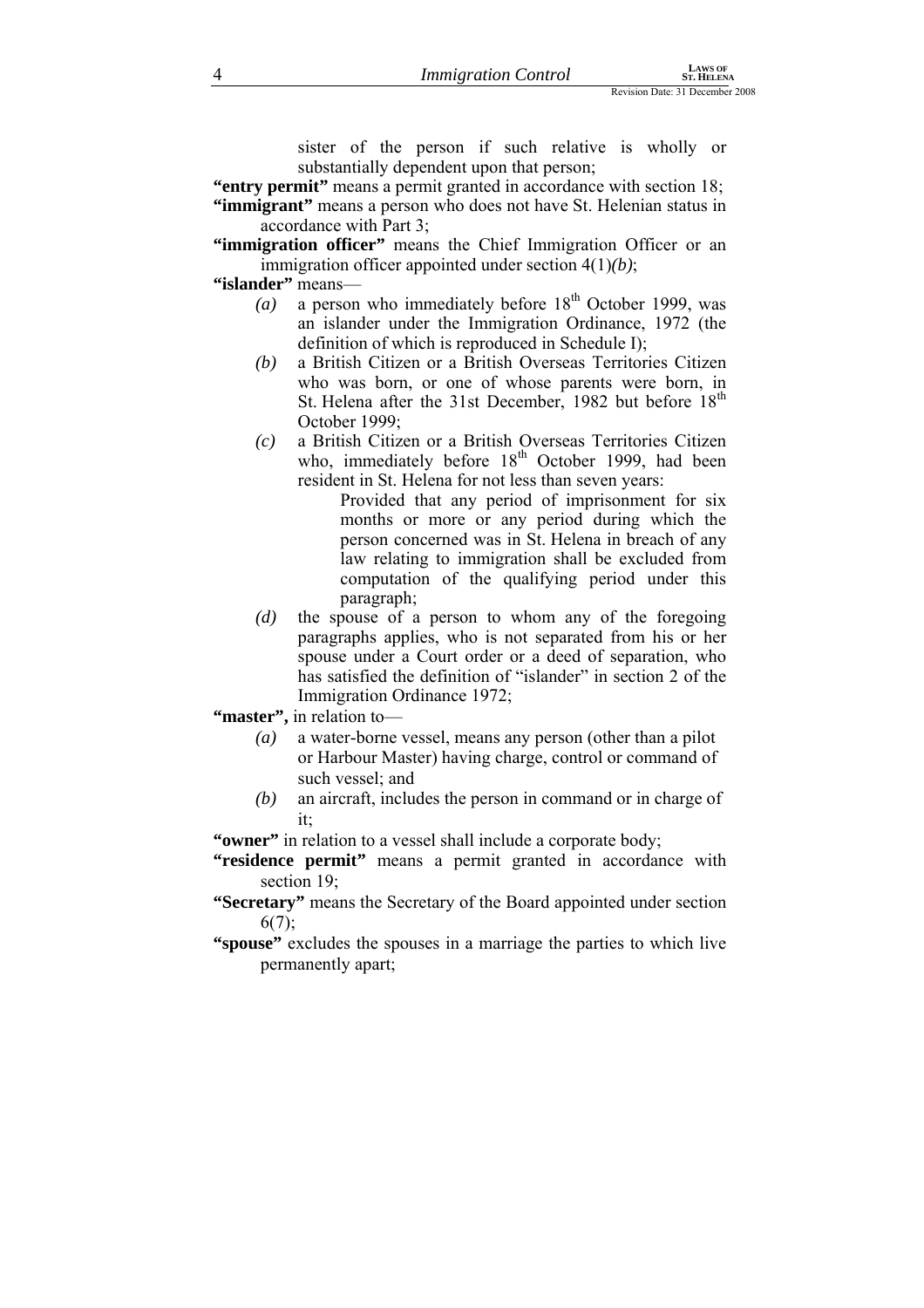sister of the person if such relative is wholly or substantially dependent upon that person;

**"entry permit"** means a permit granted in accordance with section 18; **"immigrant"** means a person who does not have St. Helenian status in accordance with Part 3;

**"immigration officer"** means the Chief Immigration Officer or an immigration officer appointed under section 4(1)*(b)*;

**"islander"** means—

- (a) a person who immediately before  $18<sup>th</sup>$  October 1999, was an islander under the Immigration Ordinance, 1972 (the definition of which is reproduced in Schedule I);
- *(b)* a British Citizen or a British Overseas Territories Citizen who was born, or one of whose parents were born, in St. Helena after the 31st December, 1982 but before  $18<sup>th</sup>$ October 1999;
- *(c)* a British Citizen or a British Overseas Territories Citizen who, immediately before  $18<sup>th</sup>$  October 1999, had been resident in St. Helena for not less than seven years:

Provided that any period of imprisonment for six months or more or any period during which the person concerned was in St. Helena in breach of any law relating to immigration shall be excluded from computation of the qualifying period under this paragraph;

*(d)* the spouse of a person to whom any of the foregoing paragraphs applies, who is not separated from his or her spouse under a Court order or a deed of separation, who has satisfied the definition of "islander" in section 2 of the Immigration Ordinance 1972;

**"master",** in relation to—

- *(a)* a water-borne vessel, means any person (other than a pilot or Harbour Master) having charge, control or command of such vessel: and
- *(b)* an aircraft, includes the person in command or in charge of it;

**"owner"** in relation to a vessel shall include a corporate body;

**"residence permit"** means a permit granted in accordance with section 19;

**"Secretary"** means the Secretary of the Board appointed under section 6(7);

**"spouse"** excludes the spouses in a marriage the parties to which live permanently apart;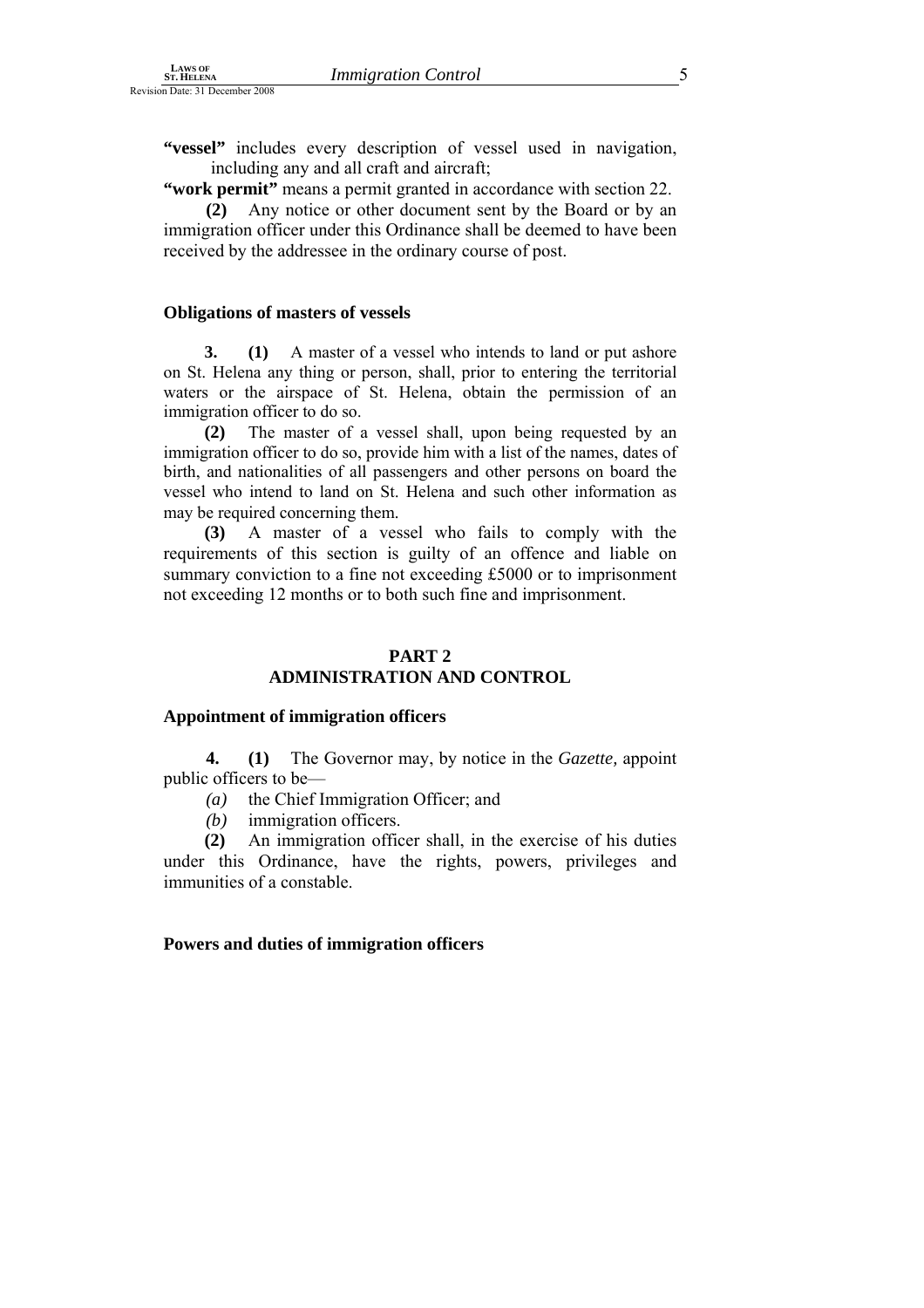**"vessel"** includes every description of vessel used in navigation, including any and all craft and aircraft;

**"work permit"** means a permit granted in accordance with section 22.

 **(2)** Any notice or other document sent by the Board or by an immigration officer under this Ordinance shall be deemed to have been received by the addressee in the ordinary course of post.

## **Obligations of masters of vessels**

**3. (1)** A master of a vessel who intends to land or put ashore on St. Helena any thing or person, shall, prior to entering the territorial waters or the airspace of St. Helena, obtain the permission of an immigration officer to do so.

**(2)** The master of a vessel shall, upon being requested by an immigration officer to do so, provide him with a list of the names, dates of birth, and nationalities of all passengers and other persons on board the vessel who intend to land on St. Helena and such other information as may be required concerning them.

**(3)** A master of a vessel who fails to comply with the requirements of this section is guilty of an offence and liable on summary conviction to a fine not exceeding £5000 or to imprisonment not exceeding 12 months or to both such fine and imprisonment.

## **PART 2 ADMINISTRATION AND CONTROL**

### **Appointment of immigration officers**

**4. (1)** The Governor may, by notice in the *Gazette,* appoint public officers to be—

- *(a)* the Chief Immigration Officer; and
- *(b)* immigration officers.

**(2)** An immigration officer shall, in the exercise of his duties under this Ordinance, have the rights, powers, privileges and immunities of a constable.

## **Powers and duties of immigration officers**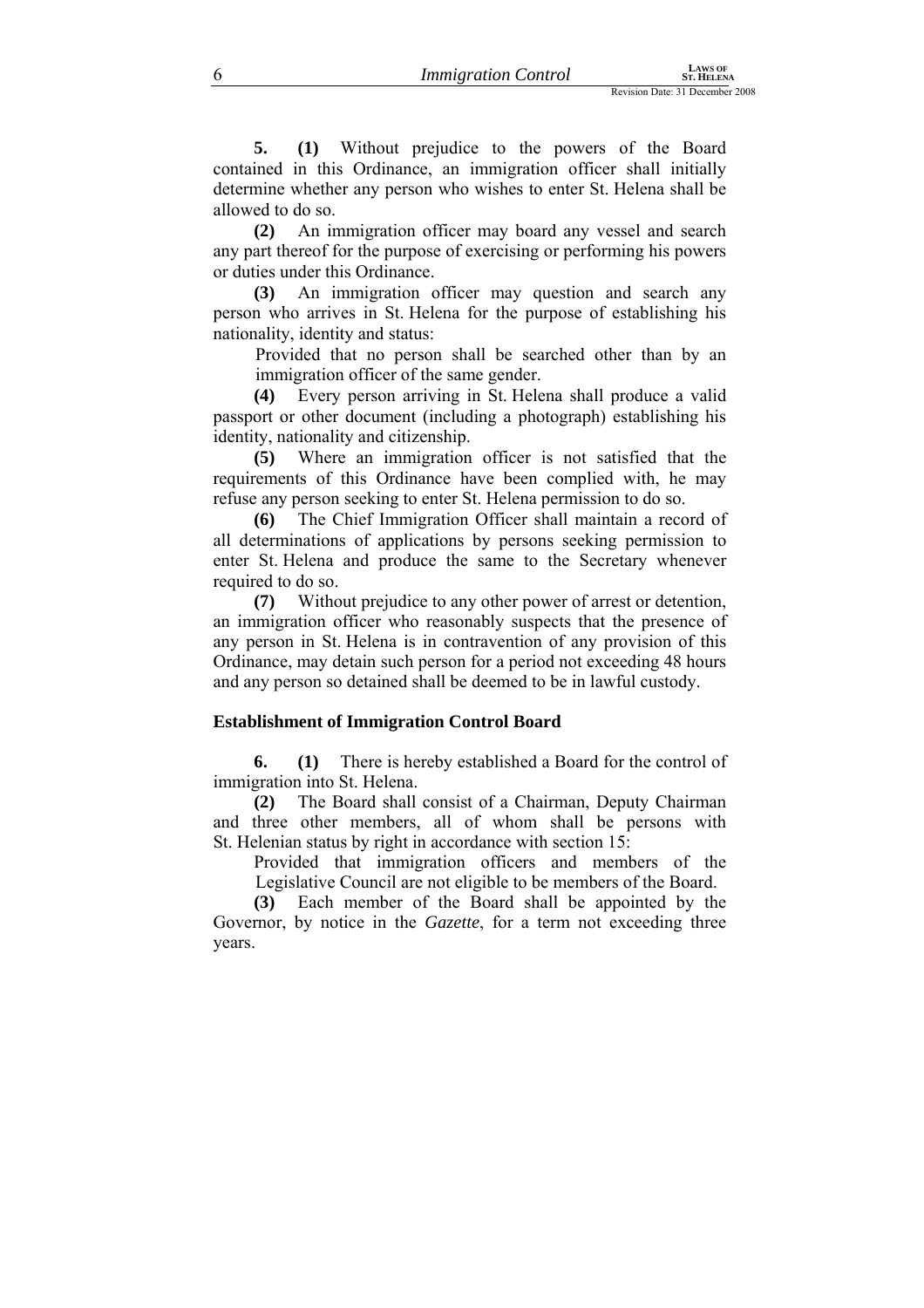**5. (1)** Without prejudice to the powers of the Board contained in this Ordinance, an immigration officer shall initially determine whether any person who wishes to enter St. Helena shall be allowed to do so.

**(2)** An immigration officer may board any vessel and search any part thereof for the purpose of exercising or performing his powers or duties under this Ordinance.

**(3)** An immigration officer may question and search any person who arrives in St. Helena for the purpose of establishing his nationality, identity and status:

 Provided that no person shall be searched other than by an immigration officer of the same gender.

**(4)** Every person arriving in St. Helena shall produce a valid passport or other document (including a photograph) establishing his identity, nationality and citizenship.

**(5)** Where an immigration officer is not satisfied that the requirements of this Ordinance have been complied with, he may refuse any person seeking to enter St. Helena permission to do so.

**(6)** The Chief Immigration Officer shall maintain a record of all determinations of applications by persons seeking permission to enter St. Helena and produce the same to the Secretary whenever required to do so.

**(7)** Without prejudice to any other power of arrest or detention, an immigration officer who reasonably suspects that the presence of any person in St. Helena is in contravention of any provision of this Ordinance, may detain such person for a period not exceeding 48 hours and any person so detained shall be deemed to be in lawful custody.

## **Establishment of Immigration Control Board**

**6. (1)** There is hereby established a Board for the control of immigration into St. Helena.

**(2)** The Board shall consist of a Chairman, Deputy Chairman and three other members, all of whom shall be persons with St. Helenian status by right in accordance with section 15:

Provided that immigration officers and members of the Legislative Council are not eligible to be members of the Board.

**(3)** Each member of the Board shall be appointed by the Governor, by notice in the *Gazette*, for a term not exceeding three years.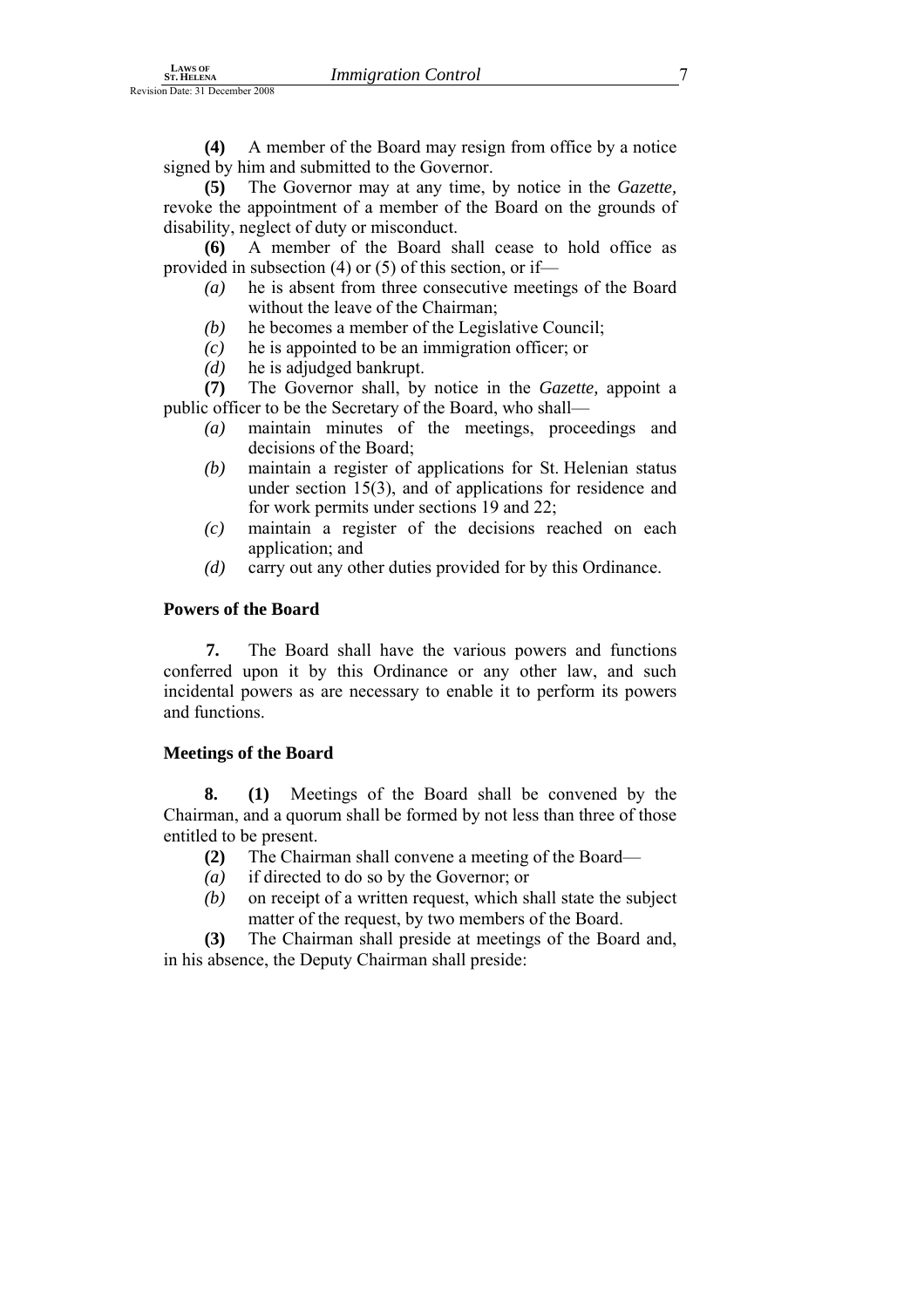**(4)** A member of the Board may resign from office by a notice signed by him and submitted to the Governor.

**(5)** The Governor may at any time, by notice in the *Gazette,* revoke the appointment of a member of the Board on the grounds of disability, neglect of duty or misconduct.

**(6)** A member of the Board shall cease to hold office as provided in subsection (4) or (5) of this section, or if—

- *(a)* he is absent from three consecutive meetings of the Board without the leave of the Chairman;
- *(b)* he becomes a member of the Legislative Council;
- *(c)* he is appointed to be an immigration officer; or
- *(d)* he is adjudged bankrupt.

**(7)** The Governor shall, by notice in the *Gazette,* appoint a public officer to be the Secretary of the Board, who shall—

- *(a)* maintain minutes of the meetings, proceedings and decisions of the Board;
- *(b)* maintain a register of applications for St. Helenian status under section 15(3), and of applications for residence and for work permits under sections 19 and 22;
- *(c)* maintain a register of the decisions reached on each application; and
- *(d)* carry out any other duties provided for by this Ordinance.

## **Powers of the Board**

**7.** The Board shall have the various powers and functions conferred upon it by this Ordinance or any other law, and such incidental powers as are necessary to enable it to perform its powers and functions.

## **Meetings of the Board**

**8. (1)** Meetings of the Board shall be convened by the Chairman, and a quorum shall be formed by not less than three of those entitled to be present.

- **(2)** The Chairman shall convene a meeting of the Board—
- *(a)* if directed to do so by the Governor; or
- *(b)* on receipt of a written request, which shall state the subject matter of the request, by two members of the Board.

**(3)** The Chairman shall preside at meetings of the Board and, in his absence, the Deputy Chairman shall preside: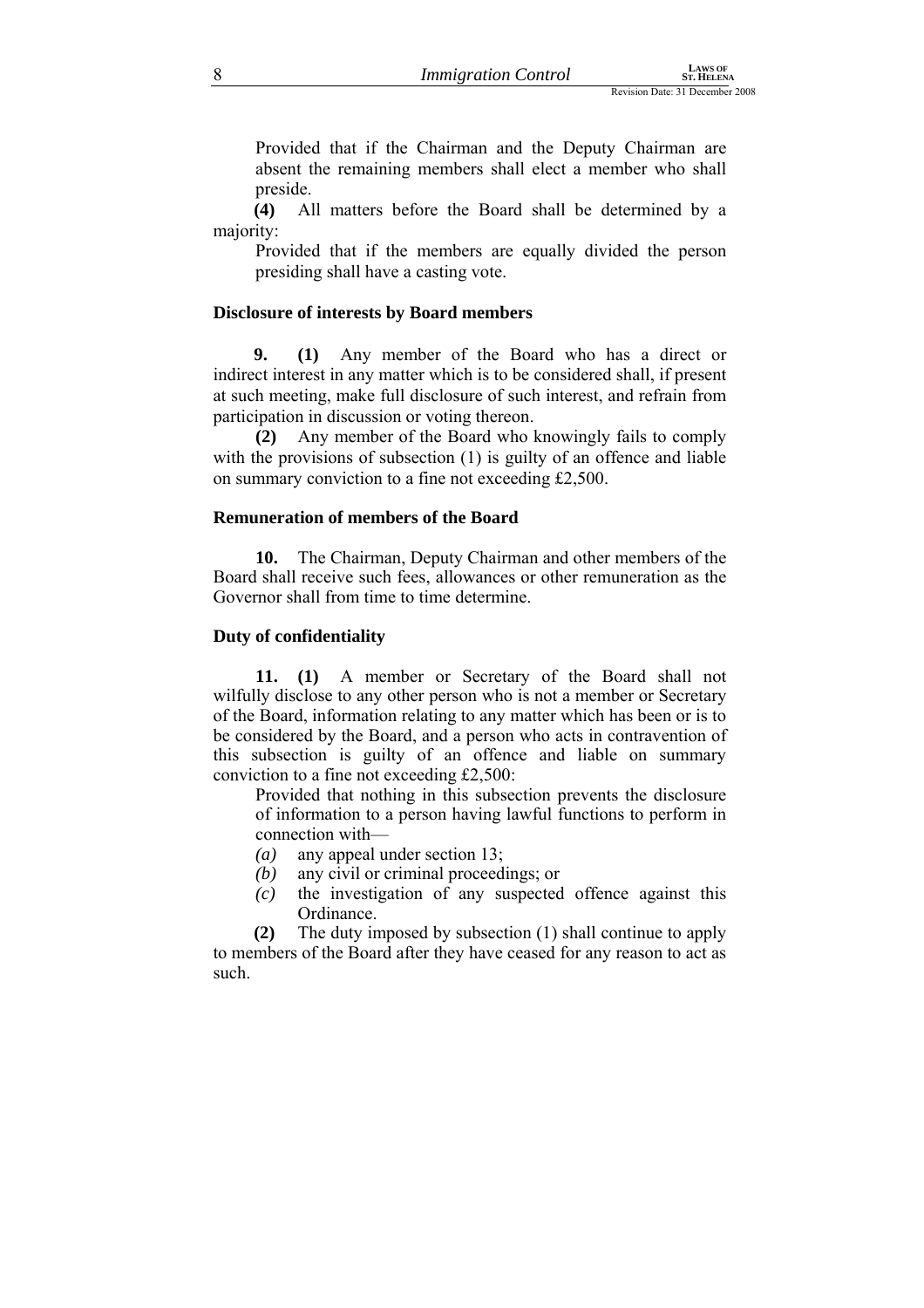Provided that if the Chairman and the Deputy Chairman are absent the remaining members shall elect a member who shall preside.

**(4)** All matters before the Board shall be determined by a majority:

 Provided that if the members are equally divided the person presiding shall have a casting vote.

## **Disclosure of interests by Board members**

**9. (1)** Any member of the Board who has a direct or indirect interest in any matter which is to be considered shall, if present at such meeting, make full disclosure of such interest, and refrain from participation in discussion or voting thereon.

 **(2)** Any member of the Board who knowingly fails to comply with the provisions of subsection (1) is guilty of an offence and liable on summary conviction to a fine not exceeding £2,500.

## **Remuneration of members of the Board**

**10.** The Chairman, Deputy Chairman and other members of the Board shall receive such fees, allowances or other remuneration as the Governor shall from time to time determine.

## **Duty of confidentiality**

**11. (1)** A member or Secretary of the Board shall not wilfully disclose to any other person who is not a member or Secretary of the Board, information relating to any matter which has been or is to be considered by the Board, and a person who acts in contravention of this subsection is guilty of an offence and liable on summary conviction to a fine not exceeding £2,500:

Provided that nothing in this subsection prevents the disclosure of information to a person having lawful functions to perform in connection with—

- *(a)* any appeal under section 13;
- *(b)* any civil or criminal proceedings; or
- *(c)* the investigation of any suspected offence against this Ordinance.

**(2)** The duty imposed by subsection (1) shall continue to apply to members of the Board after they have ceased for any reason to act as such.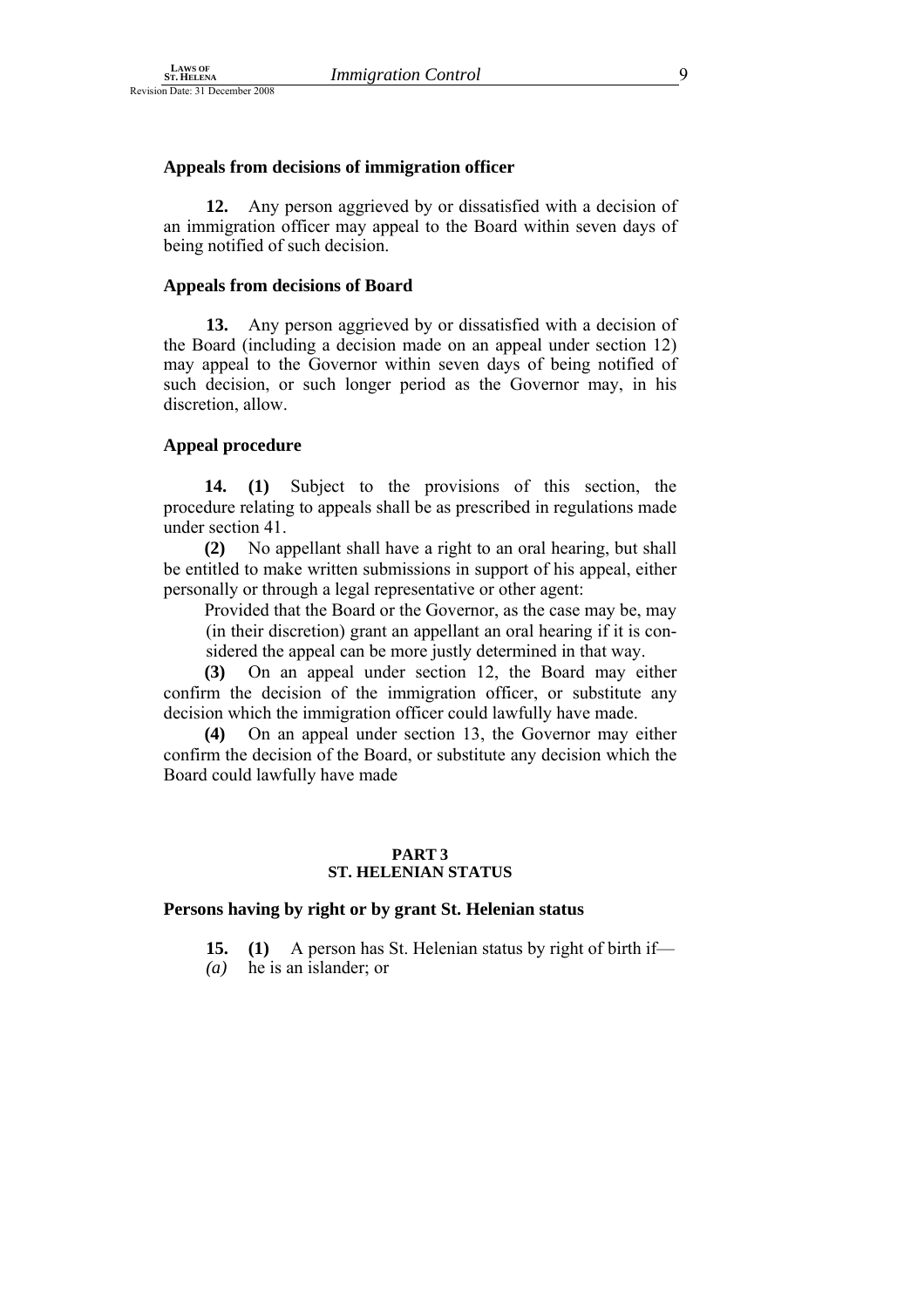### **Appeals from decisions of immigration officer**

**12.** Any person aggrieved by or dissatisfied with a decision of an immigration officer may appeal to the Board within seven days of being notified of such decision.

## **Appeals from decisions of Board**

**13.** Any person aggrieved by or dissatisfied with a decision of the Board (including a decision made on an appeal under section 12) may appeal to the Governor within seven days of being notified of such decision, or such longer period as the Governor may, in his discretion, allow.

## **Appeal procedure**

**14. (1)** Subject to the provisions of this section, the procedure relating to appeals shall be as prescribed in regulations made under section 41.

**(2)** No appellant shall have a right to an oral hearing, but shall be entitled to make written submissions in support of his appeal, either personally or through a legal representative or other agent:

Provided that the Board or the Governor, as the case may be, may (in their discretion) grant an appellant an oral hearing if it is considered the appeal can be more justly determined in that way.

**(3)** On an appeal under section 12, the Board may either confirm the decision of the immigration officer, or substitute any decision which the immigration officer could lawfully have made.

**(4)** On an appeal under section 13, the Governor may either confirm the decision of the Board, or substitute any decision which the Board could lawfully have made

### **PART 3 ST. HELENIAN STATUS**

## **Persons having by right or by grant St. Helenian status**

**15. (1)** A person has St. Helenian status by right of birth if—

*(a)* he is an islander; or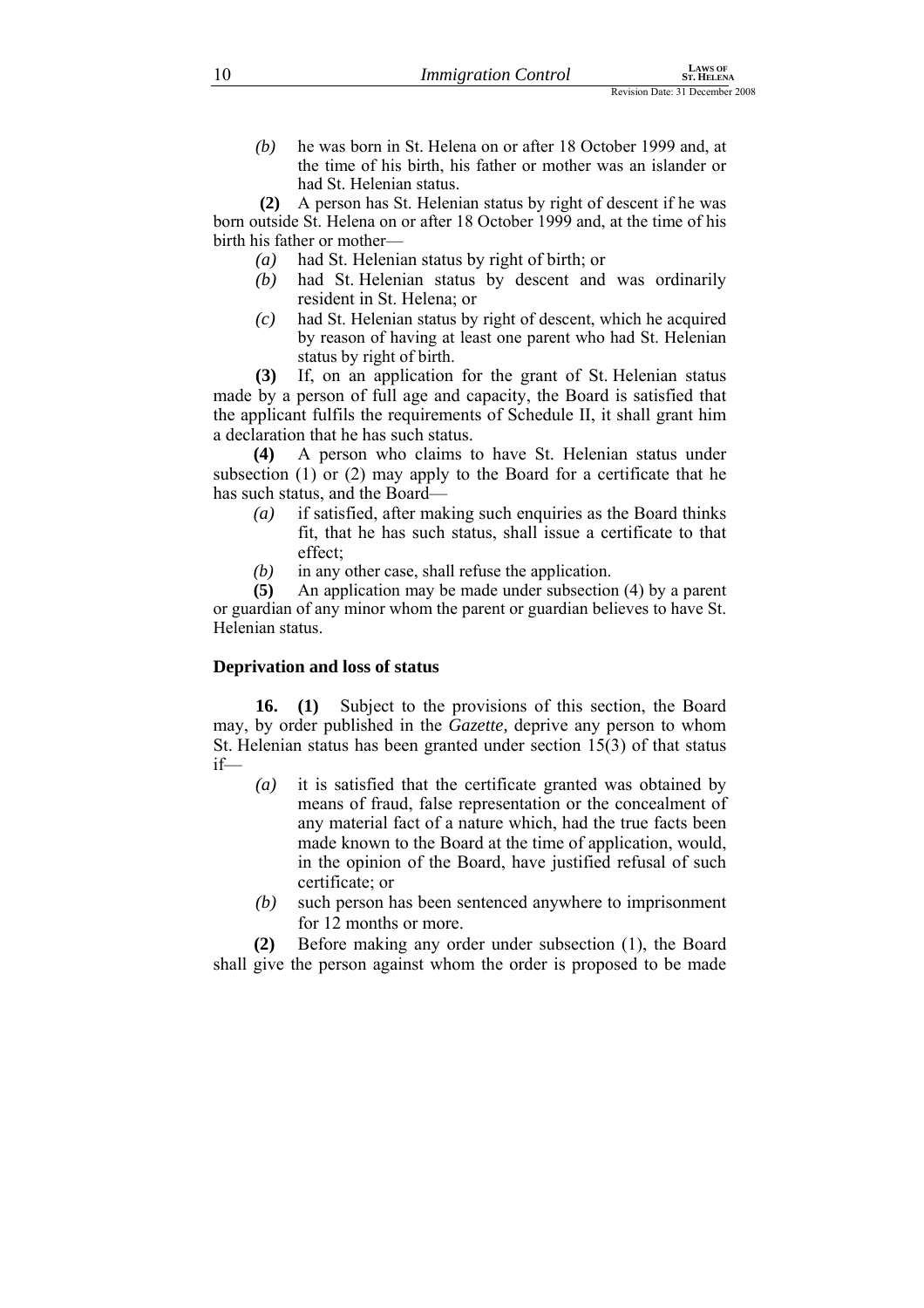*(b)* he was born in St. Helena on or after 18 October 1999 and, at the time of his birth, his father or mother was an islander or had St. Helenian status.

 **(2)** A person has St. Helenian status by right of descent if he was born outside St. Helena on or after 18 October 1999 and, at the time of his birth his father or mother—

- *(a)* had St. Helenian status by right of birth; or
- *(b)* had St. Helenian status by descent and was ordinarily resident in St. Helena; or
- *(c)* had St. Helenian status by right of descent, which he acquired by reason of having at least one parent who had St. Helenian status by right of birth.

**(3)** If, on an application for the grant of St. Helenian status made by a person of full age and capacity, the Board is satisfied that the applicant fulfils the requirements of Schedule II, it shall grant him a declaration that he has such status.

**(4)** A person who claims to have St. Helenian status under subsection (1) or (2) may apply to the Board for a certificate that he has such status, and the Board—

- *(a)* if satisfied, after making such enquiries as the Board thinks fit, that he has such status, shall issue a certificate to that effect;
- *(b)* in any other case, shall refuse the application.

**(5)** An application may be made under subsection (4) by a parent or guardian of any minor whom the parent or guardian believes to have St. Helenian status.

### **Deprivation and loss of status**

**16. (1)** Subject to the provisions of this section, the Board may, by order published in the *Gazette,* deprive any person to whom St. Helenian status has been granted under section 15(3) of that status if—

- *(a)* it is satisfied that the certificate granted was obtained by means of fraud, false representation or the concealment of any material fact of a nature which, had the true facts been made known to the Board at the time of application, would, in the opinion of the Board, have justified refusal of such certificate; or
- *(b)* such person has been sentenced anywhere to imprisonment for 12 months or more.

**(2)** Before making any order under subsection (1), the Board shall give the person against whom the order is proposed to be made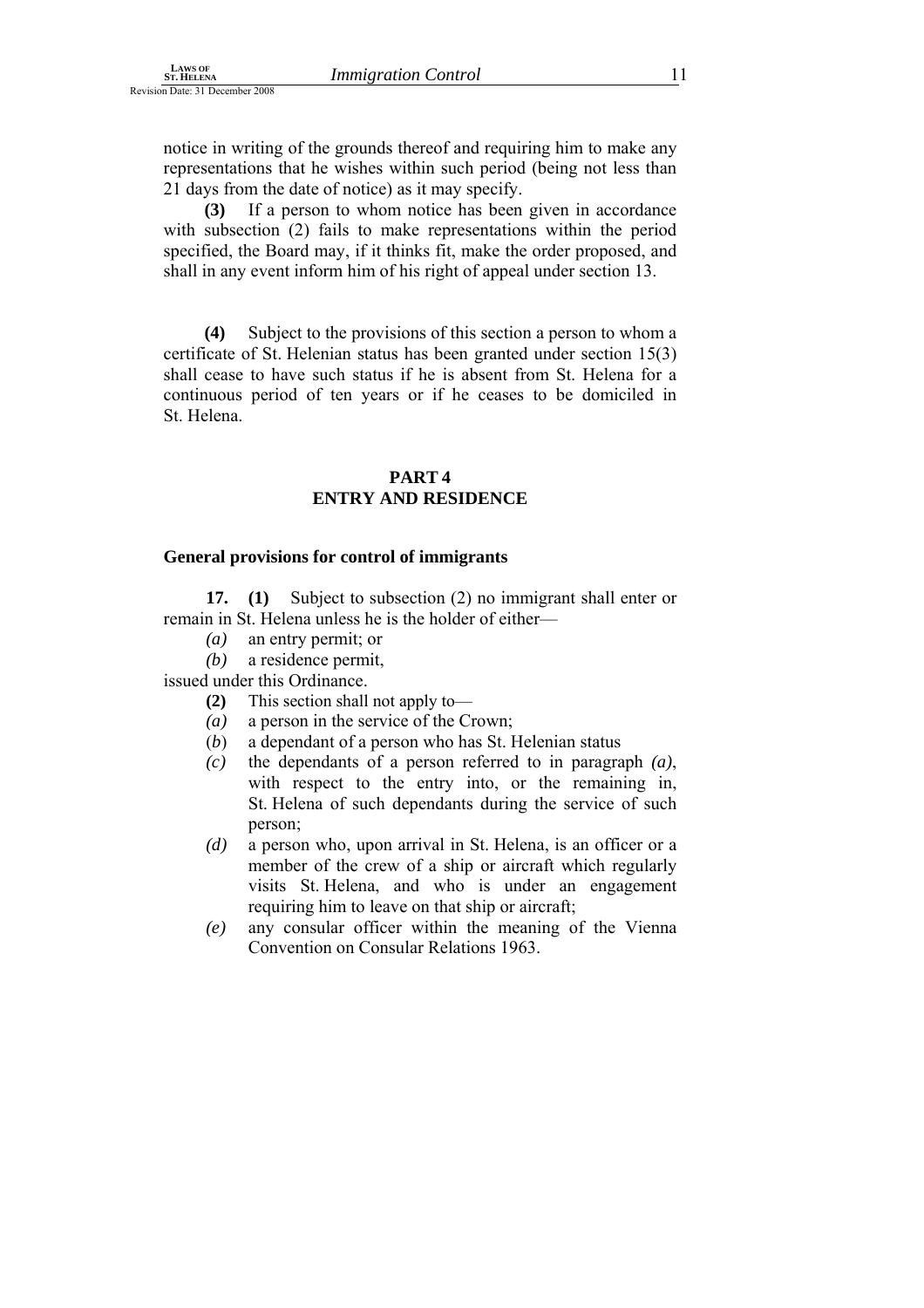notice in writing of the grounds thereof and requiring him to make any representations that he wishes within such period (being not less than 21 days from the date of notice) as it may specify.

**(3)** If a person to whom notice has been given in accordance with subsection (2) fails to make representations within the period specified, the Board may, if it thinks fit, make the order proposed, and shall in any event inform him of his right of appeal under section 13.

**(4)** Subject to the provisions of this section a person to whom a certificate of St. Helenian status has been granted under section 15(3) shall cease to have such status if he is absent from St. Helena for a continuous period of ten years or if he ceases to be domiciled in St. Helena.

## **PART 4 ENTRY AND RESIDENCE**

## **General provisions for control of immigrants**

**17. (1)** Subject to subsection (2) no immigrant shall enter or remain in St. Helena unless he is the holder of either—

- *(a)* an entry permit; or
- *(b)* a residence permit,

issued under this Ordinance.

- **(2)** This section shall not apply to—
- *(a)* a person in the service of the Crown;
- (*b*) a dependant of a person who has St. Helenian status
- *(c)* the dependants of a person referred to in paragraph *(a)*, with respect to the entry into, or the remaining in, St. Helena of such dependants during the service of such person;
- *(d)* a person who, upon arrival in St. Helena, is an officer or a member of the crew of a ship or aircraft which regularly visits St. Helena, and who is under an engagement requiring him to leave on that ship or aircraft;
- *(e)* any consular officer within the meaning of the Vienna Convention on Consular Relations 1963.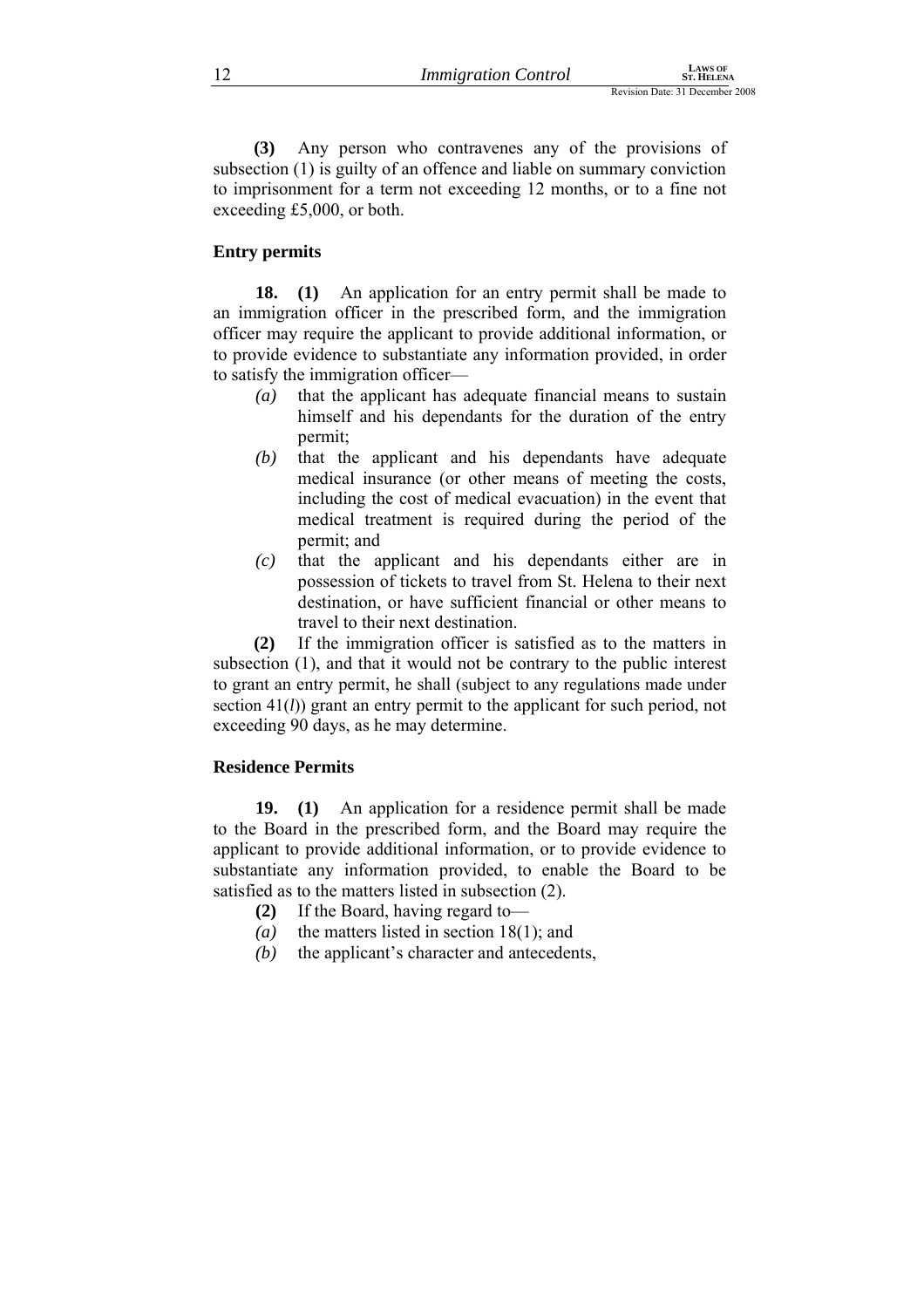**(3)** Any person who contravenes any of the provisions of subsection (1) is guilty of an offence and liable on summary conviction to imprisonment for a term not exceeding 12 months, or to a fine not exceeding £5,000, or both.

## **Entry permits**

**18. (1)** An application for an entry permit shall be made to an immigration officer in the prescribed form, and the immigration officer may require the applicant to provide additional information, or to provide evidence to substantiate any information provided, in order to satisfy the immigration officer—

- *(a)* that the applicant has adequate financial means to sustain himself and his dependants for the duration of the entry permit;
- *(b)* that the applicant and his dependants have adequate medical insurance (or other means of meeting the costs, including the cost of medical evacuation) in the event that medical treatment is required during the period of the permit; and
- *(c)* that the applicant and his dependants either are in possession of tickets to travel from St. Helena to their next destination, or have sufficient financial or other means to travel to their next destination.

**(2)** If the immigration officer is satisfied as to the matters in subsection (1), and that it would not be contrary to the public interest to grant an entry permit, he shall (subject to any regulations made under section 41(*l*)) grant an entry permit to the applicant for such period, not exceeding 90 days, as he may determine.

## **Residence Permits**

**19. (1)** An application for a residence permit shall be made to the Board in the prescribed form, and the Board may require the applicant to provide additional information, or to provide evidence to substantiate any information provided, to enable the Board to be satisfied as to the matters listed in subsection (2).

- **(2)** If the Board, having regard to—
- *(a)* the matters listed in section 18(1); and
- *(b)* the applicant's character and antecedents,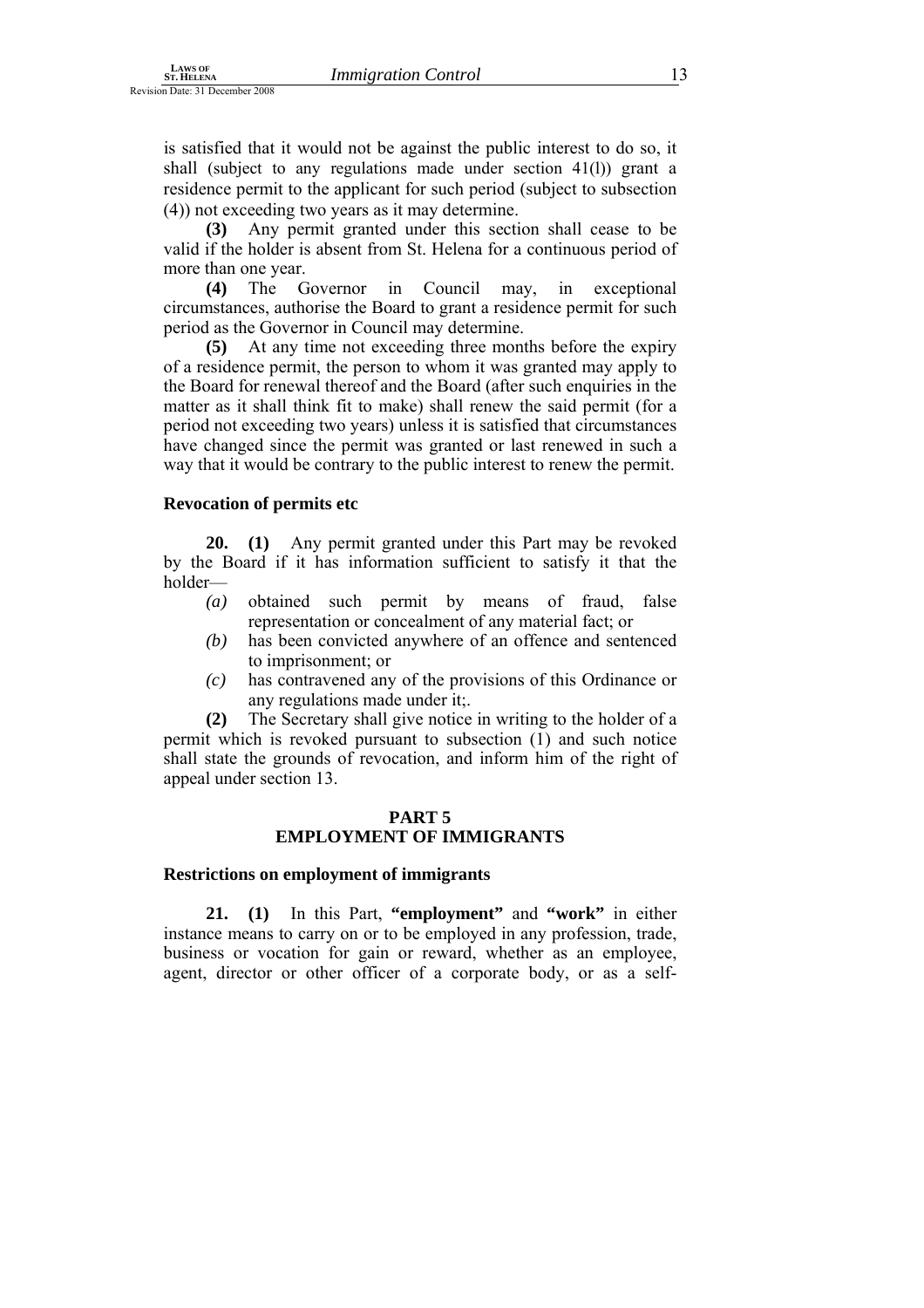is satisfied that it would not be against the public interest to do so, it shall (subject to any regulations made under section 41(l)) grant a residence permit to the applicant for such period (subject to subsection (4)) not exceeding two years as it may determine.

**(3)** Any permit granted under this section shall cease to be valid if the holder is absent from St. Helena for a continuous period of more than one year.

**(4)** The Governor in Council may, in exceptional circumstances, authorise the Board to grant a residence permit for such period as the Governor in Council may determine.

**(5)** At any time not exceeding three months before the expiry of a residence permit, the person to whom it was granted may apply to the Board for renewal thereof and the Board (after such enquiries in the matter as it shall think fit to make) shall renew the said permit (for a period not exceeding two years) unless it is satisfied that circumstances have changed since the permit was granted or last renewed in such a way that it would be contrary to the public interest to renew the permit.

## **Revocation of permits etc**

**20. (1)** Any permit granted under this Part may be revoked by the Board if it has information sufficient to satisfy it that the holder—

- *(a)* obtained such permit by means of fraud, false representation or concealment of any material fact; or
- *(b)* has been convicted anywhere of an offence and sentenced to imprisonment; or
- *(c)* has contravened any of the provisions of this Ordinance or any regulations made under it;.

**(2)** The Secretary shall give notice in writing to the holder of a permit which is revoked pursuant to subsection (1) and such notice shall state the grounds of revocation, and inform him of the right of appeal under section 13.

## **PART 5 EMPLOYMENT OF IMMIGRANTS**

## **Restrictions on employment of immigrants**

**21. (1)** In this Part, **"employment"** and **"work"** in either instance means to carry on or to be employed in any profession, trade, business or vocation for gain or reward, whether as an employee, agent, director or other officer of a corporate body, or as a self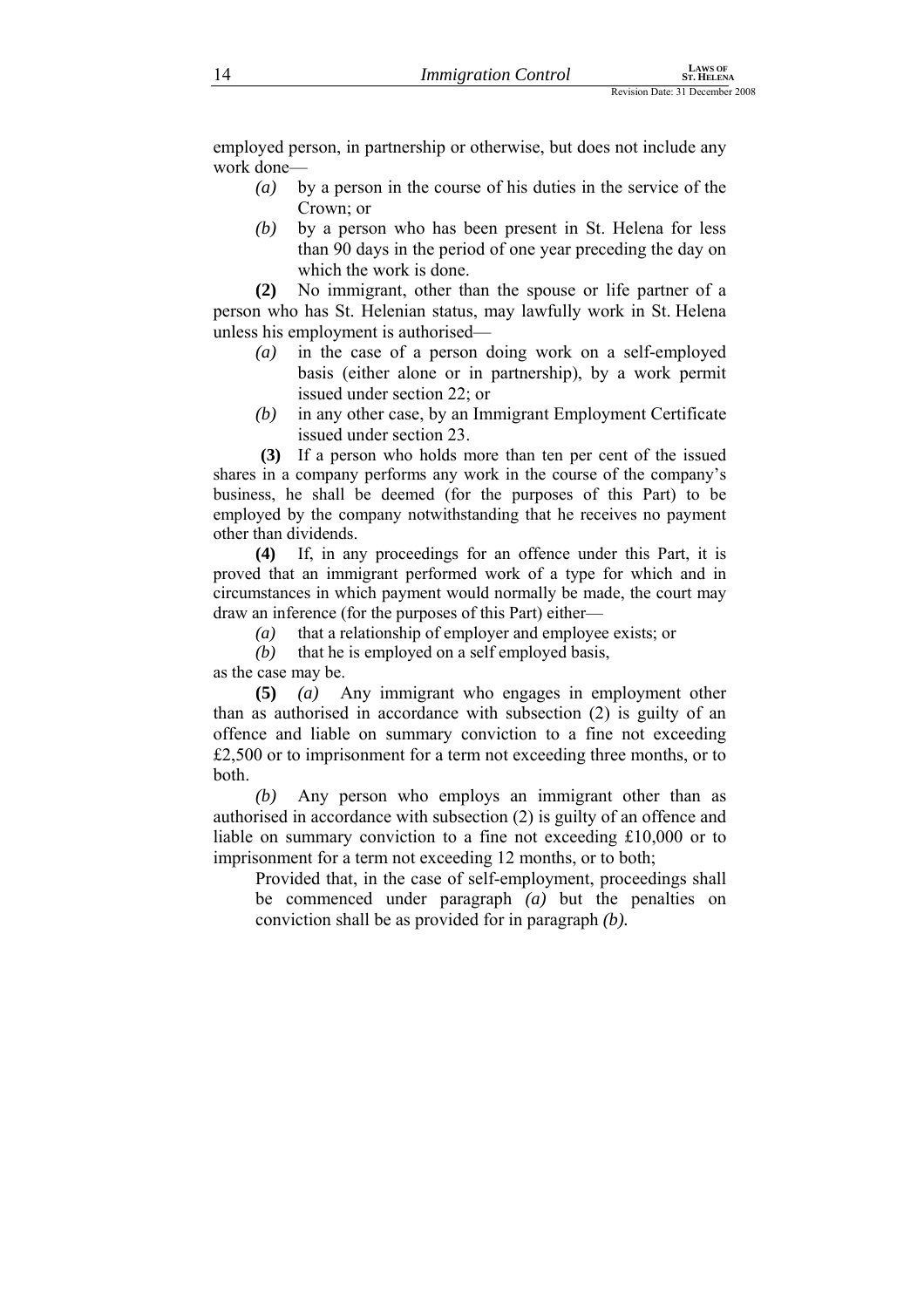employed person, in partnership or otherwise, but does not include any work done—

- *(a)* by a person in the course of his duties in the service of the Crown; or
- *(b)* by a person who has been present in St. Helena for less than 90 days in the period of one year preceding the day on which the work is done.

**(2)** No immigrant, other than the spouse or life partner of a person who has St. Helenian status, may lawfully work in St. Helena unless his employment is authorised—

- *(a)* in the case of a person doing work on a self-employed basis (either alone or in partnership), by a work permit issued under section 22; or
- *(b)* in any other case, by an Immigrant Employment Certificate issued under section 23.

**(3)** If a person who holds more than ten per cent of the issued shares in a company performs any work in the course of the company's business, he shall be deemed (for the purposes of this Part) to be employed by the company notwithstanding that he receives no payment other than dividends.

**(4)** If, in any proceedings for an offence under this Part, it is proved that an immigrant performed work of a type for which and in circumstances in which payment would normally be made, the court may draw an inference (for the purposes of this Part) either—

*(a)* that a relationship of employer and employee exists; or

*(b)* that he is employed on a self employed basis,

as the case may be.

 **(5)** *(a)* Any immigrant who engages in employment other than as authorised in accordance with subsection (2) is guilty of an offence and liable on summary conviction to a fine not exceeding £2,500 or to imprisonment for a term not exceeding three months, or to both.

*(b)* Any person who employs an immigrant other than as authorised in accordance with subsection (2) is guilty of an offence and liable on summary conviction to a fine not exceeding £10,000 or to imprisonment for a term not exceeding 12 months, or to both;

Provided that, in the case of self-employment, proceedings shall be commenced under paragraph *(a)* but the penalties on conviction shall be as provided for in paragraph *(b).*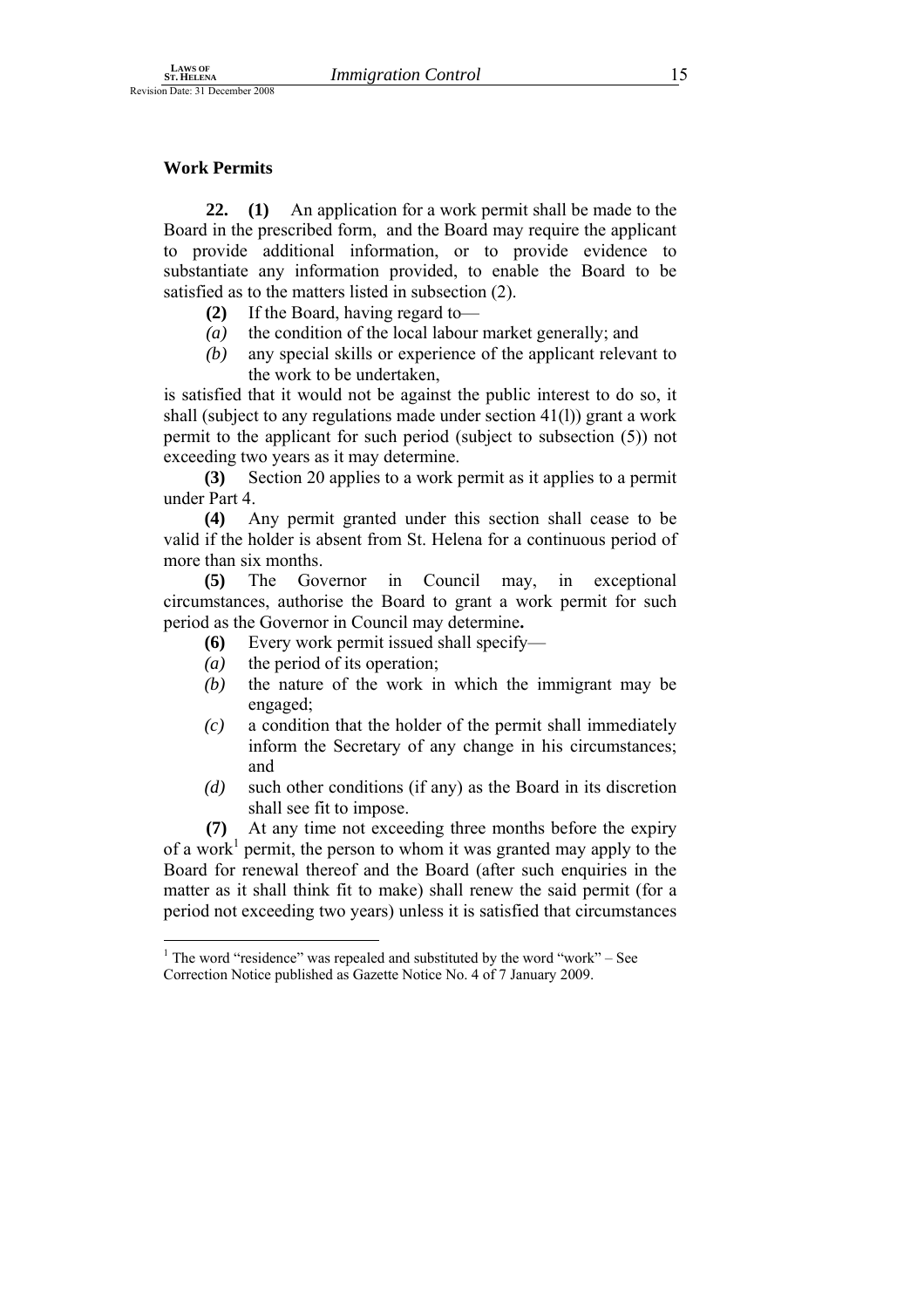## **Work Permits**

**22. (1)** An application for a work permit shall be made to the Board in the prescribed form, and the Board may require the applicant to provide additional information, or to provide evidence to substantiate any information provided, to enable the Board to be satisfied as to the matters listed in subsection (2).

- **(2)** If the Board, having regard to—
- *(a)* the condition of the local labour market generally; and
- *(b)* any special skills or experience of the applicant relevant to the work to be undertaken,

is satisfied that it would not be against the public interest to do so, it shall (subject to any regulations made under section 41(l)) grant a work permit to the applicant for such period (subject to subsection (5)) not exceeding two years as it may determine.

**(3)** Section 20 applies to a work permit as it applies to a permit under Part 4.

**(4)** Any permit granted under this section shall cease to be valid if the holder is absent from St. Helena for a continuous period of more than six months.

**(5)** The Governor in Council may, in exceptional circumstances, authorise the Board to grant a work permit for such period as the Governor in Council may determine**.** 

- **(6)** Every work permit issued shall specify—
- *(a)* the period of its operation;
- *(b)* the nature of the work in which the immigrant may be engaged;
- *(c)* a condition that the holder of the permit shall immediately inform the Secretary of any change in his circumstances; and
- *(d)* such other conditions (if any) as the Board in its discretion shall see fit to impose.

**(7)** At any time not exceeding three months before the expiry of a work<sup>1</sup> permit, the person to whom it was granted may apply to the Board for renewal thereof and the Board (after such enquiries in the matter as it shall think fit to make) shall renew the said permit (for a period not exceeding two years) unless it is satisfied that circumstances

<sup>&</sup>lt;sup>1</sup> The word "residence" was repealed and substituted by the word "work" – See Correction Notice published as Gazette Notice No. 4 of 7 January 2009.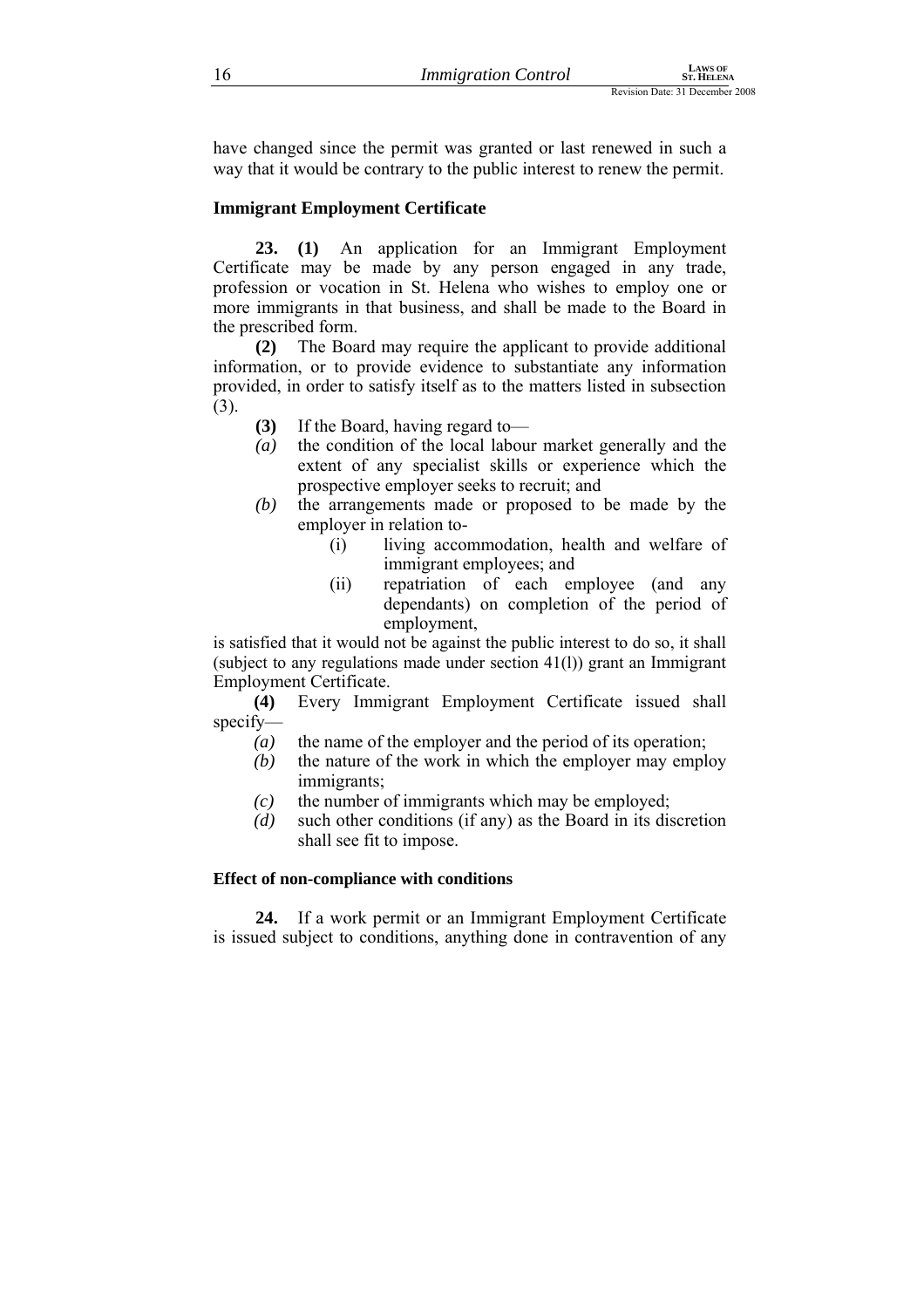have changed since the permit was granted or last renewed in such a way that it would be contrary to the public interest to renew the permit.

## **Immigrant Employment Certificate**

**23. (1)** An application for an Immigrant Employment Certificate may be made by any person engaged in any trade, profession or vocation in St. Helena who wishes to employ one or more immigrants in that business, and shall be made to the Board in the prescribed form.

**(2)** The Board may require the applicant to provide additional information, or to provide evidence to substantiate any information provided, in order to satisfy itself as to the matters listed in subsection (3).

- **(3)** If the Board, having regard to—
- *(a)* the condition of the local labour market generally and the extent of any specialist skills or experience which the prospective employer seeks to recruit; and
- *(b)* the arrangements made or proposed to be made by the employer in relation to-
	- (i) living accommodation, health and welfare of immigrant employees; and
	- (ii) repatriation of each employee (and any dependants) on completion of the period of employment,

is satisfied that it would not be against the public interest to do so, it shall (subject to any regulations made under section 41(l)) grant an Immigrant Employment Certificate.

**(4)** Every Immigrant Employment Certificate issued shall specify—

- *(a)* the name of the employer and the period of its operation;
- *(b)* the nature of the work in which the employer may employ immigrants;
- *(c)* the number of immigrants which may be employed;
- *(d)* such other conditions (if any) as the Board in its discretion shall see fit to impose.

### **Effect of non-compliance with conditions**

**24.** If a work permit or an Immigrant Employment Certificate is issued subject to conditions, anything done in contravention of any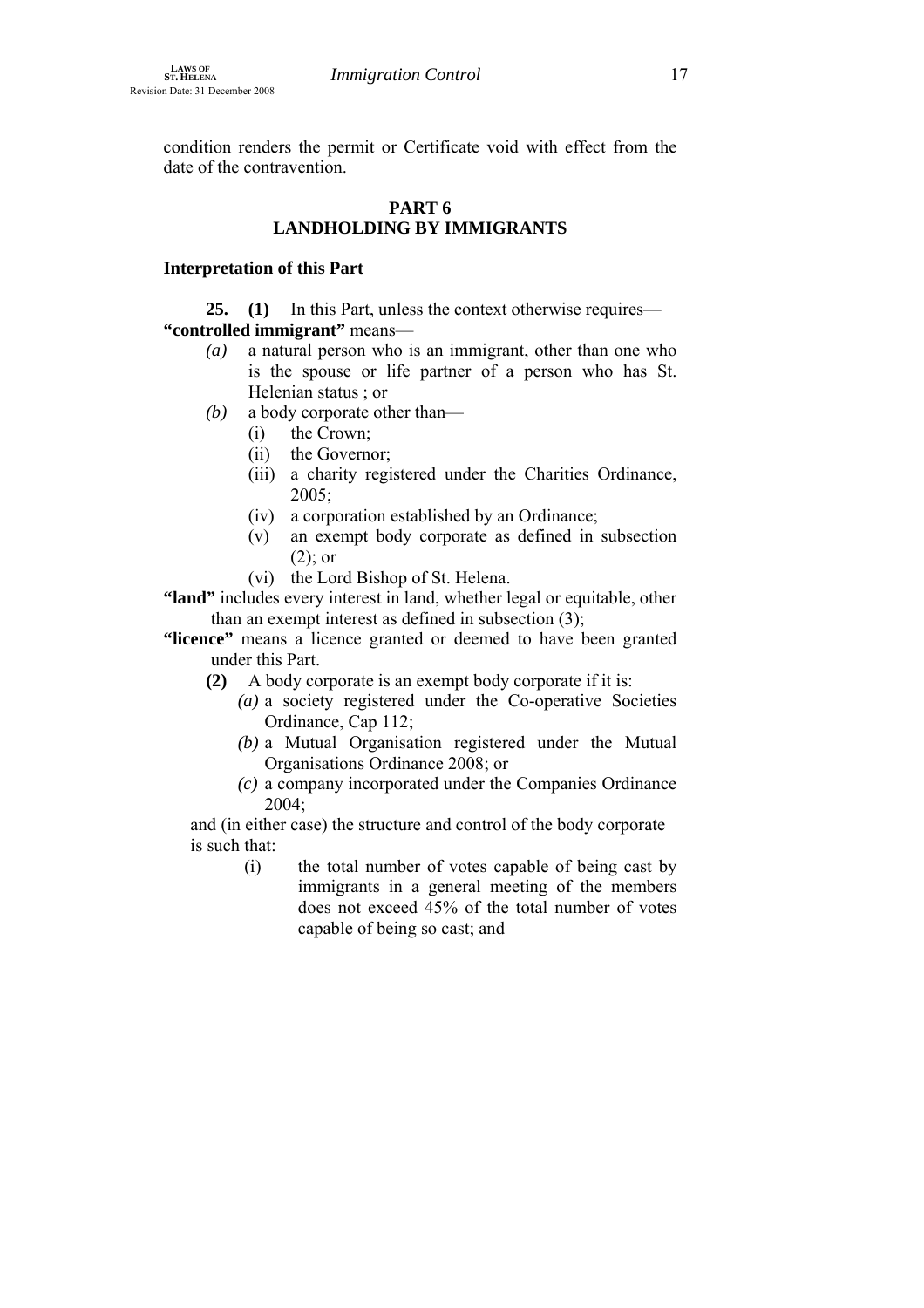condition renders the permit or Certificate void with effect from the date of the contravention.

## **PART 6 LANDHOLDING BY IMMIGRANTS**

## **Interpretation of this Part**

**25. (1)** In this Part, unless the context otherwise requires— **"controlled immigrant"** means—

- *(a)* a natural person who is an immigrant, other than one who is the spouse or life partner of a person who has St. Helenian status ; or
- *(b)* a body corporate other than—
	- (i) the Crown;
	- (ii) the Governor;
	- (iii) a charity registered under the Charities Ordinance, 2005;
	- (iv) a corporation established by an Ordinance;
	- (v) an exempt body corporate as defined in subsection (2); or
	- (vi) the Lord Bishop of St. Helena.
- **"land"** includes every interest in land, whether legal or equitable, other than an exempt interest as defined in subsection (3);
- **"licence"** means a licence granted or deemed to have been granted under this Part.
	- **(2)** A body corporate is an exempt body corporate if it is:
		- *(a)* a society registered under the Co-operative Societies Ordinance, Cap 112;
		- *(b)* a Mutual Organisation registered under the Mutual Organisations Ordinance 2008; or
		- *(c)* a company incorporated under the Companies Ordinance 2004;

and (in either case) the structure and control of the body corporate is such that:

> (i) the total number of votes capable of being cast by immigrants in a general meeting of the members does not exceed 45% of the total number of votes capable of being so cast; and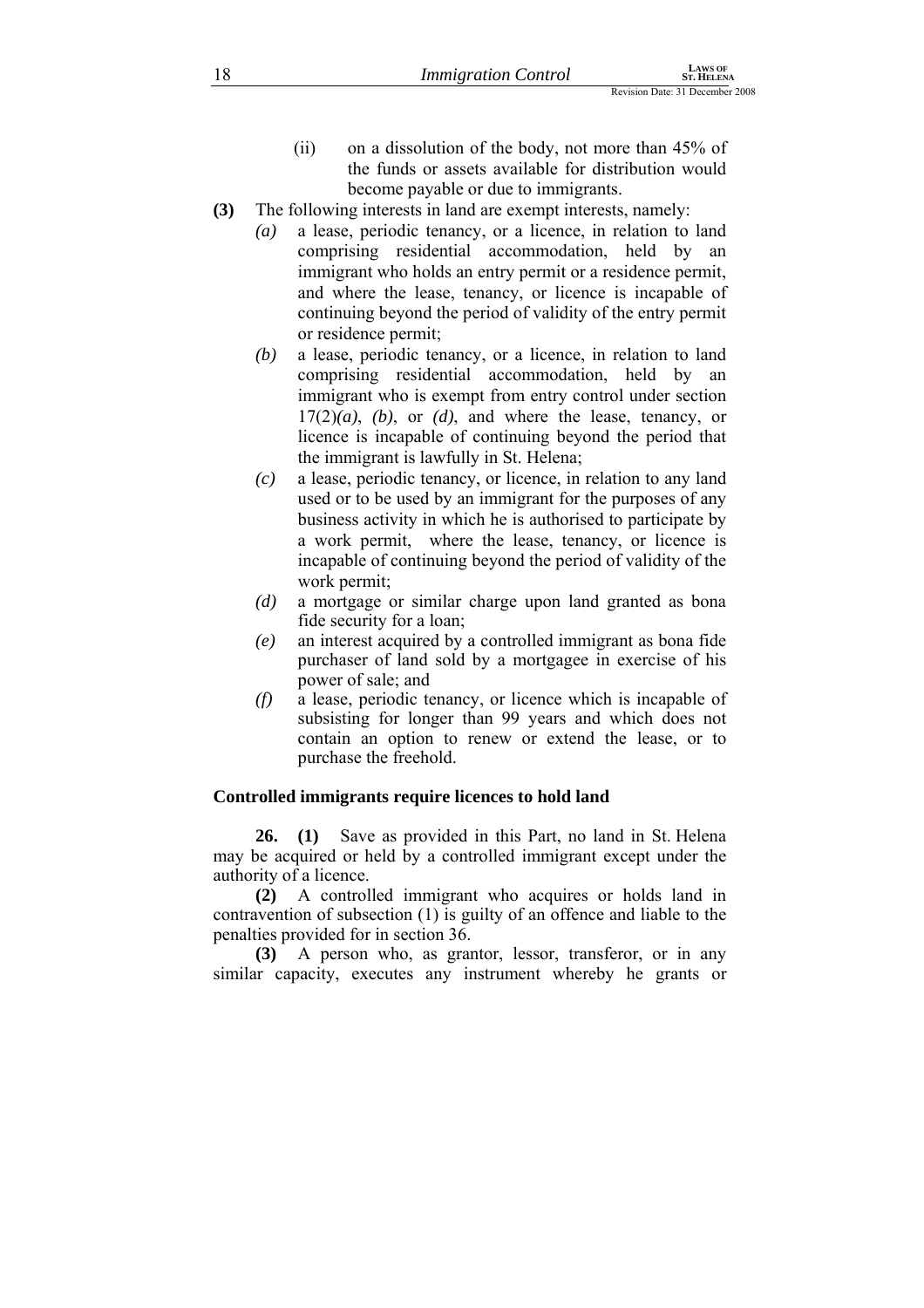- (ii) on a dissolution of the body, not more than 45% of the funds or assets available for distribution would become payable or due to immigrants.
- **(3)** The following interests in land are exempt interests, namely:
	- *(a)* a lease, periodic tenancy, or a licence, in relation to land comprising residential accommodation, held by an immigrant who holds an entry permit or a residence permit, and where the lease, tenancy, or licence is incapable of continuing beyond the period of validity of the entry permit or residence permit;
	- *(b)* a lease, periodic tenancy, or a licence, in relation to land comprising residential accommodation, held by an immigrant who is exempt from entry control under section  $17(2)(a)$ , *(b)*, or *(d)*, and where the lease, tenancy, or licence is incapable of continuing beyond the period that the immigrant is lawfully in St. Helena;
	- *(c)* a lease, periodic tenancy, or licence, in relation to any land used or to be used by an immigrant for the purposes of any business activity in which he is authorised to participate by a work permit, where the lease, tenancy, or licence is incapable of continuing beyond the period of validity of the work permit;
	- *(d)* a mortgage or similar charge upon land granted as bona fide security for a loan;
	- *(e)* an interest acquired by a controlled immigrant as bona fide purchaser of land sold by a mortgagee in exercise of his power of sale; and
	- *(f)* a lease, periodic tenancy, or licence which is incapable of subsisting for longer than 99 years and which does not contain an option to renew or extend the lease, or to purchase the freehold.

## **Controlled immigrants require licences to hold land**

**26. (1)** Save as provided in this Part, no land in St. Helena may be acquired or held by a controlled immigrant except under the authority of a licence.

**(2)** A controlled immigrant who acquires or holds land in contravention of subsection (1) is guilty of an offence and liable to the penalties provided for in section 36.

**(3)** A person who, as grantor, lessor, transferor, or in any similar capacity, executes any instrument whereby he grants or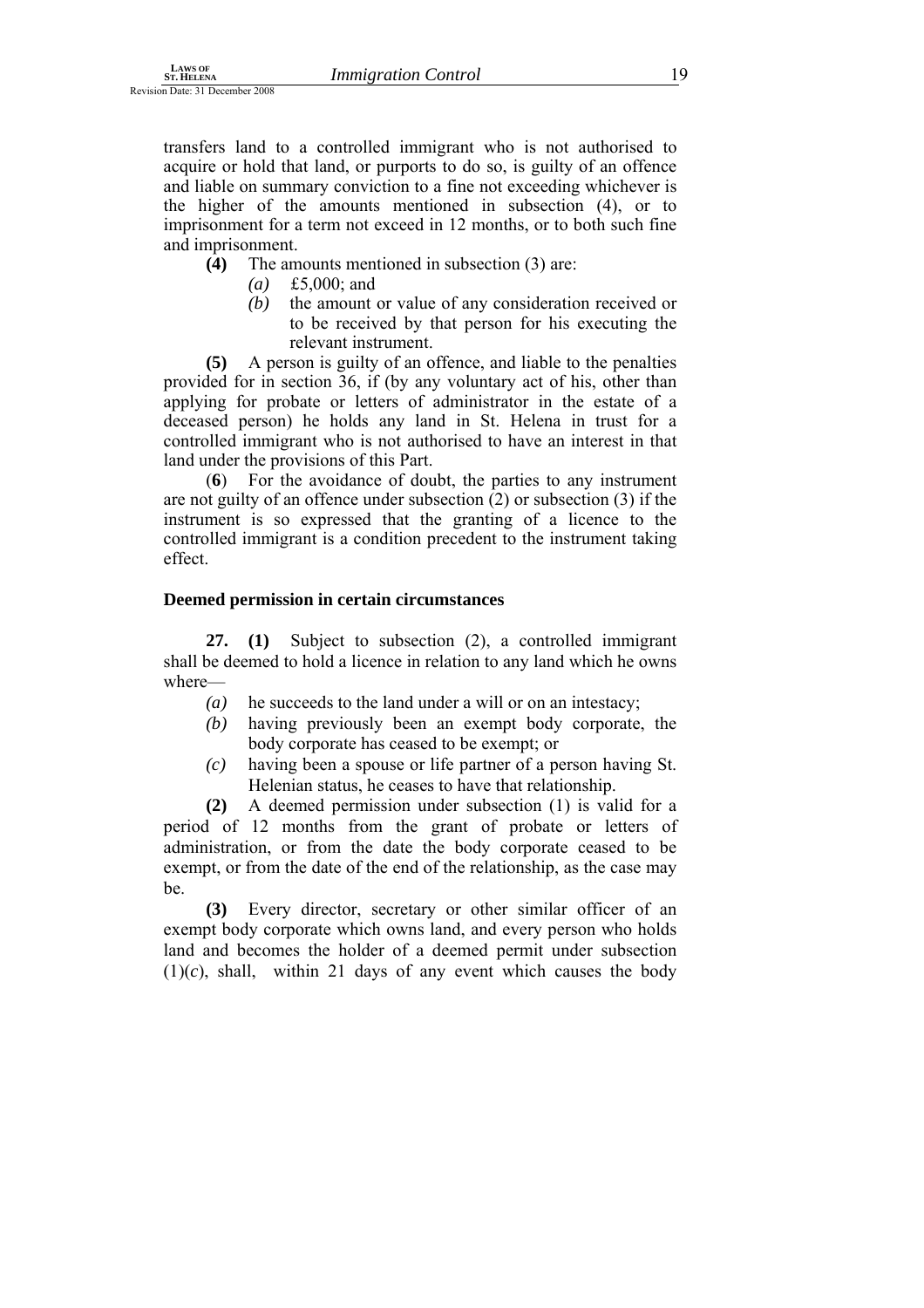transfers land to a controlled immigrant who is not authorised to acquire or hold that land, or purports to do so, is guilty of an offence and liable on summary conviction to a fine not exceeding whichever is the higher of the amounts mentioned in subsection (4), or to imprisonment for a term not exceed in 12 months, or to both such fine and imprisonment.

- **(4)** The amounts mentioned in subsection (3) are:
	- *(a)* £5,000; and
	- *(b)* the amount or value of any consideration received or to be received by that person for his executing the relevant instrument.

**(5)** A person is guilty of an offence, and liable to the penalties provided for in section 36, if (by any voluntary act of his, other than applying for probate or letters of administrator in the estate of a deceased person) he holds any land in St. Helena in trust for a controlled immigrant who is not authorised to have an interest in that land under the provisions of this Part.

(**6**) For the avoidance of doubt, the parties to any instrument are not guilty of an offence under subsection (2) or subsection (3) if the instrument is so expressed that the granting of a licence to the controlled immigrant is a condition precedent to the instrument taking effect.

## **Deemed permission in certain circumstances**

**27. (1)** Subject to subsection (2), a controlled immigrant shall be deemed to hold a licence in relation to any land which he owns where—

- *(a)* he succeeds to the land under a will or on an intestacy;
- *(b)* having previously been an exempt body corporate, the body corporate has ceased to be exempt; or
- *(c)* having been a spouse or life partner of a person having St. Helenian status, he ceases to have that relationship.

**(2)** A deemed permission under subsection (1) is valid for a period of 12 months from the grant of probate or letters of administration, or from the date the body corporate ceased to be exempt, or from the date of the end of the relationship, as the case may be.

**(3)** Every director, secretary or other similar officer of an exempt body corporate which owns land, and every person who holds land and becomes the holder of a deemed permit under subsection  $(1)(c)$ , shall, within 21 days of any event which causes the body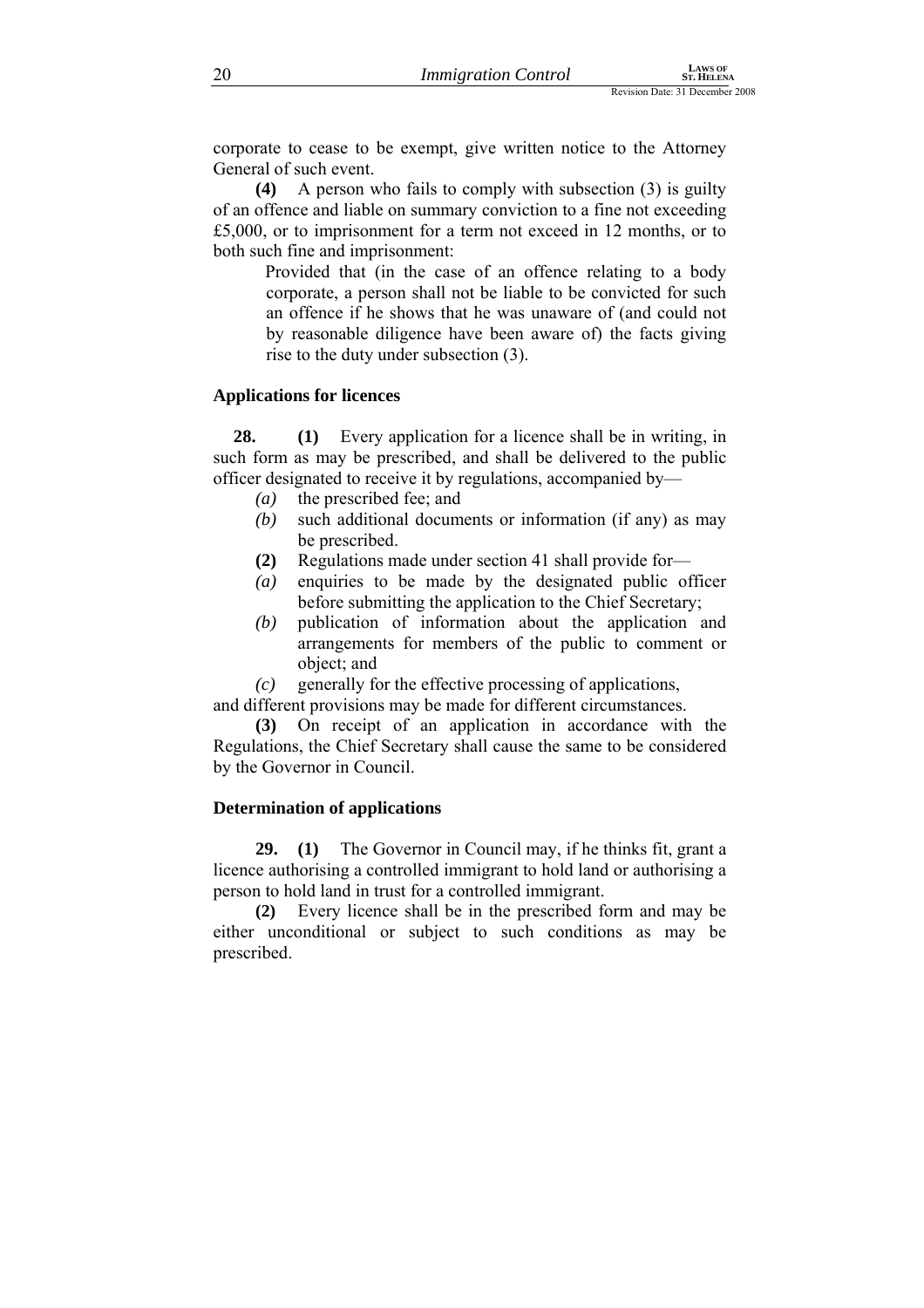corporate to cease to be exempt, give written notice to the Attorney General of such event.

**(4)** A person who fails to comply with subsection (3) is guilty of an offence and liable on summary conviction to a fine not exceeding £5,000, or to imprisonment for a term not exceed in 12 months, or to both such fine and imprisonment:

> Provided that (in the case of an offence relating to a body corporate, a person shall not be liable to be convicted for such an offence if he shows that he was unaware of (and could not by reasonable diligence have been aware of) the facts giving rise to the duty under subsection (3).

## **Applications for licences**

**28. (1)** Every application for a licence shall be in writing, in such form as may be prescribed, and shall be delivered to the public officer designated to receive it by regulations, accompanied by—

- *(a)* the prescribed fee; and
- *(b)* such additional documents or information (if any) as may be prescribed.
- **(2)** Regulations made under section 41 shall provide for—
- *(a)* enquiries to be made by the designated public officer before submitting the application to the Chief Secretary;
- *(b)* publication of information about the application and arrangements for members of the public to comment or object; and
- *(c)* generally for the effective processing of applications,
- and different provisions may be made for different circumstances.

**(3)** On receipt of an application in accordance with the Regulations, the Chief Secretary shall cause the same to be considered by the Governor in Council.

## **Determination of applications**

**29. (1)** The Governor in Council may, if he thinks fit, grant a licence authorising a controlled immigrant to hold land or authorising a person to hold land in trust for a controlled immigrant.

**(2)** Every licence shall be in the prescribed form and may be either unconditional or subject to such conditions as may be prescribed.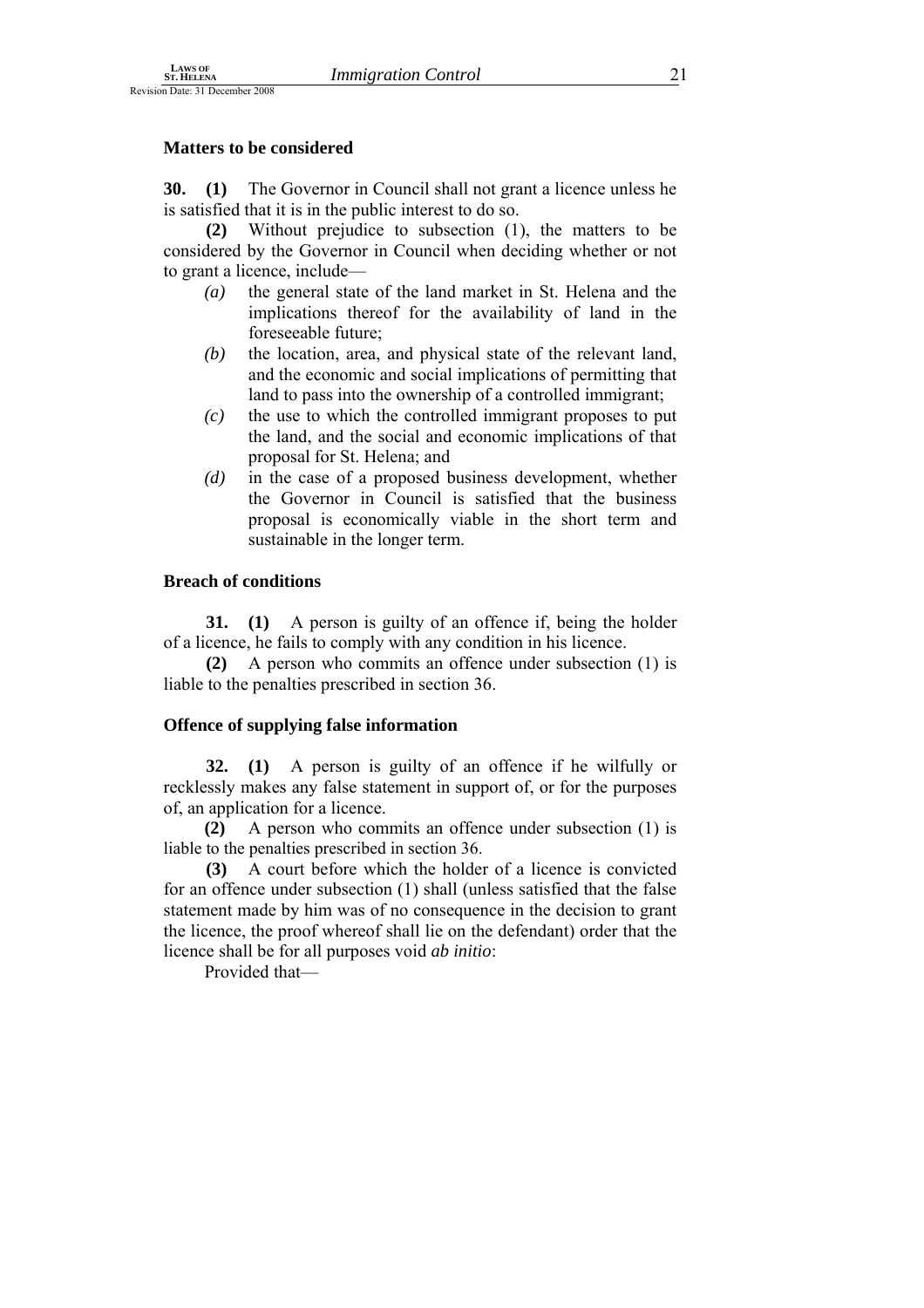## **Matters to be considered**

**30. (1)** The Governor in Council shall not grant a licence unless he is satisfied that it is in the public interest to do so.

**(2)** Without prejudice to subsection (1), the matters to be considered by the Governor in Council when deciding whether or not to grant a licence, include—

- *(a)* the general state of the land market in St. Helena and the implications thereof for the availability of land in the foreseeable future;
- *(b)* the location, area, and physical state of the relevant land, and the economic and social implications of permitting that land to pass into the ownership of a controlled immigrant;
- *(c)* the use to which the controlled immigrant proposes to put the land, and the social and economic implications of that proposal for St. Helena; and
- *(d)* in the case of a proposed business development, whether the Governor in Council is satisfied that the business proposal is economically viable in the short term and sustainable in the longer term.

## **Breach of conditions**

**31. (1)** A person is guilty of an offence if, being the holder of a licence, he fails to comply with any condition in his licence.

**(2)** A person who commits an offence under subsection (1) is liable to the penalties prescribed in section 36.

### **Offence of supplying false information**

**32. (1)** A person is guilty of an offence if he wilfully or recklessly makes any false statement in support of, or for the purposes of, an application for a licence.

**(2)** A person who commits an offence under subsection (1) is liable to the penalties prescribed in section 36.

**(3)** A court before which the holder of a licence is convicted for an offence under subsection (1) shall (unless satisfied that the false statement made by him was of no consequence in the decision to grant the licence, the proof whereof shall lie on the defendant) order that the licence shall be for all purposes void *ab initio*:

Provided that—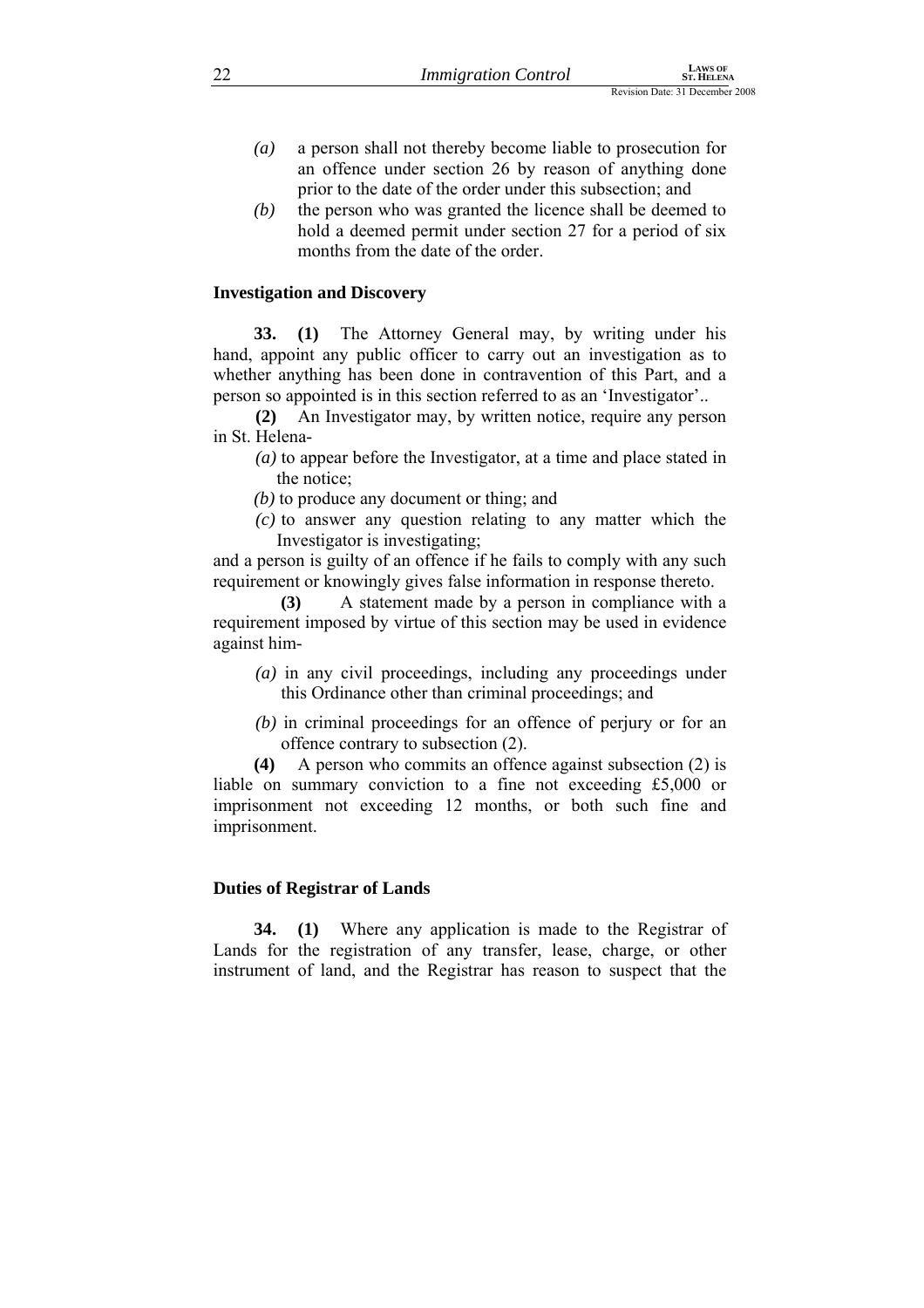- *(a)* a person shall not thereby become liable to prosecution for an offence under section 26 by reason of anything done prior to the date of the order under this subsection; and
- *(b)* the person who was granted the licence shall be deemed to hold a deemed permit under section 27 for a period of six months from the date of the order.

## **Investigation and Discovery**

**33. (1)** The Attorney General may, by writing under his hand, appoint any public officer to carry out an investigation as to whether anything has been done in contravention of this Part, and a person so appointed is in this section referred to as an 'Investigator'..

**(2)** An Investigator may, by written notice, require any person in St. Helena-

- *(a)* to appear before the Investigator, at a time and place stated in the notice;
- *(b)* to produce any document or thing; and
- *(c)* to answer any question relating to any matter which the Investigator is investigating;

and a person is guilty of an offence if he fails to comply with any such requirement or knowingly gives false information in response thereto.

**(3)** A statement made by a person in compliance with a requirement imposed by virtue of this section may be used in evidence against him-

- *(a)* in any civil proceedings, including any proceedings under this Ordinance other than criminal proceedings; and
- *(b)* in criminal proceedings for an offence of perjury or for an offence contrary to subsection (2).

**(4)** A person who commits an offence against subsection (2) is liable on summary conviction to a fine not exceeding £5,000 or imprisonment not exceeding 12 months, or both such fine and imprisonment.

### **Duties of Registrar of Lands**

**34. (1)** Where any application is made to the Registrar of Lands for the registration of any transfer, lease, charge, or other instrument of land, and the Registrar has reason to suspect that the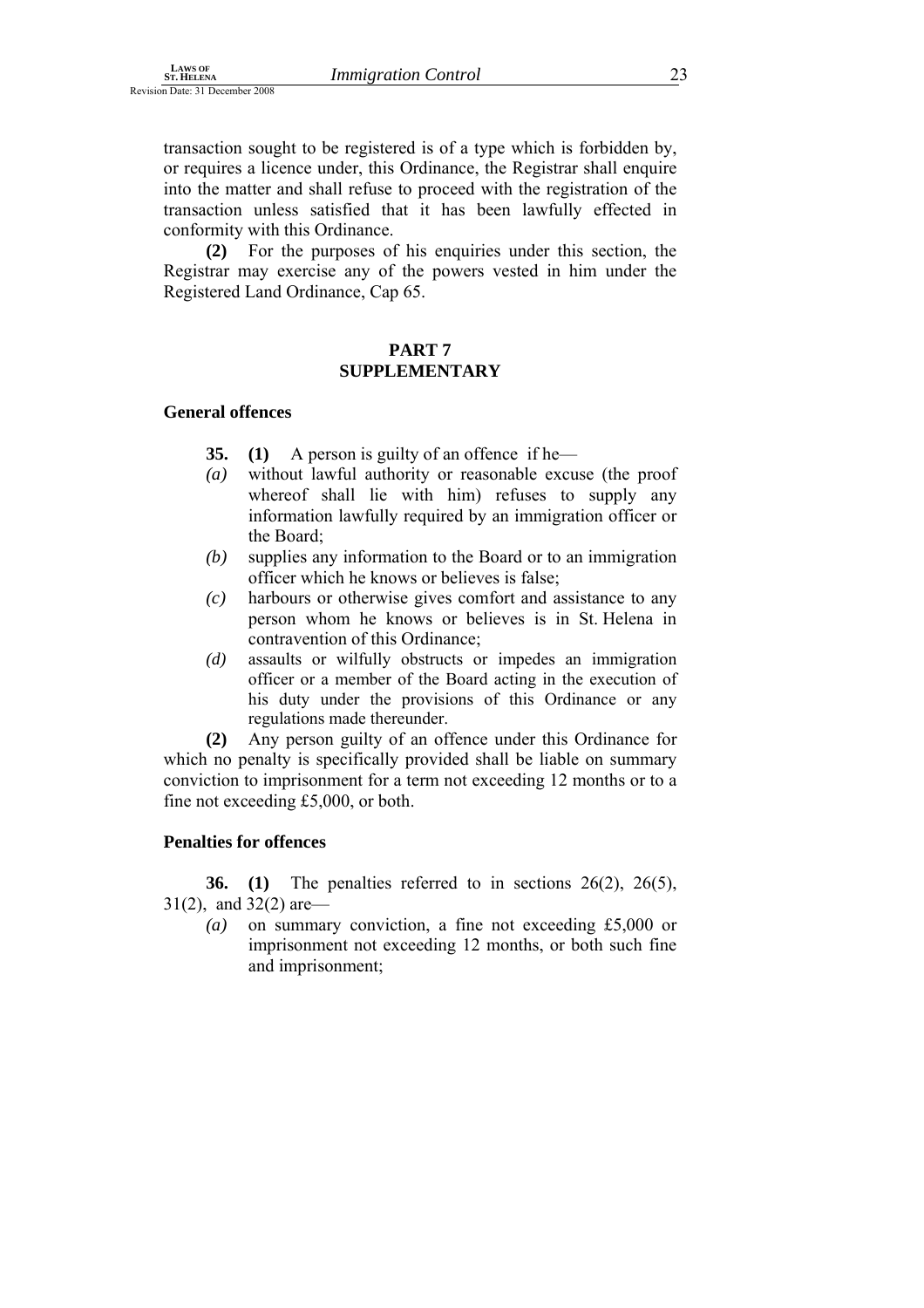transaction sought to be registered is of a type which is forbidden by, or requires a licence under, this Ordinance, the Registrar shall enquire into the matter and shall refuse to proceed with the registration of the transaction unless satisfied that it has been lawfully effected in conformity with this Ordinance.

**(2)** For the purposes of his enquiries under this section, the Registrar may exercise any of the powers vested in him under the Registered Land Ordinance, Cap 65.

## **PART 7 SUPPLEMENTARY**

## **General offences**

- **35. (1)** A person is guilty of an offence if he—
- *(a)* without lawful authority or reasonable excuse (the proof whereof shall lie with him) refuses to supply any information lawfully required by an immigration officer or the Board;
- *(b)* supplies any information to the Board or to an immigration officer which he knows or believes is false;
- *(c)* harbours or otherwise gives comfort and assistance to any person whom he knows or believes is in St. Helena in contravention of this Ordinance;
- *(d)* assaults or wilfully obstructs or impedes an immigration officer or a member of the Board acting in the execution of his duty under the provisions of this Ordinance or any regulations made thereunder.

**(2)** Any person guilty of an offence under this Ordinance for which no penalty is specifically provided shall be liable on summary conviction to imprisonment for a term not exceeding 12 months or to a fine not exceeding £5,000, or both.

## **Penalties for offences**

**36. (1)** The penalties referred to in sections 26(2), 26(5), 31(2), and 32(2) are—

*(a)* on summary conviction, a fine not exceeding £5,000 or imprisonment not exceeding 12 months, or both such fine and imprisonment;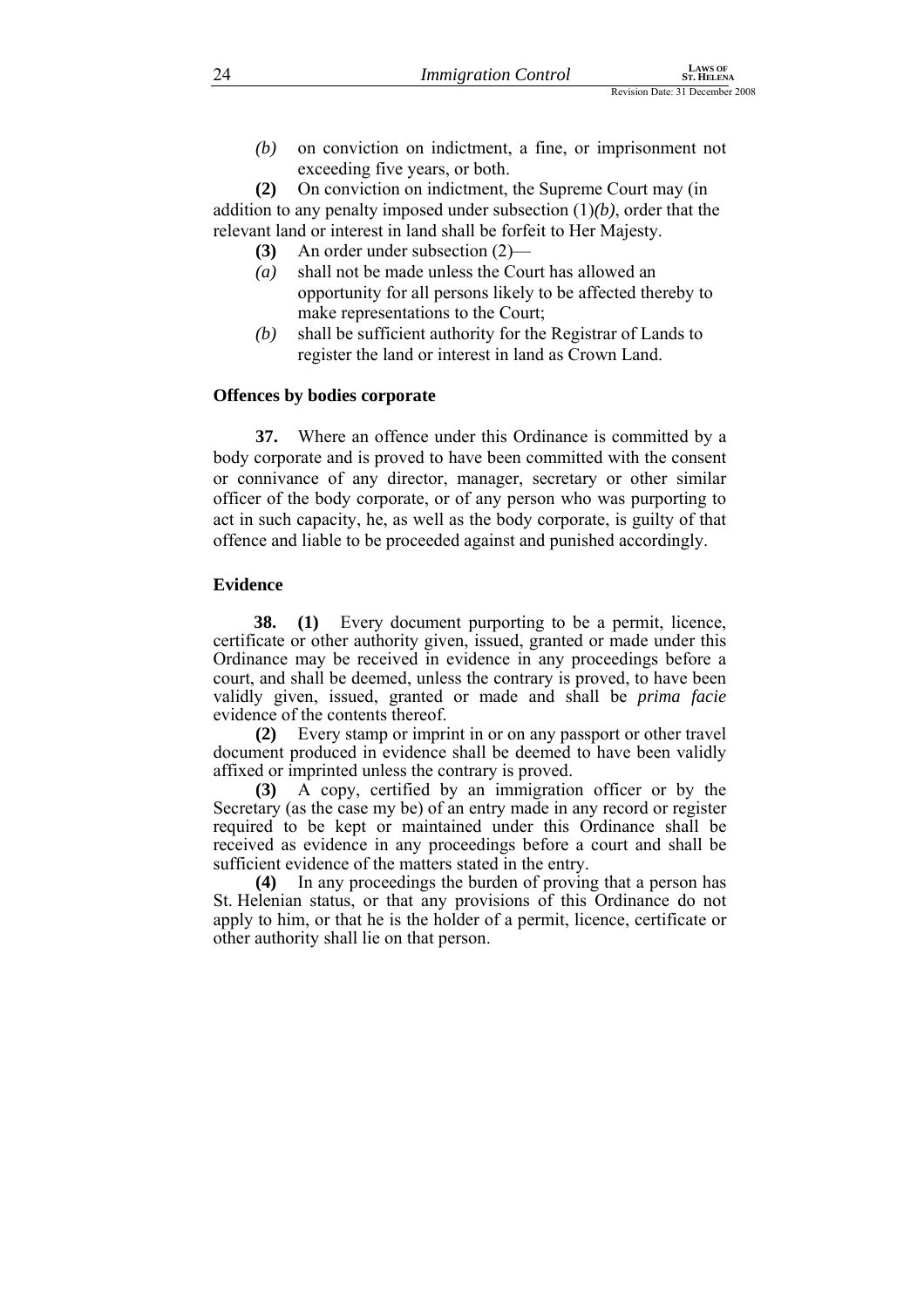*(b)* on conviction on indictment, a fine, or imprisonment not exceeding five years, or both.

**(2)** On conviction on indictment, the Supreme Court may (in addition to any penalty imposed under subsection (1)*(b)*, order that the relevant land or interest in land shall be forfeit to Her Majesty.

- **(3)** An order under subsection (2)—
- *(a)* shall not be made unless the Court has allowed an opportunity for all persons likely to be affected thereby to make representations to the Court;
- *(b)* shall be sufficient authority for the Registrar of Lands to register the land or interest in land as Crown Land.

### **Offences by bodies corporate**

**37.** Where an offence under this Ordinance is committed by a body corporate and is proved to have been committed with the consent or connivance of any director, manager, secretary or other similar officer of the body corporate, or of any person who was purporting to act in such capacity, he, as well as the body corporate, is guilty of that offence and liable to be proceeded against and punished accordingly.

## **Evidence**

**38.** (1) Every document purporting to be a permit, licence, certificate or other authority given, issued, granted or made under this Ordinance may be received in evidence in any proceedings before a court, and shall be deemed, unless the contrary is proved, to have been validly given, issued, granted or made and shall be *prima facie* evidence of the contents thereof.

 **(2)** Every stamp or imprint in or on any passport or other travel document produced in evidence shall be deemed to have been validly affixed or imprinted unless the contrary is proved.

 **(3)** A copy, certified by an immigration officer or by the Secretary (as the case my be) of an entry made in any record or register required to be kept or maintained under this Ordinance shall be received as evidence in any proceedings before a court and shall be sufficient evidence of the matters stated in the entry.

 **(4)** In any proceedings the burden of proving that a person has St. Helenian status, or that any provisions of this Ordinance do not apply to him, or that he is the holder of a permit, licence, certificate or other authority shall lie on that person.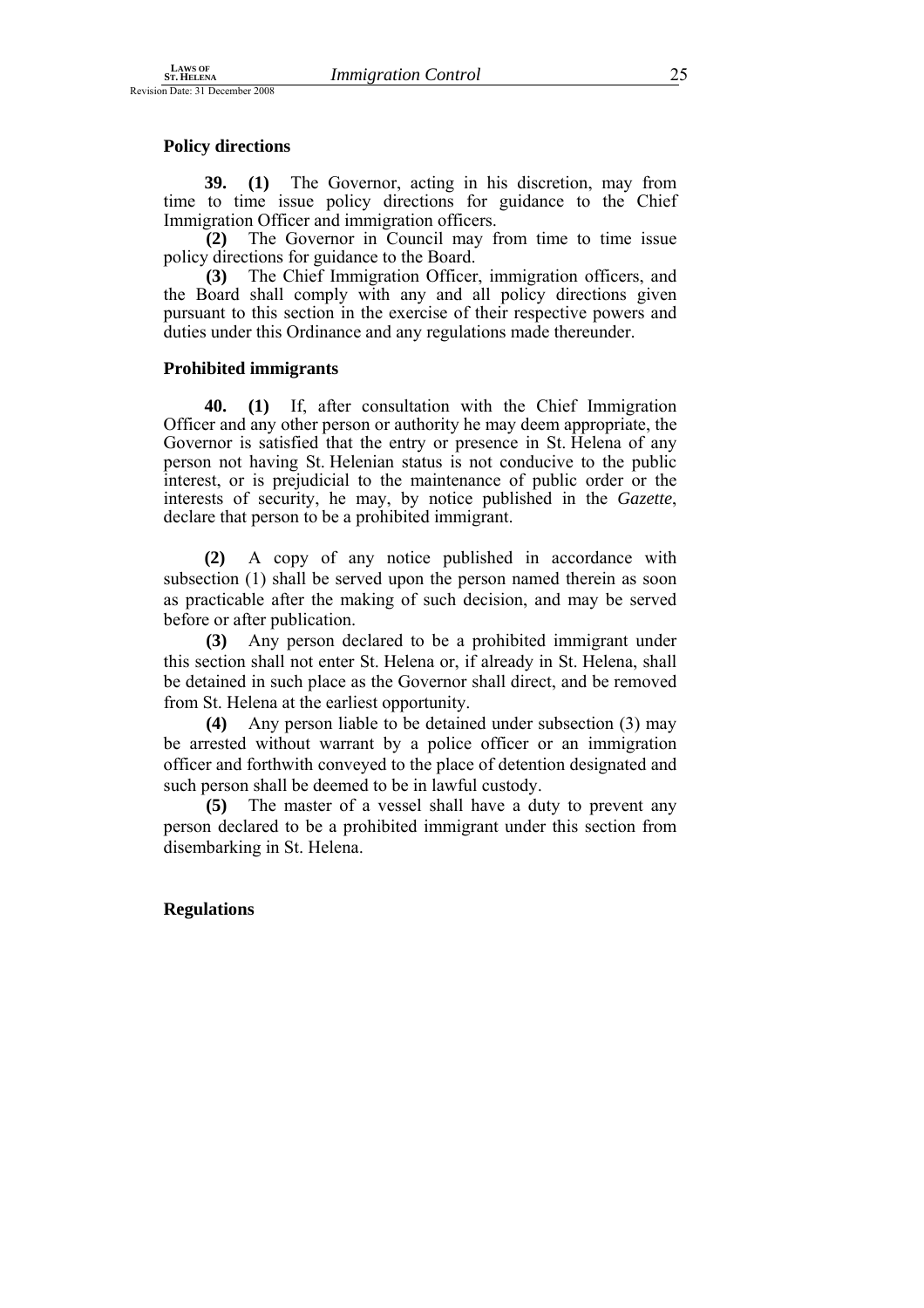## **Policy directions**

**39. (1)** The Governor, acting in his discretion, may from time to time issue policy directions for guidance to the Chief Immigration Officer and immigration officers.

 **(2)** The Governor in Council may from time to time issue policy directions for guidance to the Board.

 **(3)** The Chief Immigration Officer, immigration officers, and the Board shall comply with any and all policy directions given pursuant to this section in the exercise of their respective powers and duties under this Ordinance and any regulations made thereunder.

### **Prohibited immigrants**

**40. (1)** If, after consultation with the Chief Immigration Officer and any other person or authority he may deem appropriate, the Governor is satisfied that the entry or presence in St. Helena of any person not having St. Helenian status is not conducive to the public interest, or is prejudicial to the maintenance of public order or the interests of security, he may, by notice published in the *Gazette*, declare that person to be a prohibited immigrant.

**(2)** A copy of any notice published in accordance with subsection (1) shall be served upon the person named therein as soon as practicable after the making of such decision, and may be served before or after publication.

 **(3)** Any person declared to be a prohibited immigrant under this section shall not enter St. Helena or, if already in St. Helena, shall be detained in such place as the Governor shall direct, and be removed from St. Helena at the earliest opportunity.

 **(4)** Any person liable to be detained under subsection (3) may be arrested without warrant by a police officer or an immigration officer and forthwith conveyed to the place of detention designated and such person shall be deemed to be in lawful custody.

 **(5)** The master of a vessel shall have a duty to prevent any person declared to be a prohibited immigrant under this section from disembarking in St. Helena.

## **Regulations**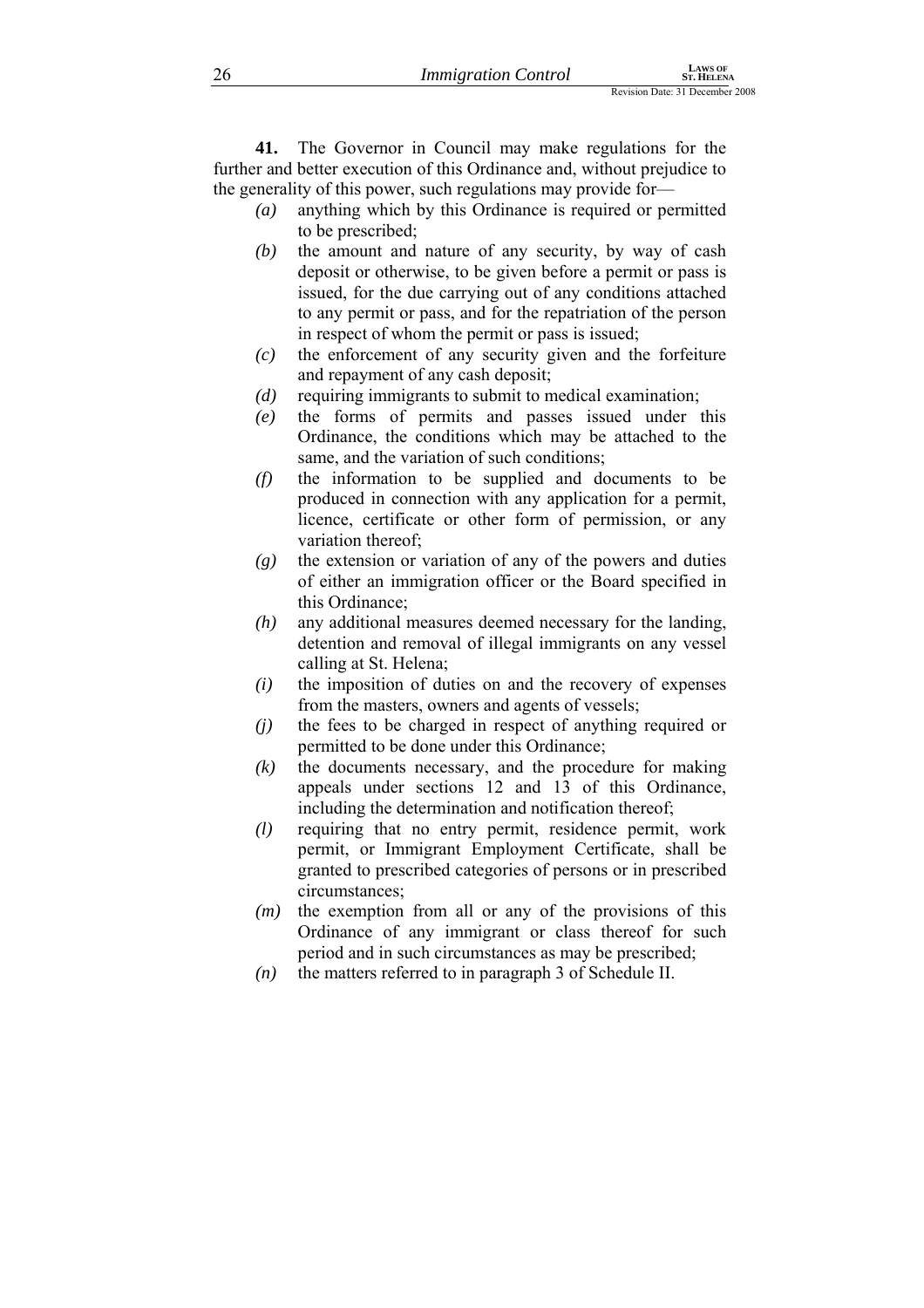**41.** The Governor in Council may make regulations for the further and better execution of this Ordinance and, without prejudice to the generality of this power, such regulations may provide for—

- *(a)* anything which by this Ordinance is required or permitted to be prescribed;
- *(b)* the amount and nature of any security, by way of cash deposit or otherwise, to be given before a permit or pass is issued, for the due carrying out of any conditions attached to any permit or pass, and for the repatriation of the person in respect of whom the permit or pass is issued;
- *(c)* the enforcement of any security given and the forfeiture and repayment of any cash deposit;
- *(d)* requiring immigrants to submit to medical examination;
- *(e)* the forms of permits and passes issued under this Ordinance, the conditions which may be attached to the same, and the variation of such conditions:
- *(f)* the information to be supplied and documents to be produced in connection with any application for a permit, licence, certificate or other form of permission, or any variation thereof;
- *(g)* the extension or variation of any of the powers and duties of either an immigration officer or the Board specified in this Ordinance;
- *(h)* any additional measures deemed necessary for the landing, detention and removal of illegal immigrants on any vessel calling at St. Helena;
- *(i)* the imposition of duties on and the recovery of expenses from the masters, owners and agents of vessels;
- *(j)* the fees to be charged in respect of anything required or permitted to be done under this Ordinance;
- *(k)* the documents necessary, and the procedure for making appeals under sections 12 and 13 of this Ordinance, including the determination and notification thereof;
- *(l)* requiring that no entry permit, residence permit, work permit, or Immigrant Employment Certificate, shall be granted to prescribed categories of persons or in prescribed circumstances;
- *(m)* the exemption from all or any of the provisions of this Ordinance of any immigrant or class thereof for such period and in such circumstances as may be prescribed;
- *(n)* the matters referred to in paragraph 3 of Schedule II.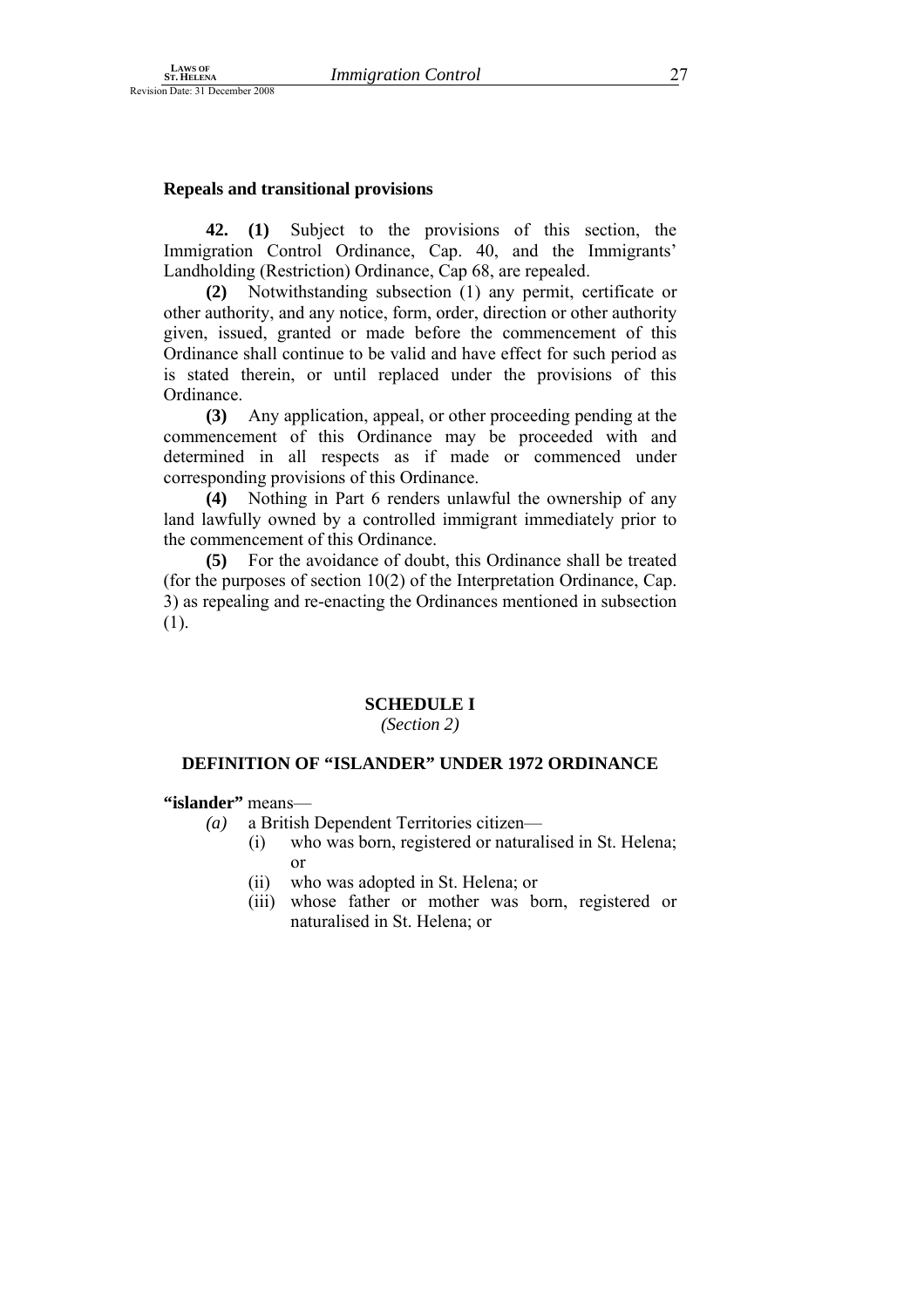## **Repeals and transitional provisions**

**42. (1)** Subject to the provisions of this section, the Immigration Control Ordinance, Cap. 40, and the Immigrants' Landholding (Restriction) Ordinance, Cap 68, are repealed.

 **(2)** Notwithstanding subsection (1) any permit, certificate or other authority, and any notice, form, order, direction or other authority given, issued, granted or made before the commencement of this Ordinance shall continue to be valid and have effect for such period as is stated therein, or until replaced under the provisions of this Ordinance.

**(3)** Any application, appeal, or other proceeding pending at the commencement of this Ordinance may be proceeded with and determined in all respects as if made or commenced under corresponding provisions of this Ordinance.

**(4)** Nothing in Part 6 renders unlawful the ownership of any land lawfully owned by a controlled immigrant immediately prior to the commencement of this Ordinance.

**(5)** For the avoidance of doubt, this Ordinance shall be treated (for the purposes of section 10(2) of the Interpretation Ordinance, Cap. 3) as repealing and re-enacting the Ordinances mentioned in subsection (1).

## **SCHEDULE I**

### *(Section 2)*

## **DEFINITION OF "ISLANDER" UNDER 1972 ORDINANCE**

### **"islander"** means—

- *(a)* a British Dependent Territories citizen—
	- (i) who was born, registered or naturalised in St. Helena; or
	- (ii) who was adopted in St. Helena; or
	- (iii) whose father or mother was born, registered or naturalised in St. Helena; or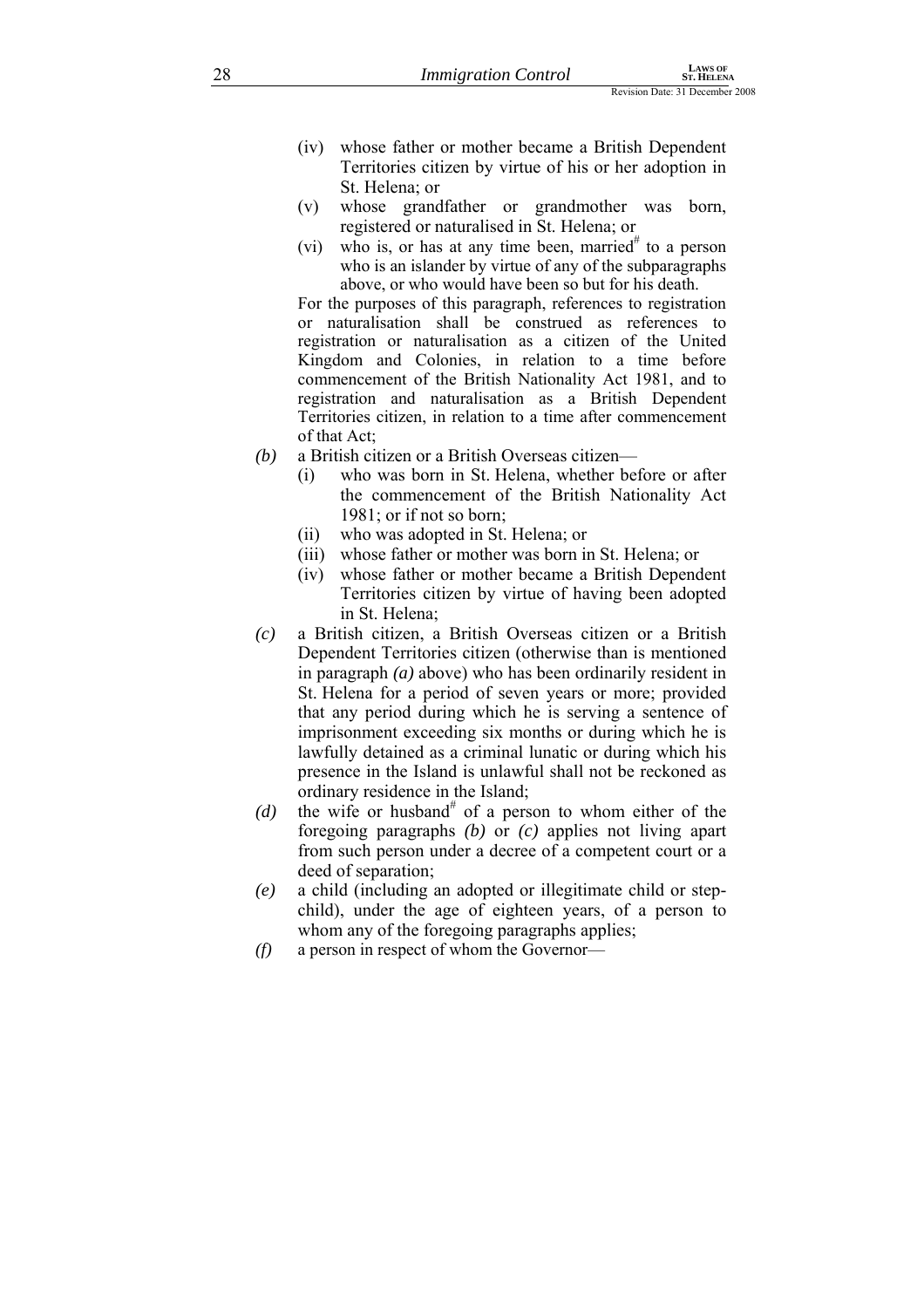- (iv) whose father or mother became a British Dependent Territories citizen by virtue of his or her adoption in St. Helena; or
- (v) whose grandfather or grandmother was born, registered or naturalised in St. Helena; or
- (vi) who is, or has at any time been, married<sup>#</sup> to a person who is an islander by virtue of any of the subparagraphs above, or who would have been so but for his death.

For the purposes of this paragraph, references to registration or naturalisation shall be construed as references to registration or naturalisation as a citizen of the United Kingdom and Colonies, in relation to a time before commencement of the British Nationality Act 1981, and to registration and naturalisation as a British Dependent Territories citizen, in relation to a time after commencement of that Act;

- *(b)* a British citizen or a British Overseas citizen—
	- (i) who was born in St. Helena, whether before or after the commencement of the British Nationality Act 1981; or if not so born;
	- (ii) who was adopted in St. Helena; or
	- (iii) whose father or mother was born in St. Helena; or
	- (iv) whose father or mother became a British Dependent Territories citizen by virtue of having been adopted in St. Helena;
- *(c)* a British citizen, a British Overseas citizen or a British Dependent Territories citizen (otherwise than is mentioned in paragraph *(a)* above) who has been ordinarily resident in St. Helena for a period of seven years or more; provided that any period during which he is serving a sentence of imprisonment exceeding six months or during which he is lawfully detained as a criminal lunatic or during which his presence in the Island is unlawful shall not be reckoned as ordinary residence in the Island;
- (d) the wife or husband<sup>#</sup> of a person to whom either of the foregoing paragraphs *(b)* or *(c)* applies not living apart from such person under a decree of a competent court or a deed of separation;
- *(e)* a child (including an adopted or illegitimate child or stepchild), under the age of eighteen years, of a person to whom any of the foregoing paragraphs applies;
- *(f)* a person in respect of whom the Governor—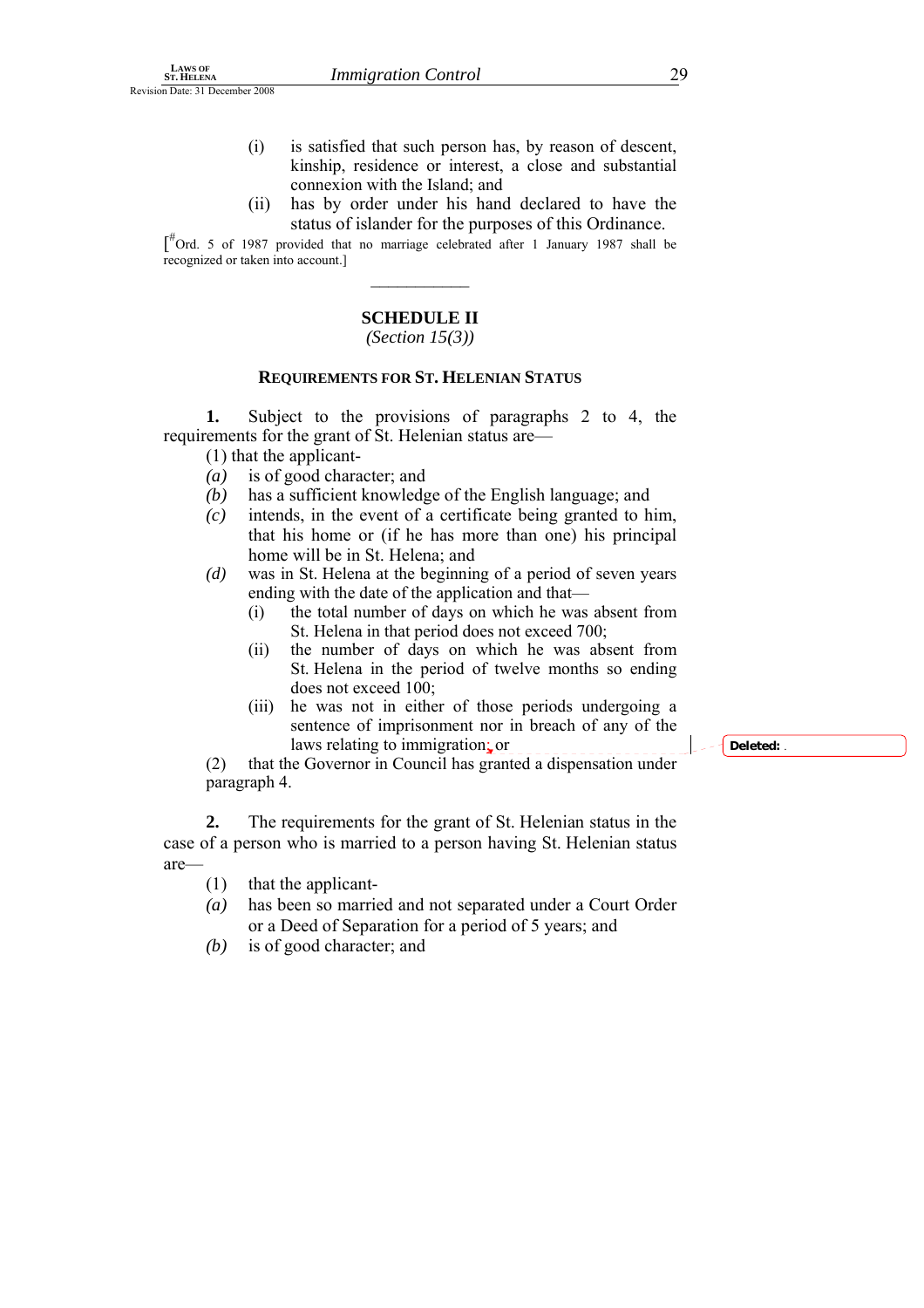- (i) is satisfied that such person has, by reason of descent, kinship, residence or interest, a close and substantial connexion with the Island; and
- (ii) has by order under his hand declared to have the status of islander for the purposes of this Ordinance.

[ # Ord. 5 of 1987 provided that no marriage celebrated after 1 January 1987 shall be recognized or taken into account.]  $\mathcal{L}_\text{max}$ 

### **SCHEDULE II**

## *(Section 15(3))*

## **REQUIREMENTS FOR ST. HELENIAN STATUS**

**1.** Subject to the provisions of paragraphs 2 to 4, the requirements for the grant of St. Helenian status are—

- (1) that the applicant-
- *(a)* is of good character; and
- *(b)* has a sufficient knowledge of the English language; and
- *(c)* intends, in the event of a certificate being granted to him, that his home or (if he has more than one) his principal home will be in St. Helena; and
- *(d)* was in St. Helena at the beginning of a period of seven years ending with the date of the application and that—
	- (i) the total number of days on which he was absent from St. Helena in that period does not exceed 700;
	- (ii) the number of days on which he was absent from St. Helena in the period of twelve months so ending does not exceed 100;
	- (iii) he was not in either of those periods undergoing a sentence of imprisonment nor in breach of any of the laws relating to immigration; or

 (2) that the Governor in Council has granted a dispensation under paragraph 4.

**2.** The requirements for the grant of St. Helenian status in the case of a person who is married to a person having St. Helenian status are—

- (1) that the applicant-
- *(a)* has been so married and not separated under a Court Order or a Deed of Separation for a period of 5 years; and
- *(b)* is of good character; and

**Deleted:** .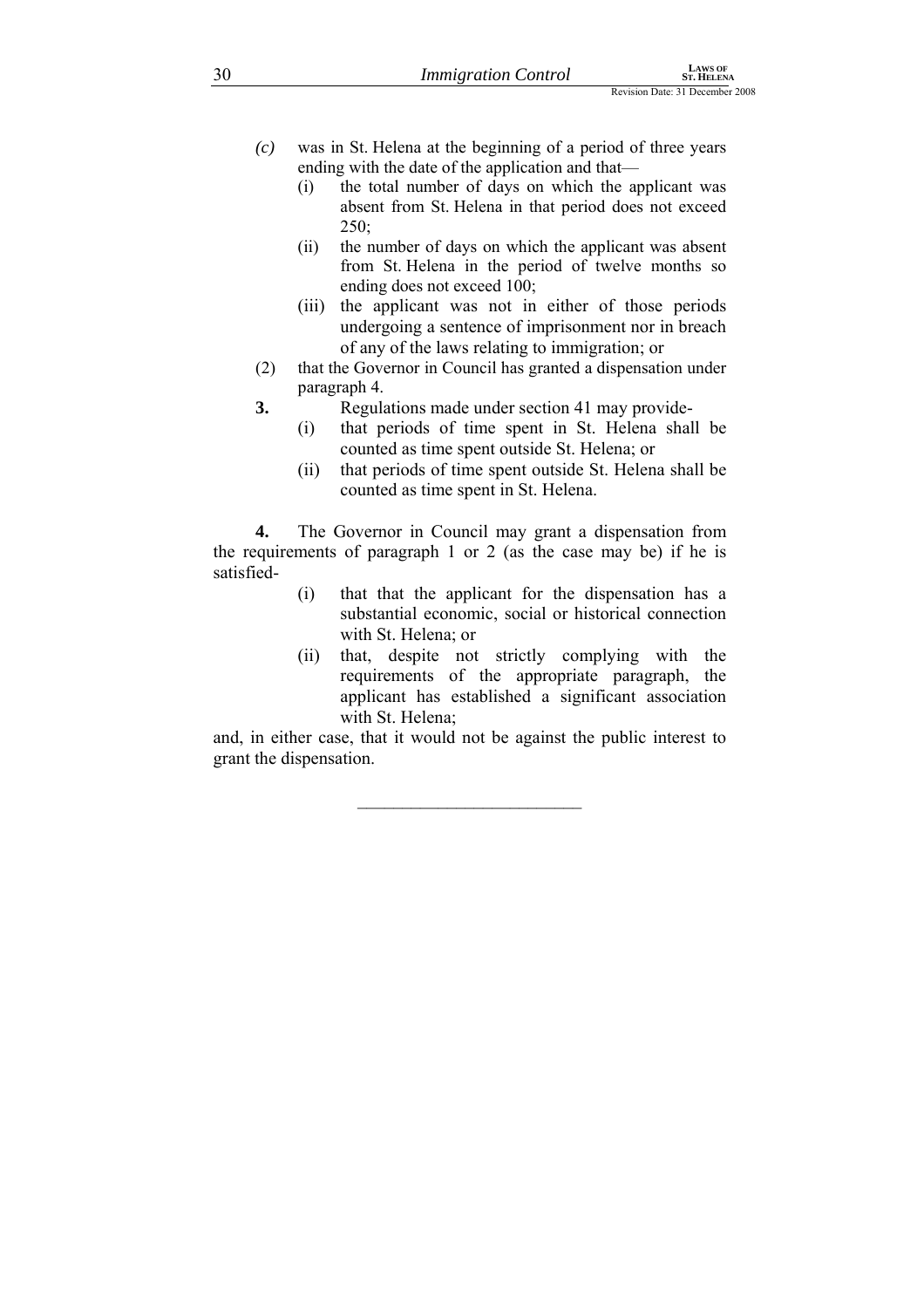## *(c)* was in St. Helena at the beginning of a period of three years ending with the date of the application and that—

- (i) the total number of days on which the applicant was absent from St. Helena in that period does not exceed 250;
- (ii) the number of days on which the applicant was absent from St. Helena in the period of twelve months so ending does not exceed 100;
- (iii) the applicant was not in either of those periods undergoing a sentence of imprisonment nor in breach of any of the laws relating to immigration; or
- (2) that the Governor in Council has granted a dispensation under paragraph 4.
- **3.** Regulations made under section 41 may provide-
	- (i) that periods of time spent in St. Helena shall be counted as time spent outside St. Helena; or
		- (ii) that periods of time spent outside St. Helena shall be counted as time spent in St. Helena.

**4.** The Governor in Council may grant a dispensation from the requirements of paragraph 1 or 2 (as the case may be) if he is satisfied-

- (i) that that the applicant for the dispensation has a substantial economic, social or historical connection with St. Helena; or
- (ii) that, despite not strictly complying with the requirements of the appropriate paragraph, the applicant has established a significant association with St. Helena;

and, in either case, that it would not be against the public interest to grant the dispensation.

 $\mathcal{L}_\text{max}$  , where  $\mathcal{L}_\text{max}$  , we have the set of the set of the set of the set of the set of the set of the set of the set of the set of the set of the set of the set of the set of the set of the set of the set of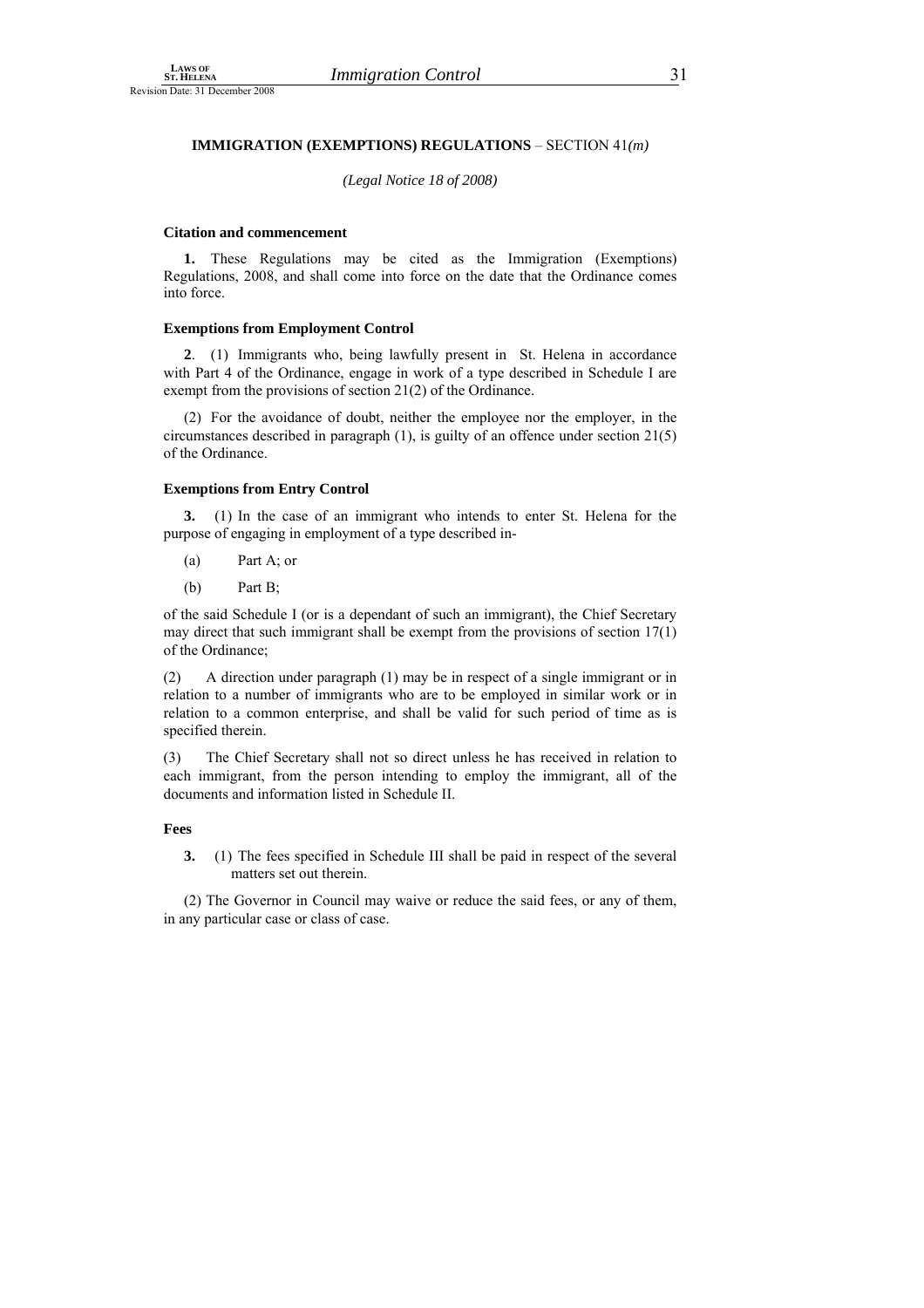### **IMMIGRATION (EXEMPTIONS) REGULATIONS** – SECTION 41*(m)*

*(Legal Notice 18 of 2008)* 

### **Citation and commencement**

**1.** These Regulations may be cited as the Immigration (Exemptions) Regulations, 2008, and shall come into force on the date that the Ordinance comes into force.

#### **Exemptions from Employment Control**

**2**. (1) Immigrants who, being lawfully present in St. Helena in accordance with Part 4 of the Ordinance, engage in work of a type described in Schedule I are exempt from the provisions of section 21(2) of the Ordinance.

(2) For the avoidance of doubt, neither the employee nor the employer, in the circumstances described in paragraph (1), is guilty of an offence under section 21(5) of the Ordinance.

#### **Exemptions from Entry Control**

**3.** (1) In the case of an immigrant who intends to enter St. Helena for the purpose of engaging in employment of a type described in-

- (a) Part A; or
- (b) Part B;

of the said Schedule I (or is a dependant of such an immigrant), the Chief Secretary may direct that such immigrant shall be exempt from the provisions of section 17(1) of the Ordinance;

(2) A direction under paragraph (1) may be in respect of a single immigrant or in relation to a number of immigrants who are to be employed in similar work or in relation to a common enterprise, and shall be valid for such period of time as is specified therein.

(3) The Chief Secretary shall not so direct unless he has received in relation to each immigrant, from the person intending to employ the immigrant, all of the documents and information listed in Schedule II.

### **Fees**

**3.** (1) The fees specified in Schedule III shall be paid in respect of the several matters set out therein.

(2) The Governor in Council may waive or reduce the said fees, or any of them, in any particular case or class of case.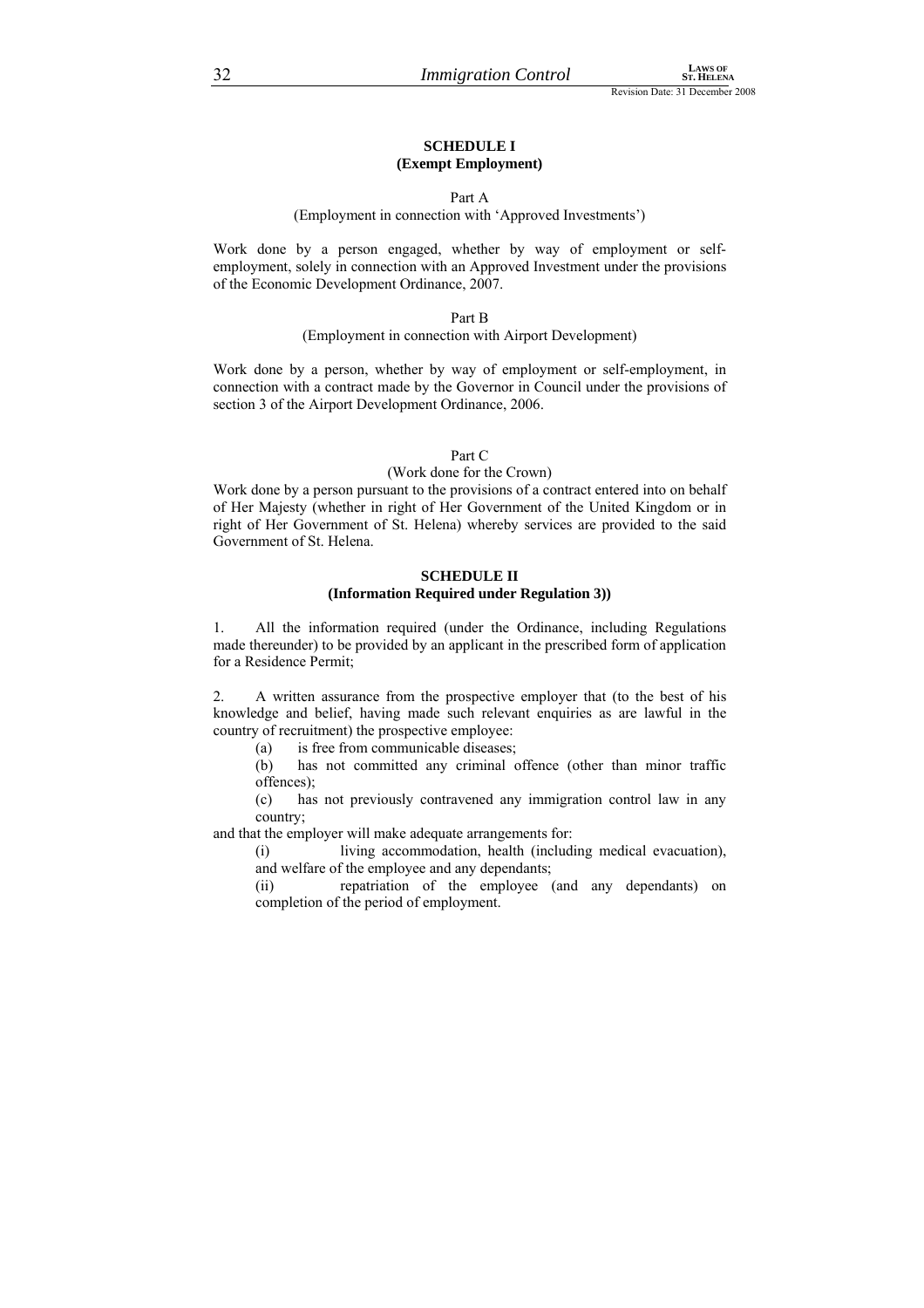### **SCHEDULE I (Exempt Employment)**

#### Part A

### (Employment in connection with 'Approved Investments')

Work done by a person engaged, whether by way of employment or selfemployment, solely in connection with an Approved Investment under the provisions of the Economic Development Ordinance, 2007.

#### Part B

#### (Employment in connection with Airport Development)

Work done by a person, whether by way of employment or self-employment, in connection with a contract made by the Governor in Council under the provisions of section 3 of the Airport Development Ordinance, 2006.

### Part C

#### (Work done for the Crown)

Work done by a person pursuant to the provisions of a contract entered into on behalf of Her Majesty (whether in right of Her Government of the United Kingdom or in right of Her Government of St. Helena) whereby services are provided to the said Government of St. Helena.

### **SCHEDULE II (Information Required under Regulation 3))**

1. All the information required (under the Ordinance, including Regulations made thereunder) to be provided by an applicant in the prescribed form of application for a Residence Permit;

2. A written assurance from the prospective employer that (to the best of his knowledge and belief, having made such relevant enquiries as are lawful in the country of recruitment) the prospective employee:

(a) is free from communicable diseases;

(b) has not committed any criminal offence (other than minor traffic offences);

(c) has not previously contravened any immigration control law in any country;

and that the employer will make adequate arrangements for:

(i) living accommodation, health (including medical evacuation), and welfare of the employee and any dependants;

(ii) repatriation of the employee (and any dependants) on completion of the period of employment.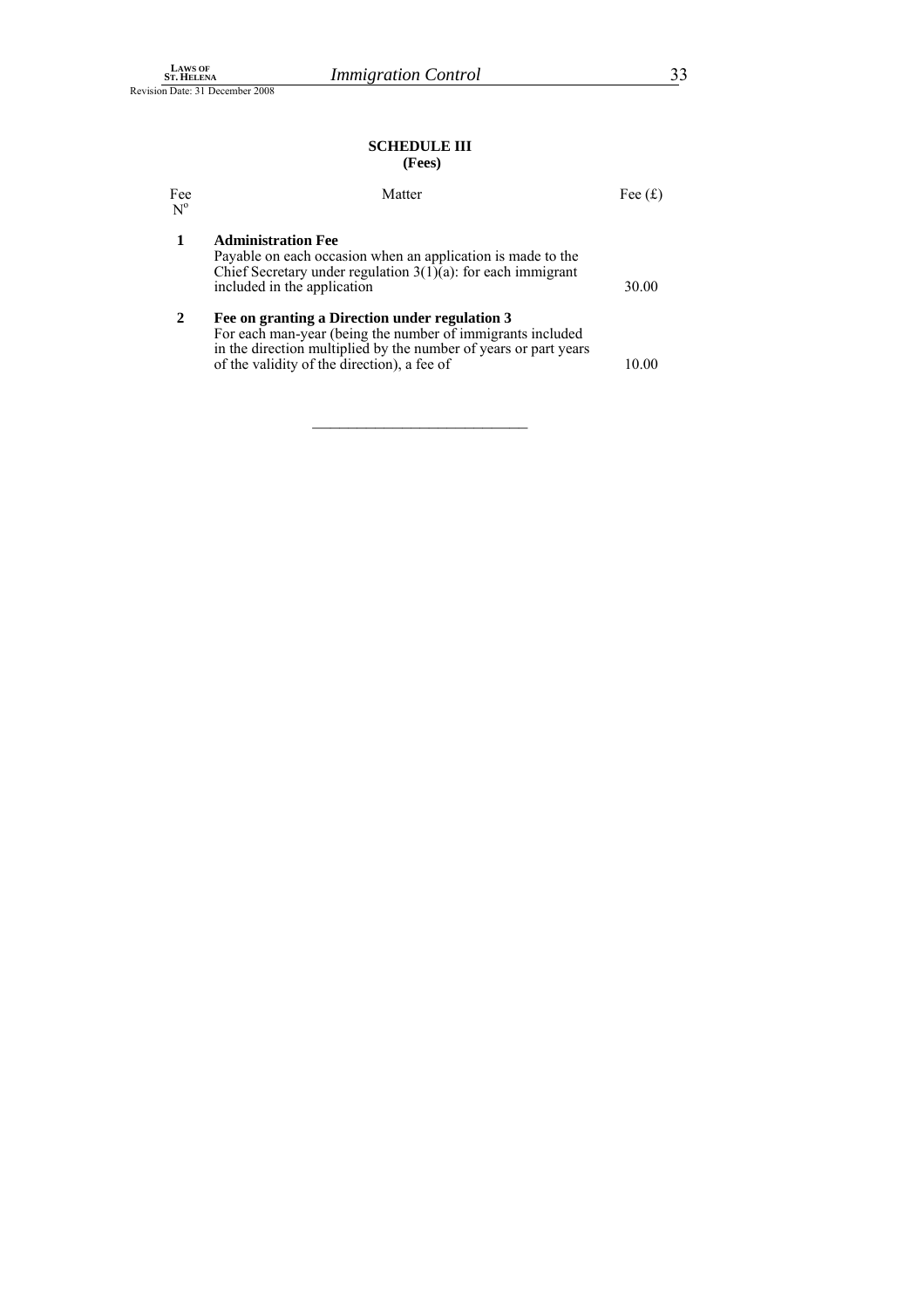### **SCHEDULE III (Fees)**

| Fee<br>$N^{\rm o}$ | Matter                                                                                                                                                                                                                          | Fee $(f)$ |
|--------------------|---------------------------------------------------------------------------------------------------------------------------------------------------------------------------------------------------------------------------------|-----------|
|                    | <b>Administration Fee</b><br>Payable on each occasion when an application is made to the<br>Chief Secretary under regulation $3(1)$ (a): for each immigrant<br>included in the application                                      | 30.00     |
|                    | Fee on granting a Direction under regulation 3<br>For each man-year (being the number of immigrants included<br>in the direction multiplied by the number of years or part years<br>of the validity of the direction), a fee of | 10.00     |

 $\overline{\phantom{a}}$  , where  $\overline{\phantom{a}}$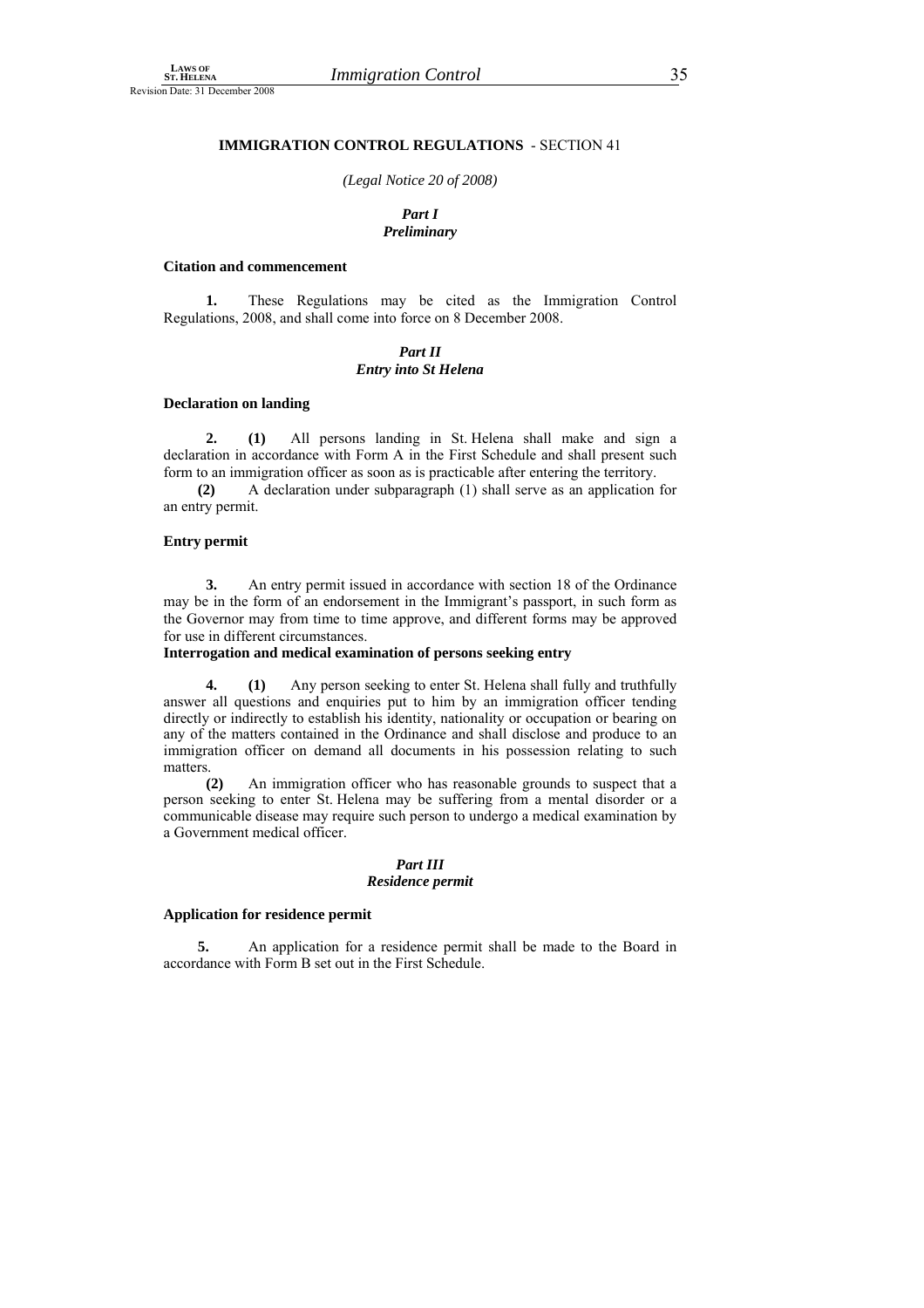### **IMMIGRATION CONTROL REGULATIONS** - SECTION 41

### *(Legal Notice 20 of 2008)*

### *Part I Preliminary*

### **Citation and commencement**

 **1.** These Regulations may be cited as the Immigration Control Regulations, 2008, and shall come into force on 8 December 2008.

### *Part II Entry into St Helena*

#### **Declaration on landing**

**2. (1)** All persons landing in St. Helena shall make and sign a declaration in accordance with Form A in the First Schedule and shall present such form to an immigration officer as soon as is practicable after entering the territory.

**(2)** A declaration under subparagraph (1) shall serve as an application for an entry permit.

#### **Entry permit**

 **3.** An entry permit issued in accordance with section 18 of the Ordinance may be in the form of an endorsement in the Immigrant's passport, in such form as the Governor may from time to time approve, and different forms may be approved for use in different circumstances.

#### **Interrogation and medical examination of persons seeking entry**

**4. (1)** Any person seeking to enter St. Helena shall fully and truthfully answer all questions and enquiries put to him by an immigration officer tending directly or indirectly to establish his identity, nationality or occupation or bearing on any of the matters contained in the Ordinance and shall disclose and produce to an immigration officer on demand all documents in his possession relating to such matters.

 **(2)** An immigration officer who has reasonable grounds to suspect that a person seeking to enter St. Helena may be suffering from a mental disorder or a communicable disease may require such person to undergo a medical examination by a Government medical officer.

#### *Part III Residence permit*

#### **Application for residence permit**

**5.** An application for a residence permit shall be made to the Board in accordance with Form B set out in the First Schedule.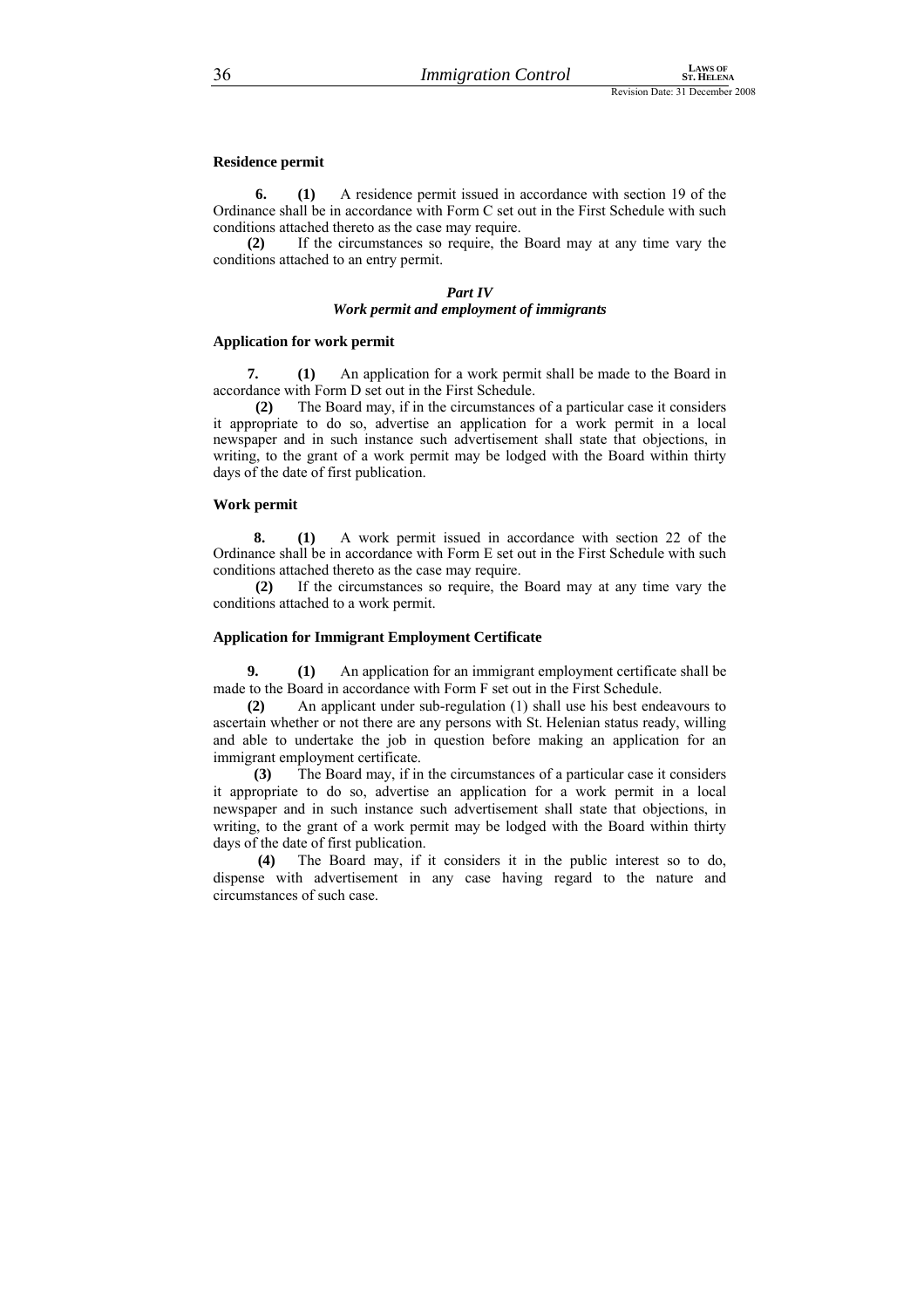#### **Residence permit**

 **6. (1)** A residence permit issued in accordance with section 19 of the Ordinance shall be in accordance with Form C set out in the First Schedule with such conditions attached thereto as the case may require.

**(2)** If the circumstances so require, the Board may at any time vary the conditions attached to an entry permit.

#### *Part IV Work permit and employment of immigrants*

#### **Application for work permit**

**7. (1)** An application for a work permit shall be made to the Board in accordance with Form D set out in the First Schedule.

**(2)** The Board may, if in the circumstances of a particular case it considers it appropriate to do so, advertise an application for a work permit in a local newspaper and in such instance such advertisement shall state that objections, in writing, to the grant of a work permit may be lodged with the Board within thirty days of the date of first publication.

#### **Work permit**

**8. (1)** A work permit issued in accordance with section 22 of the Ordinance shall be in accordance with Form E set out in the First Schedule with such conditions attached thereto as the case may require.

**(2)** If the circumstances so require, the Board may at any time vary the conditions attached to a work permit.

### **Application for Immigrant Employment Certificate**

**9. (1)** An application for an immigrant employment certificate shall be made to the Board in accordance with Form F set out in the First Schedule.

**(2)** An applicant under sub-regulation (1) shall use his best endeavours to ascertain whether or not there are any persons with St. Helenian status ready, willing and able to undertake the job in question before making an application for an immigrant employment certificate.

**(3)** The Board may, if in the circumstances of a particular case it considers it appropriate to do so, advertise an application for a work permit in a local newspaper and in such instance such advertisement shall state that objections, in writing, to the grant of a work permit may be lodged with the Board within thirty days of the date of first publication.

 **(4)** The Board may, if it considers it in the public interest so to do, dispense with advertisement in any case having regard to the nature and circumstances of such case.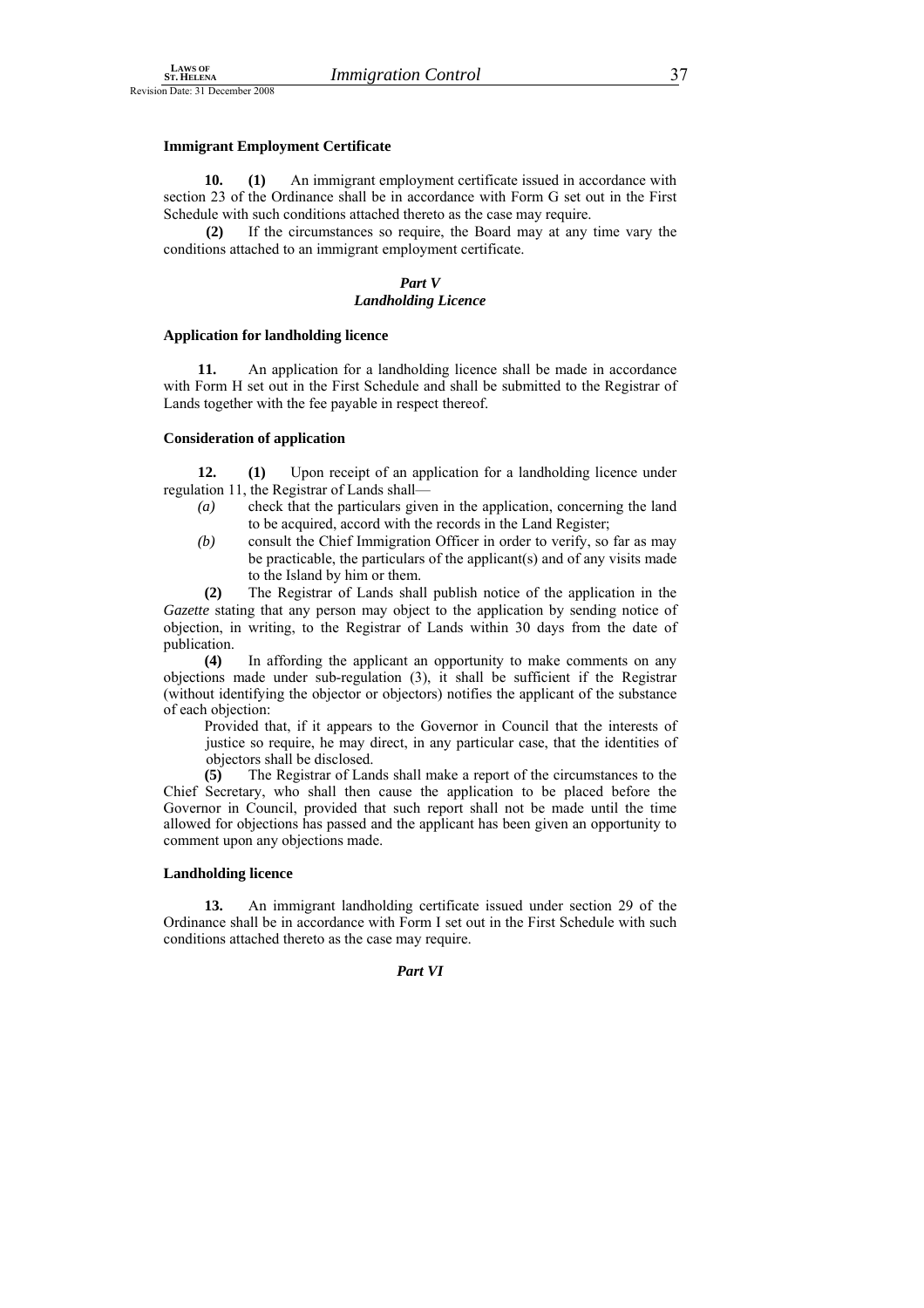#### **Immigrant Employment Certificate**

**10. (1)** An immigrant employment certificate issued in accordance with section 23 of the Ordinance shall be in accordance with Form G set out in the First Schedule with such conditions attached thereto as the case may require.

**(2)** If the circumstances so require, the Board may at any time vary the conditions attached to an immigrant employment certificate.

### *Part V Landholding Licence*

#### **Application for landholding licence**

**11.** An application for a landholding licence shall be made in accordance with Form H set out in the First Schedule and shall be submitted to the Registrar of Lands together with the fee payable in respect thereof.

### **Consideration of application**

**12. (1)** Upon receipt of an application for a landholding licence under regulation 11, the Registrar of Lands shall—

- *(a)* check that the particulars given in the application, concerning the land to be acquired, accord with the records in the Land Register;
- *(b)* consult the Chief Immigration Officer in order to verify, so far as may be practicable, the particulars of the applicant(s) and of any visits made to the Island by him or them.

**(2)** The Registrar of Lands shall publish notice of the application in the *Gazette* stating that any person may object to the application by sending notice of objection, in writing, to the Registrar of Lands within 30 days from the date of publication.

**(4)** In affording the applicant an opportunity to make comments on any objections made under sub-regulation (3), it shall be sufficient if the Registrar (without identifying the objector or objectors) notifies the applicant of the substance of each objection:

Provided that, if it appears to the Governor in Council that the interests of justice so require, he may direct, in any particular case, that the identities of objectors shall be disclosed.

**(5)** The Registrar of Lands shall make a report of the circumstances to the Chief Secretary, who shall then cause the application to be placed before the Governor in Council, provided that such report shall not be made until the time allowed for objections has passed and the applicant has been given an opportunity to comment upon any objections made.

#### **Landholding licence**

**13.** An immigrant landholding certificate issued under section 29 of the Ordinance shall be in accordance with Form I set out in the First Schedule with such conditions attached thereto as the case may require.

### *Part VI*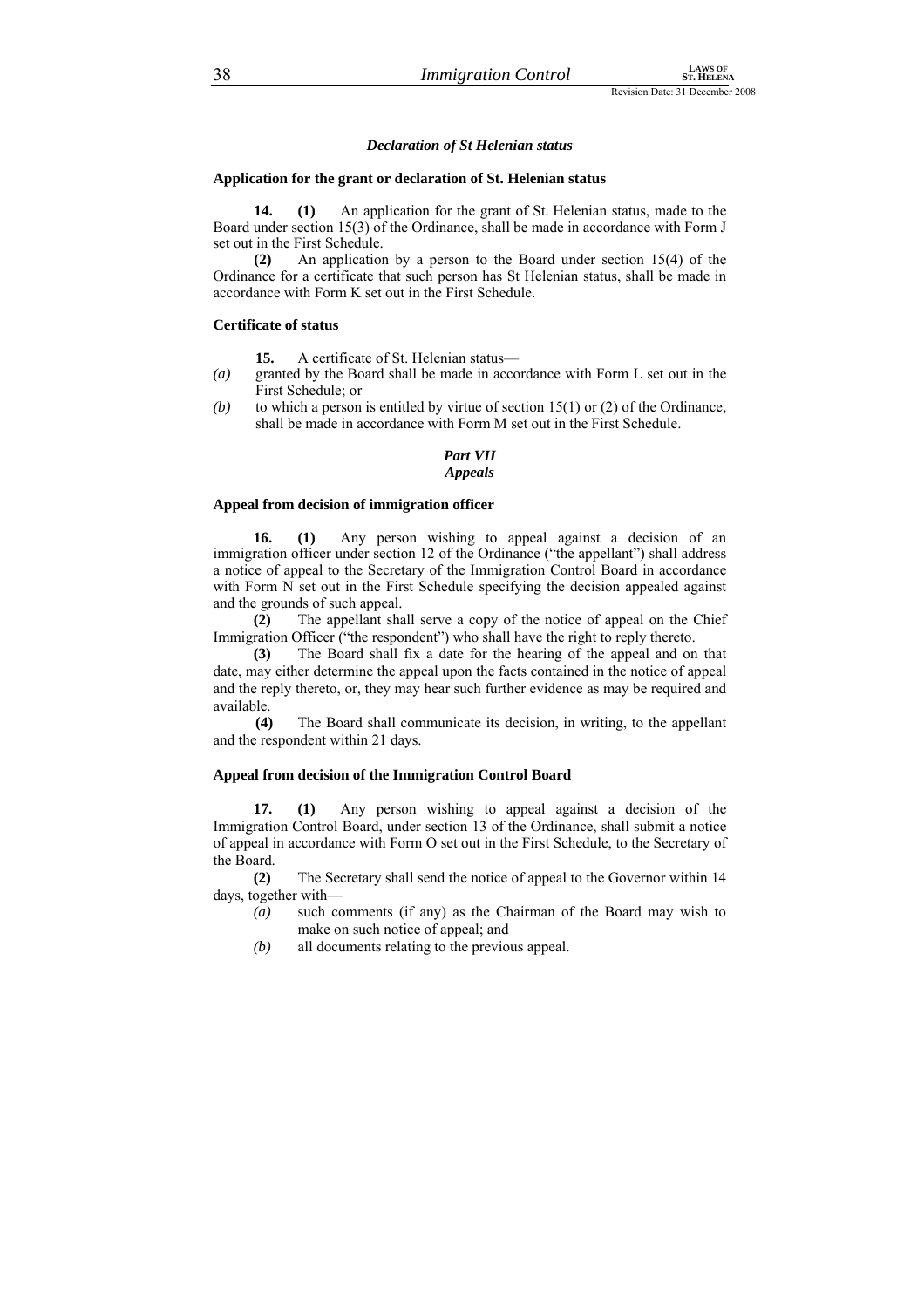#### *Declaration of St Helenian status*

#### **Application for the grant or declaration of St. Helenian status**

**14. (1)** An application for the grant of St. Helenian status, made to the Board under section 15(3) of the Ordinance, shall be made in accordance with Form J set out in the First Schedule.

**(2)** An application by a person to the Board under section 15(4) of the Ordinance for a certificate that such person has St Helenian status, shall be made in accordance with Form K set out in the First Schedule.

#### **Certificate of status**

- **15.** A certificate of St. Helenian status—
- *(a)* granted by the Board shall be made in accordance with Form L set out in the First Schedule; or
- *(b)* to which a person is entitled by virtue of section 15(1) or (2) of the Ordinance, shall be made in accordance with Form M set out in the First Schedule.

#### *Part VII Appeals*

#### **Appeal from decision of immigration officer**

**16. (1)** Any person wishing to appeal against a decision of an immigration officer under section 12 of the Ordinance ("the appellant") shall address a notice of appeal to the Secretary of the Immigration Control Board in accordance with Form N set out in the First Schedule specifying the decision appealed against and the grounds of such appeal.

**(2)** The appellant shall serve a copy of the notice of appeal on the Chief Immigration Officer ("the respondent") who shall have the right to reply thereto.

**(3)** The Board shall fix a date for the hearing of the appeal and on that date, may either determine the appeal upon the facts contained in the notice of appeal and the reply thereto, or, they may hear such further evidence as may be required and available.

**(4)** The Board shall communicate its decision, in writing, to the appellant and the respondent within 21 days.

#### **Appeal from decision of the Immigration Control Board**

**17. (1)** Any person wishing to appeal against a decision of the Immigration Control Board, under section 13 of the Ordinance, shall submit a notice of appeal in accordance with Form O set out in the First Schedule, to the Secretary of the Board.

**(2)** The Secretary shall send the notice of appeal to the Governor within 14 days, together with—

- *(a)* such comments (if any) as the Chairman of the Board may wish to make on such notice of appeal; and
- *(b)* all documents relating to the previous appeal.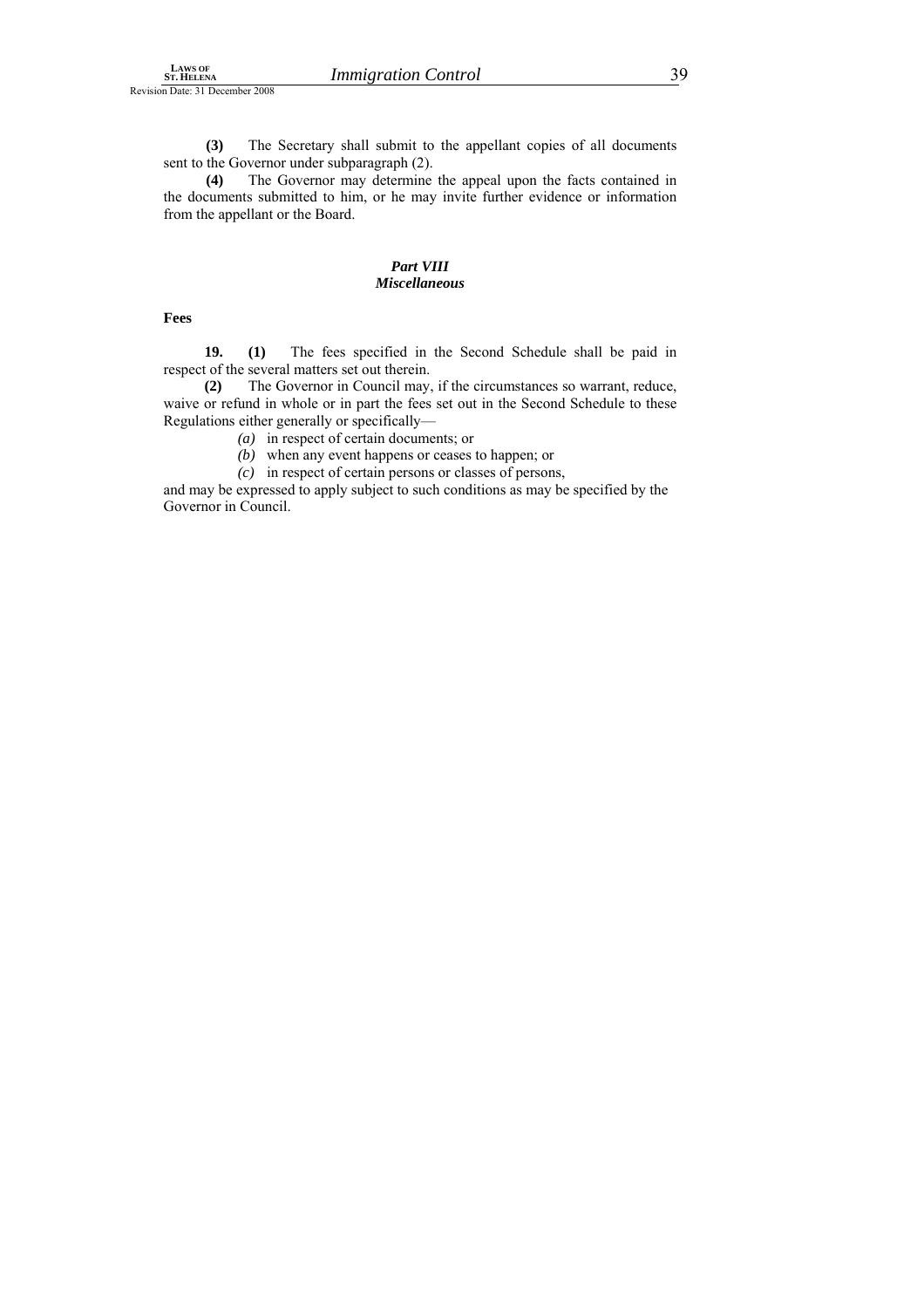**(3)** The Secretary shall submit to the appellant copies of all documents sent to the Governor under subparagraph (2).

**(4)** The Governor may determine the appeal upon the facts contained in the documents submitted to him, or he may invite further evidence or information from the appellant or the Board.

#### *Part VIII Miscellaneous*

#### **Fees**

**19. (1)** The fees specified in the Second Schedule shall be paid in respect of the several matters set out therein.

**(2)** The Governor in Council may, if the circumstances so warrant, reduce, waive or refund in whole or in part the fees set out in the Second Schedule to these Regulations either generally or specifically—

*(a)* in respect of certain documents; or

*(b)* when any event happens or ceases to happen; or

*(c)* in respect of certain persons or classes of persons,

and may be expressed to apply subject to such conditions as may be specified by the Governor in Council.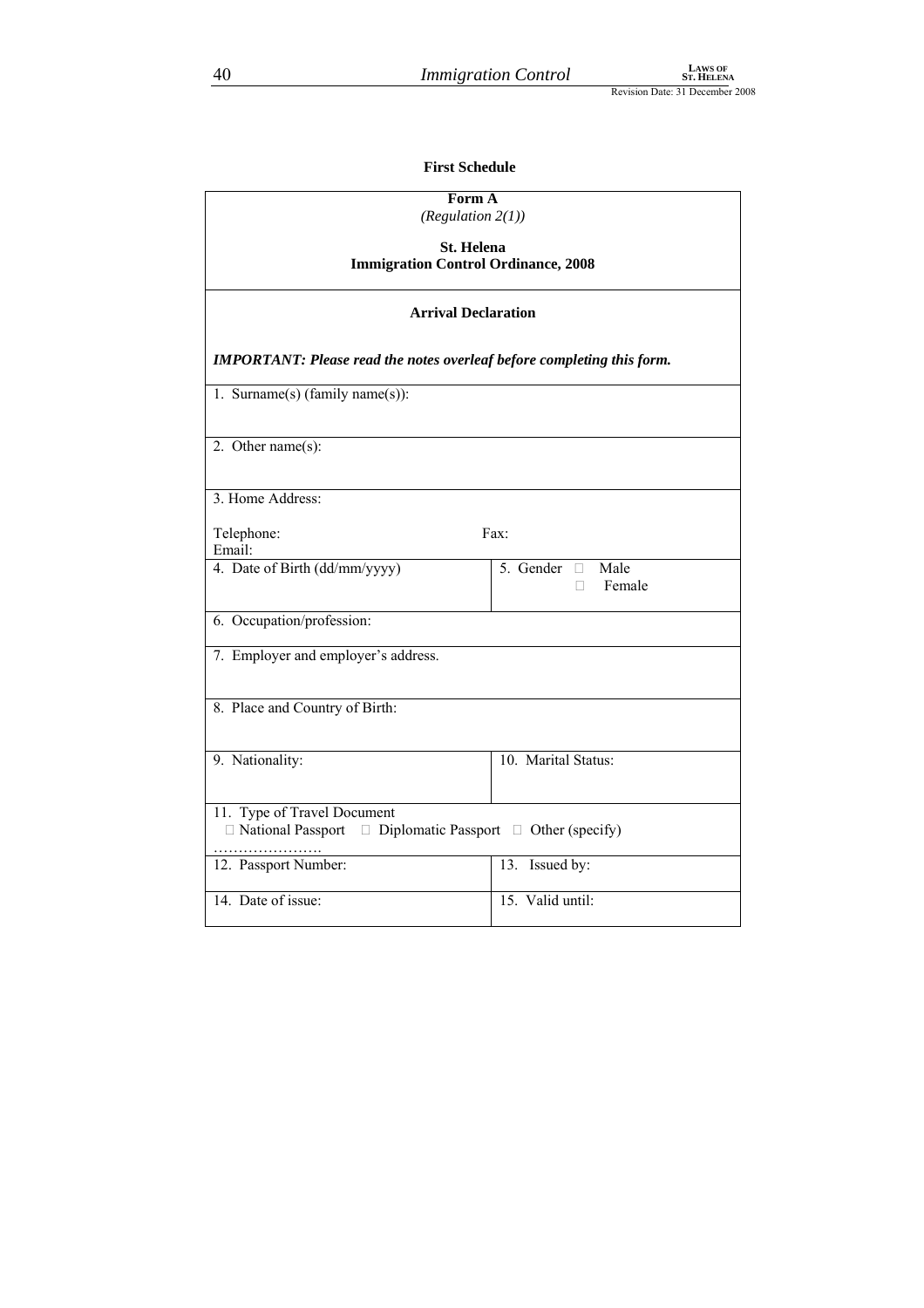## **First Schedule**

| Form A<br>(Regulation $2(1)$ )<br><b>St. Helena</b><br><b>Immigration Control Ordinance, 2008</b>         |                                         |  |  |  |
|-----------------------------------------------------------------------------------------------------------|-----------------------------------------|--|--|--|
| <b>Arrival Declaration</b>                                                                                |                                         |  |  |  |
| <b>IMPORTANT: Please read the notes overleaf before completing this form.</b>                             |                                         |  |  |  |
| 1. Surname(s) (family name(s)):                                                                           |                                         |  |  |  |
| 2. Other name $(s)$ :                                                                                     |                                         |  |  |  |
| 3. Home Address:                                                                                          |                                         |  |  |  |
| Telephone:<br>Email:                                                                                      | Fax:                                    |  |  |  |
| 4. Date of Birth (dd/mm/yyyy)                                                                             | 5. Gender $\Box$<br>Male<br>Female<br>П |  |  |  |
| 6. Occupation/profession:                                                                                 |                                         |  |  |  |
| 7. Employer and employer's address.                                                                       |                                         |  |  |  |
| 8. Place and Country of Birth:                                                                            |                                         |  |  |  |
| 10. Marital Status:<br>9. Nationality:                                                                    |                                         |  |  |  |
| 11. Type of Travel Document<br>$\Box$ National Passport $\Box$ Diplomatic Passport $\Box$ Other (specify) |                                         |  |  |  |
| 12. Passport Number:                                                                                      | 13. Issued by:                          |  |  |  |
| 14. Date of issue:                                                                                        | 15. Valid until:                        |  |  |  |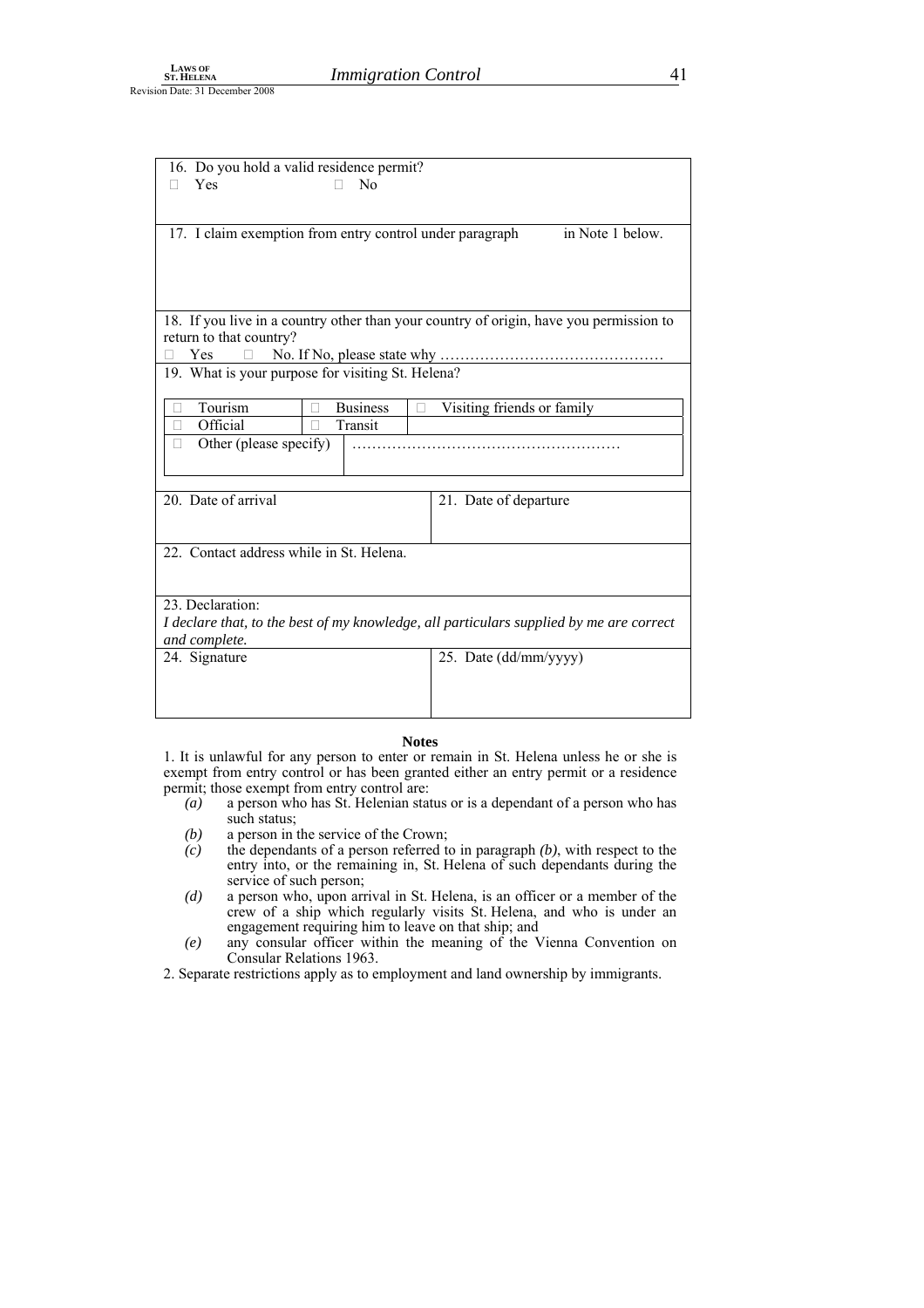| 16. Do you hold a valid residence permit?<br>Yes                                                                             | N <sub>0</sub>  |                                                                                        |  |  |  |
|------------------------------------------------------------------------------------------------------------------------------|-----------------|----------------------------------------------------------------------------------------|--|--|--|
|                                                                                                                              |                 |                                                                                        |  |  |  |
| 17. I claim exemption from entry control under paragraph<br>in Note 1 below.                                                 |                 |                                                                                        |  |  |  |
|                                                                                                                              |                 | 18. If you live in a country other than your country of origin, have you permission to |  |  |  |
| return to that country?                                                                                                      |                 |                                                                                        |  |  |  |
| Yes                                                                                                                          |                 |                                                                                        |  |  |  |
| 19. What is your purpose for visiting St. Helena?                                                                            |                 |                                                                                        |  |  |  |
| Tourism                                                                                                                      | <b>Business</b> | Visiting friends or family                                                             |  |  |  |
| Official                                                                                                                     | Transit         |                                                                                        |  |  |  |
| Other (please specify)                                                                                                       |                 |                                                                                        |  |  |  |
| 20. Date of arrival<br>21. Date of departure                                                                                 |                 |                                                                                        |  |  |  |
| 22. Contact address while in St. Helena.                                                                                     |                 |                                                                                        |  |  |  |
| 23. Declaration:<br>I declare that, to the best of my knowledge, all particulars supplied by me are correct<br>and complete. |                 |                                                                                        |  |  |  |
| 24. Signature                                                                                                                |                 | 25. Date (dd/mm/yyyy)                                                                  |  |  |  |

#### **Notes**

1. It is unlawful for any person to enter or remain in St. Helena unless he or she is exempt from entry control or has been granted either an entry permit or a residence permit; those exempt from entry control are:

- *(a)* a person who has St. Helenian status or is a dependant of a person who has such status;
- *(b)* a person in the service of the Crown;
- *(c)* the dependants of a person referred to in paragraph *(b)*, with respect to the entry into, or the remaining in, St. Helena of such dependants during the service of such person;
- *(d)* a person who, upon arrival in St. Helena, is an officer or a member of the crew of a ship which regularly visits St. Helena, and who is under an engagement requiring him to leave on that ship; and
- *(e)* any consular officer within the meaning of the Vienna Convention on Consular Relations 1963.
- 2. Separate restrictions apply as to employment and land ownership by immigrants.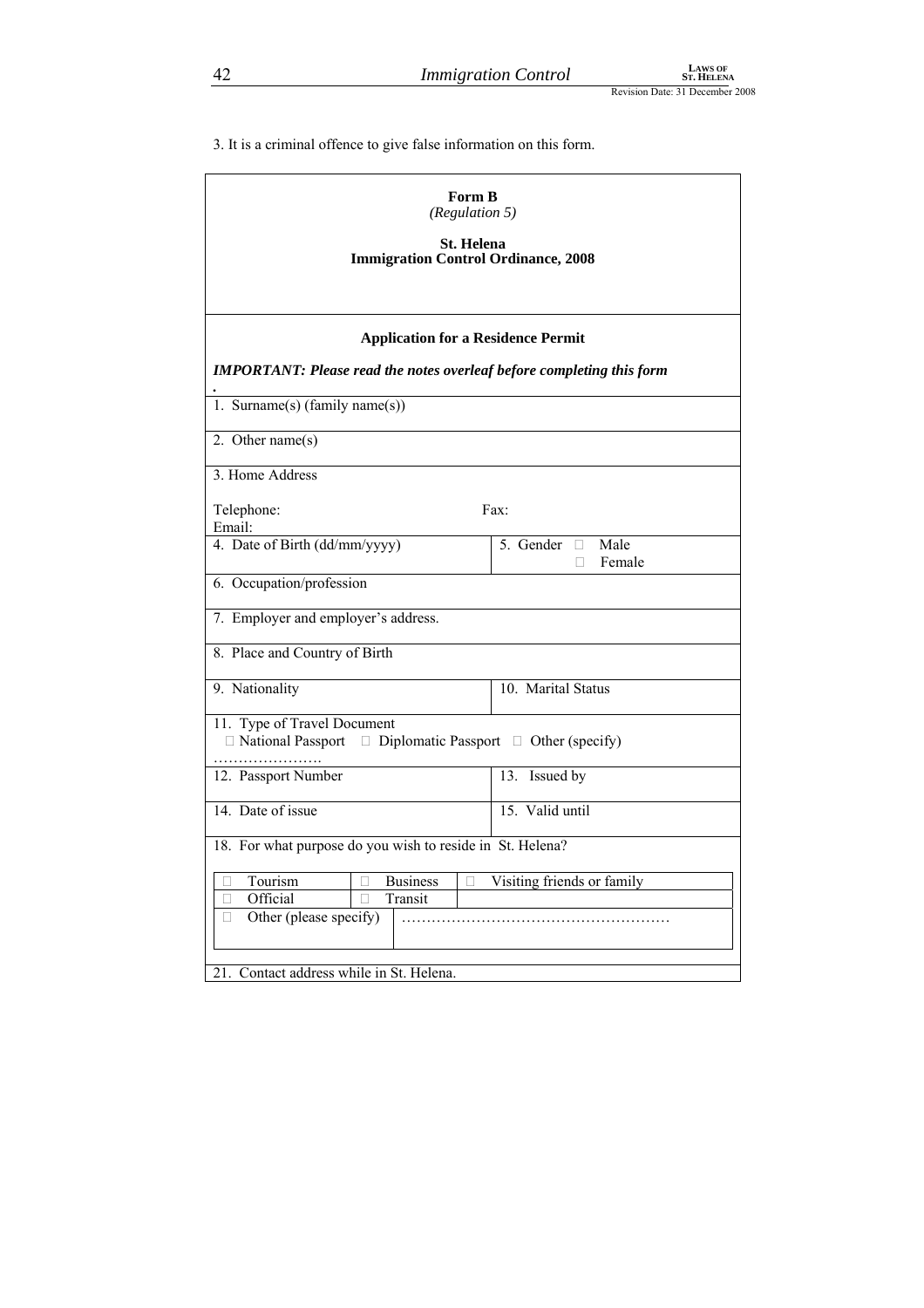3. It is a criminal offence to give false information on this form.

| <b>Form B</b><br>(Regularion 5)<br><b>St. Helena</b><br><b>Immigration Control Ordinance, 2008</b>        |                                                                          |         |                            |                                                                              |  |
|-----------------------------------------------------------------------------------------------------------|--------------------------------------------------------------------------|---------|----------------------------|------------------------------------------------------------------------------|--|
|                                                                                                           |                                                                          |         |                            | <b>Application for a Residence Permit</b>                                    |  |
|                                                                                                           |                                                                          |         |                            | <b>IMPORTANT: Please read the notes overleaf before completing this form</b> |  |
| 1. Surname(s) (family name(s))                                                                            |                                                                          |         |                            |                                                                              |  |
| 2. Other name(s)                                                                                          |                                                                          |         |                            |                                                                              |  |
| 3. Home Address                                                                                           |                                                                          |         |                            |                                                                              |  |
| Telephone:<br>Email:                                                                                      |                                                                          |         |                            | Fax:                                                                         |  |
|                                                                                                           | 4. Date of Birth (dd/mm/yyyy)<br>5. Gender $\Box$<br>Male<br>Female<br>П |         |                            |                                                                              |  |
| 6. Occupation/profession                                                                                  |                                                                          |         |                            |                                                                              |  |
| 7. Employer and employer's address.                                                                       |                                                                          |         |                            |                                                                              |  |
| 8. Place and Country of Birth                                                                             |                                                                          |         |                            |                                                                              |  |
| 9. Nationality                                                                                            |                                                                          |         |                            | 10. Marital Status                                                           |  |
| 11. Type of Travel Document<br>$\Box$ National Passport $\Box$ Diplomatic Passport $\Box$ Other (specify) |                                                                          |         |                            |                                                                              |  |
| 12. Passport Number                                                                                       |                                                                          |         |                            | Issued by<br>13.                                                             |  |
| 14. Date of issue<br>15. Valid until                                                                      |                                                                          |         |                            |                                                                              |  |
| 18. For what purpose do you wish to reside in St. Helena?                                                 |                                                                          |         |                            |                                                                              |  |
| Tourism<br><b>Business</b><br>П<br>$\Box$                                                                 |                                                                          |         | Visiting friends or family |                                                                              |  |
| Official<br>□<br>$\Box$                                                                                   |                                                                          | Transit |                            |                                                                              |  |
| Other (please specify)                                                                                    |                                                                          |         |                            |                                                                              |  |
| 21. Contact address while in St. Helena.                                                                  |                                                                          |         |                            |                                                                              |  |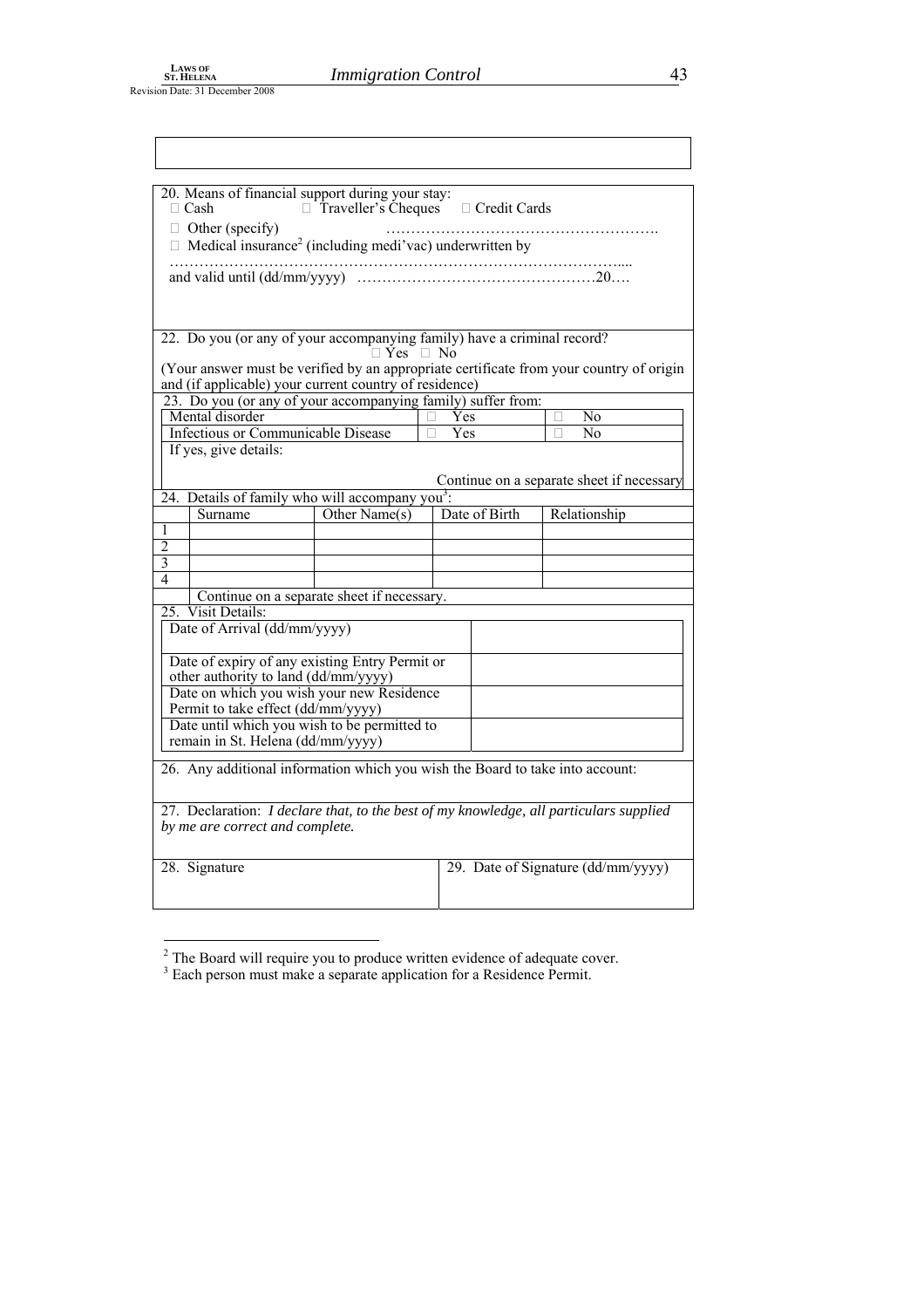|                                                                                               | 20. Means of financial support during your stay:                              |                      |    |     |               |                                                                                         |  |
|-----------------------------------------------------------------------------------------------|-------------------------------------------------------------------------------|----------------------|----|-----|---------------|-----------------------------------------------------------------------------------------|--|
|                                                                                               | $\Box$ Cash                                                                   |                      |    |     |               |                                                                                         |  |
|                                                                                               | $\Box$ Other (specify)                                                        |                      |    |     |               |                                                                                         |  |
|                                                                                               | $\Box$ Medical insurance <sup>2</sup> (including medi'vac) underwritten by    |                      |    |     |               |                                                                                         |  |
|                                                                                               |                                                                               |                      |    |     |               |                                                                                         |  |
|                                                                                               |                                                                               |                      |    |     |               |                                                                                         |  |
|                                                                                               |                                                                               |                      |    |     |               |                                                                                         |  |
|                                                                                               |                                                                               |                      |    |     |               |                                                                                         |  |
|                                                                                               | 22. Do you (or any of your accompanying family) have a criminal record?       | $\Box$ Yes $\Box$ No |    |     |               |                                                                                         |  |
|                                                                                               |                                                                               |                      |    |     |               | (Your answer must be verified by an appropriate certificate from your country of origin |  |
|                                                                                               | and (if applicable) your current country of residence)                        |                      |    |     |               |                                                                                         |  |
|                                                                                               | 23. Do you (or any of your accompanying family) suffer from:                  |                      |    |     |               |                                                                                         |  |
|                                                                                               | Mental disorder                                                               |                      | П. | Yes |               | No                                                                                      |  |
|                                                                                               | Infectious or Communicable Disease                                            |                      | П  | Yes |               | No<br>П                                                                                 |  |
|                                                                                               | If yes, give details:                                                         |                      |    |     |               |                                                                                         |  |
|                                                                                               |                                                                               |                      |    |     |               |                                                                                         |  |
|                                                                                               |                                                                               |                      |    |     |               | Continue on a separate sheet if necessary                                               |  |
|                                                                                               | 24. Details of family who will accompany you <sup>3</sup> :                   | Other Name(s)        |    |     | Date of Birth |                                                                                         |  |
| 1                                                                                             | Surname                                                                       |                      |    |     |               | Relationship                                                                            |  |
| $\overline{2}$                                                                                |                                                                               |                      |    |     |               |                                                                                         |  |
| $\overline{3}$                                                                                |                                                                               |                      |    |     |               |                                                                                         |  |
| 4                                                                                             |                                                                               |                      |    |     |               |                                                                                         |  |
|                                                                                               | Continue on a separate sheet if necessary.                                    |                      |    |     |               |                                                                                         |  |
|                                                                                               | 25. Visit Details:                                                            |                      |    |     |               |                                                                                         |  |
|                                                                                               | Date of Arrival (dd/mm/yyyy)                                                  |                      |    |     |               |                                                                                         |  |
|                                                                                               |                                                                               |                      |    |     |               |                                                                                         |  |
|                                                                                               | Date of expiry of any existing Entry Permit or                                |                      |    |     |               |                                                                                         |  |
|                                                                                               | other authority to land (dd/mm/yyyy)                                          |                      |    |     |               |                                                                                         |  |
|                                                                                               | Date on which you wish your new Residence                                     |                      |    |     |               |                                                                                         |  |
|                                                                                               | Permit to take effect (dd/mm/yyyy)                                            |                      |    |     |               |                                                                                         |  |
|                                                                                               | Date until which you wish to be permitted to                                  |                      |    |     |               |                                                                                         |  |
|                                                                                               | remain in St. Helena (dd/mm/yyyy)                                             |                      |    |     |               |                                                                                         |  |
|                                                                                               | 26. Any additional information which you wish the Board to take into account: |                      |    |     |               |                                                                                         |  |
|                                                                                               |                                                                               |                      |    |     |               |                                                                                         |  |
| 27. Declaration: <i>I declare that, to the best of my knowledge, all particulars supplied</i> |                                                                               |                      |    |     |               |                                                                                         |  |
| by me are correct and complete.                                                               |                                                                               |                      |    |     |               |                                                                                         |  |
|                                                                                               |                                                                               |                      |    |     |               |                                                                                         |  |
|                                                                                               |                                                                               |                      |    |     |               |                                                                                         |  |
|                                                                                               | 28. Signature                                                                 |                      |    |     |               | 29. Date of Signature (dd/mm/yyyy)                                                      |  |
|                                                                                               |                                                                               |                      |    |     |               |                                                                                         |  |

<sup>&</sup>lt;sup>2</sup> The Board will require you to produce written evidence of adequate cover.<br><sup>3</sup> Each person must make a separate application for a Residence Permit.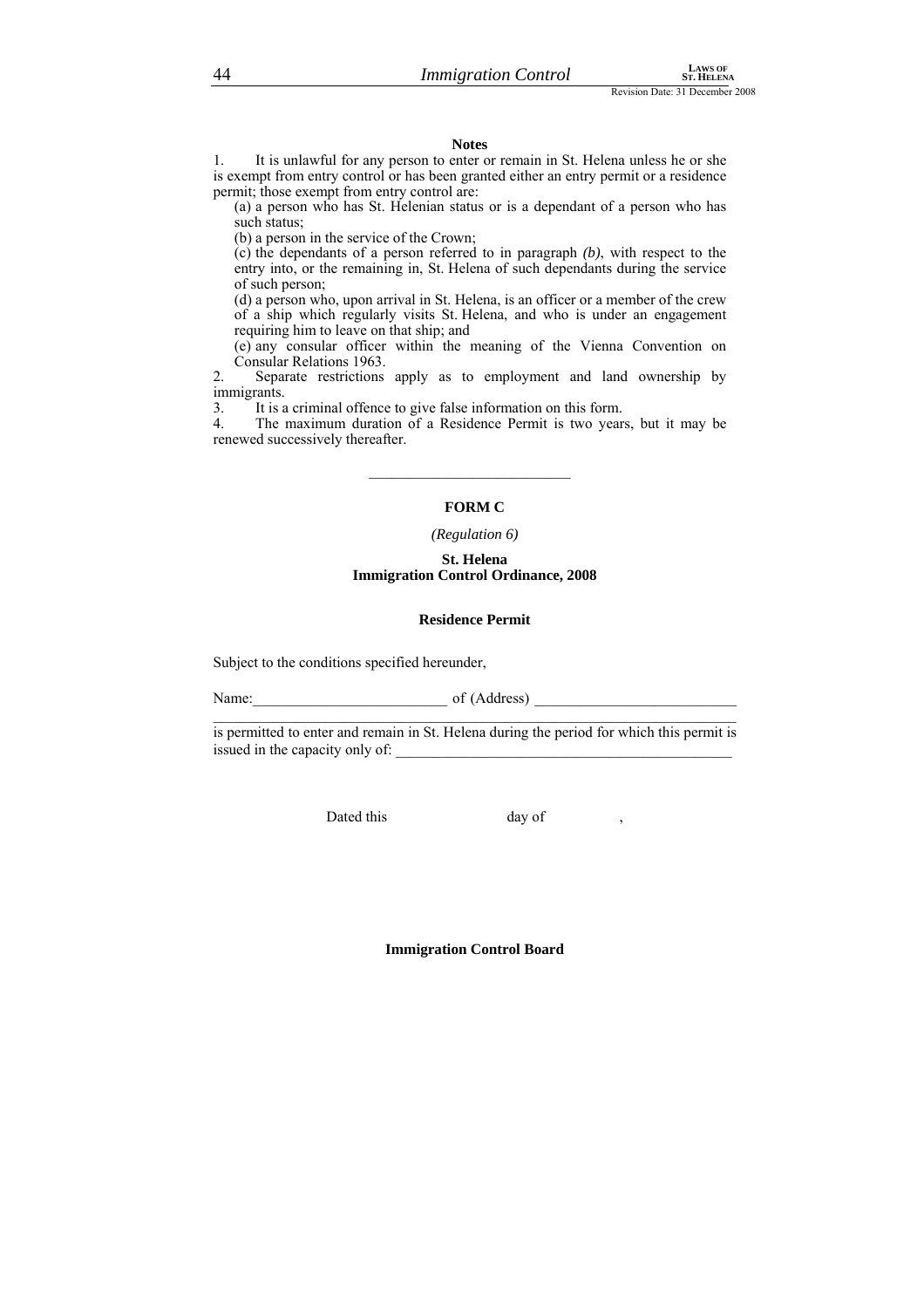#### **Notes**

1. It is unlawful for any person to enter or remain in St. Helena unless he or she is exempt from entry control or has been granted either an entry permit or a residence permit; those exempt from entry control are:

(a) a person who has St. Helenian status or is a dependant of a person who has such status;

(b) a person in the service of the Crown;

(c) the dependants of a person referred to in paragraph *(b)*, with respect to the entry into, or the remaining in, St. Helena of such dependants during the service of such person;

(d) a person who, upon arrival in St. Helena, is an officer or a member of the crew of a ship which regularly visits St. Helena, and who is under an engagement requiring him to leave on that ship; and

(e) any consular officer within the meaning of the Vienna Convention on Consular Relations 1963.

2. Separate restrictions apply as to employment and land ownership by immigrants.

3. It is a criminal offence to give false information on this form.

4. The maximum duration of a Residence Permit is two years, but it may be renewed successively thereafter.

### **FORM C**

#### *(Regulation 6)*

#### **St. Helena Immigration Control Ordinance, 2008**

### **Residence Permit**

Subject to the conditions specified hereunder,

Name:  $\qquad \qquad$  of (Address)

 $\mathcal{L}_\text{max} = \frac{1}{2} \sum_{i=1}^n \mathcal{L}_\text{max} = \frac{1}{2} \sum_{i=1}^n \mathcal{L}_\text{max} = \frac{1}{2} \sum_{i=1}^n \mathcal{L}_\text{max} = \frac{1}{2} \sum_{i=1}^n \mathcal{L}_\text{max} = \frac{1}{2} \sum_{i=1}^n \mathcal{L}_\text{max} = \frac{1}{2} \sum_{i=1}^n \mathcal{L}_\text{max} = \frac{1}{2} \sum_{i=1}^n \mathcal{L}_\text{max} = \frac{1}{2} \sum_{i=$ 

is permitted to enter and remain in St. Helena during the period for which this permit is issued in the capacity only of:

Dated this day of

**Immigration Control Board**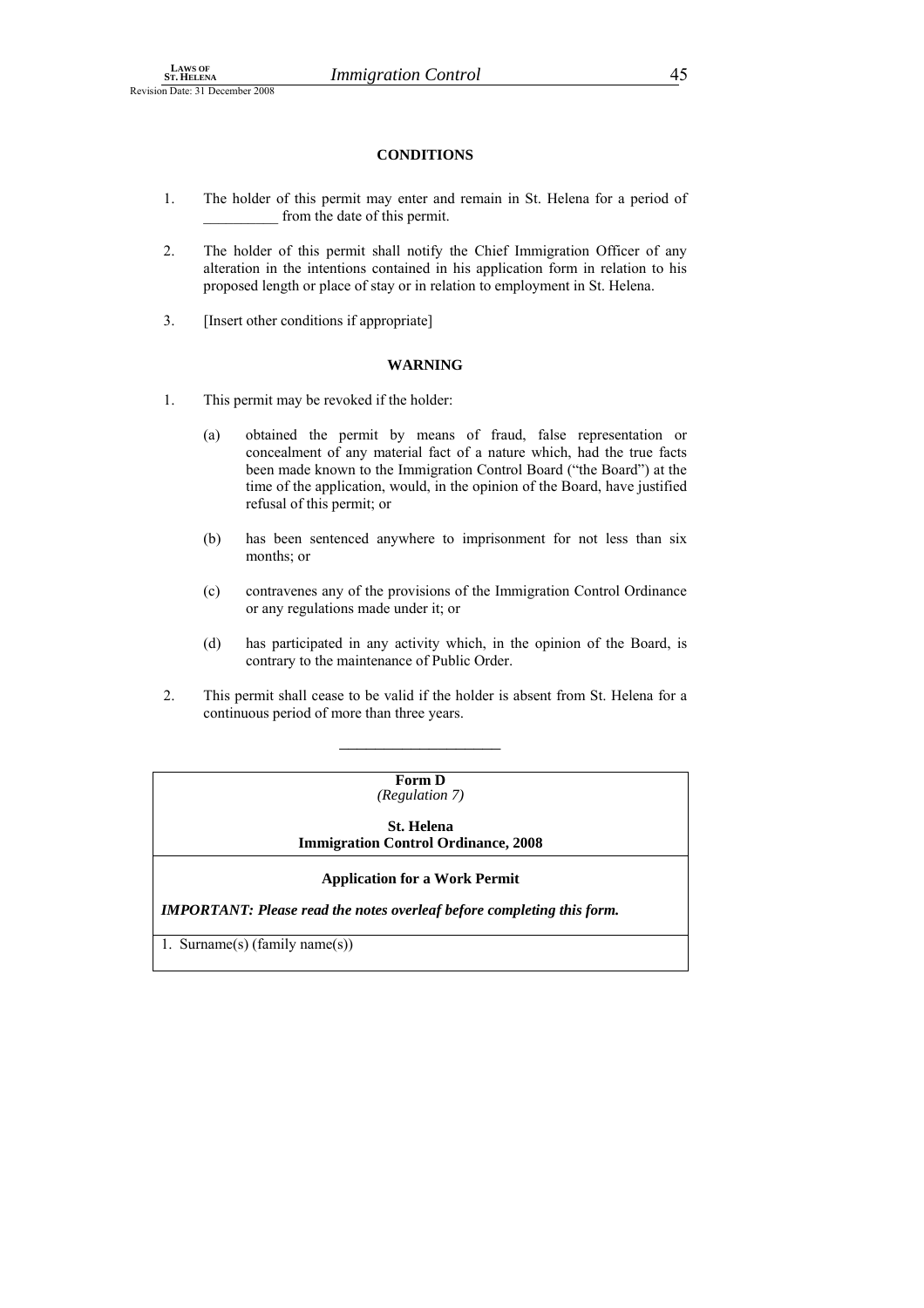## **CONDITIONS**

- 1. The holder of this permit may enter and remain in St. Helena for a period of from the date of this permit.
- 2. The holder of this permit shall notify the Chief Immigration Officer of any alteration in the intentions contained in his application form in relation to his proposed length or place of stay or in relation to employment in St. Helena.
- 3. [Insert other conditions if appropriate]

### **WARNING**

- 1. This permit may be revoked if the holder:
	- (a) obtained the permit by means of fraud, false representation or concealment of any material fact of a nature which, had the true facts been made known to the Immigration Control Board ("the Board") at the time of the application, would, in the opinion of the Board, have justified refusal of this permit; or
	- (b) has been sentenced anywhere to imprisonment for not less than six months; or
	- (c) contravenes any of the provisions of the Immigration Control Ordinance or any regulations made under it; or
	- (d) has participated in any activity which, in the opinion of the Board, is contrary to the maintenance of Public Order.
- 2. This permit shall cease to be valid if the holder is absent from St. Helena for a continuous period of more than three years.

*\_\_\_\_\_\_\_\_\_\_\_\_\_\_\_\_\_\_* 

**Form D**  *(Regulation 7)* 

**St. Helena Immigration Control Ordinance, 2008**

### **Application for a Work Permit**

*IMPORTANT: Please read the notes overleaf before completing this form.* 

1. Surname(s) (family name(s))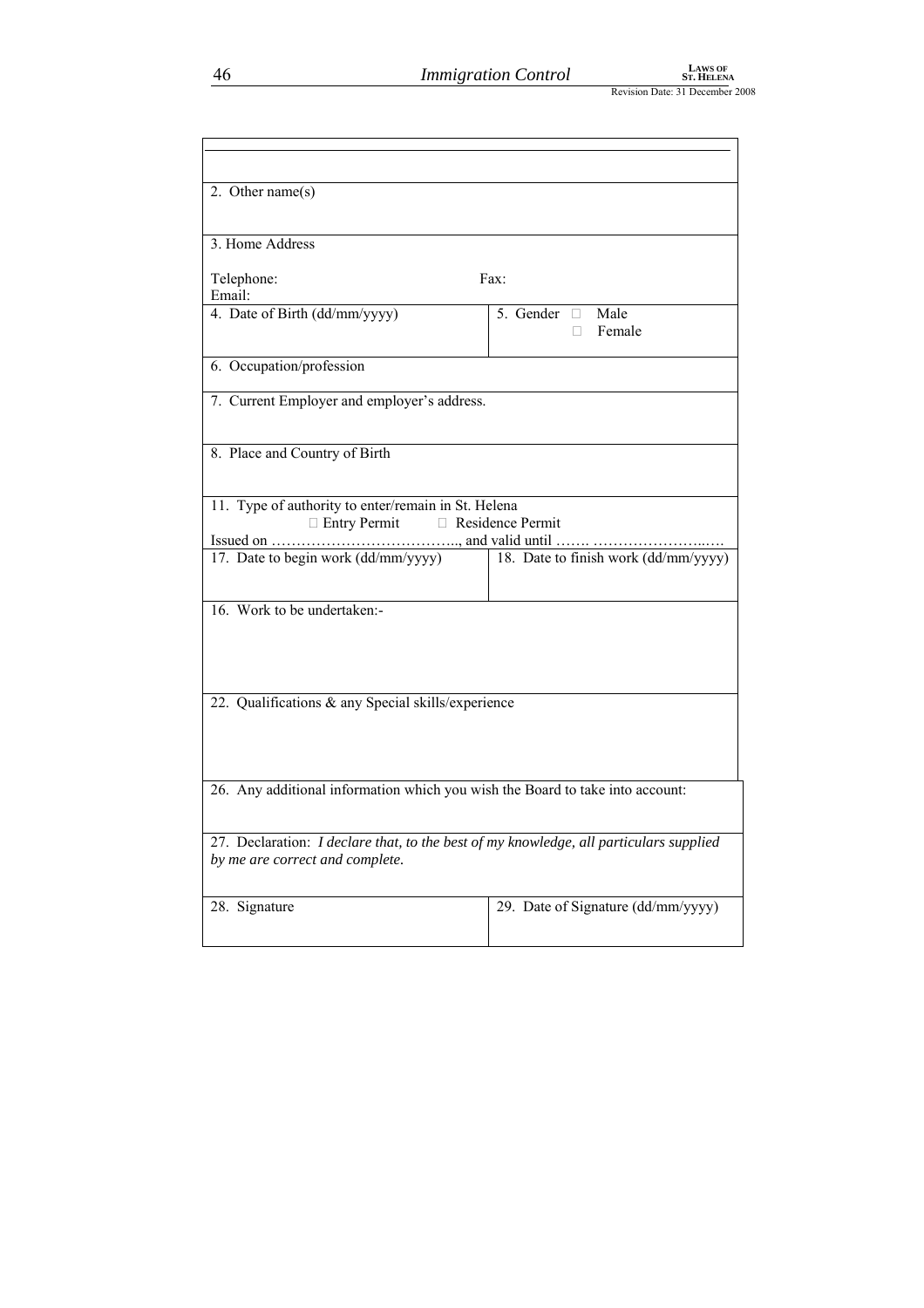| 2. Other name(s)                                                                       |                                      |
|----------------------------------------------------------------------------------------|--------------------------------------|
|                                                                                        |                                      |
| 3. Home Address                                                                        |                                      |
| Telephone:<br>Email:                                                                   | Fax:                                 |
| 4. Date of Birth (dd/mm/yyyy)                                                          | 5. Gender $\Box$<br>Male             |
|                                                                                        | Female<br>п                          |
| 6. Occupation/profession                                                               |                                      |
| 7. Current Employer and employer's address.                                            |                                      |
|                                                                                        |                                      |
| 8. Place and Country of Birth                                                          |                                      |
|                                                                                        |                                      |
| 11. Type of authority to enter/remain in St. Helena<br>□ Entry Permit                  | $\Box$ Residence Permit              |
|                                                                                        |                                      |
| 17. Date to begin work (dd/mm/yyyy)                                                    | 18. Date to finish work (dd/mm/yyyy) |
| 16. Work to be undertaken:-                                                            |                                      |
|                                                                                        |                                      |
|                                                                                        |                                      |
| 22. Qualifications & any Special skills/experience                                     |                                      |
|                                                                                        |                                      |
|                                                                                        |                                      |
| 26. Any additional information which you wish the Board to take into account:          |                                      |
|                                                                                        |                                      |
| 27. Declaration: I declare that, to the best of my knowledge, all particulars supplied |                                      |
| by me are correct and complete.                                                        |                                      |
| 28. Signature                                                                          | 29. Date of Signature (dd/mm/yyyy)   |
|                                                                                        |                                      |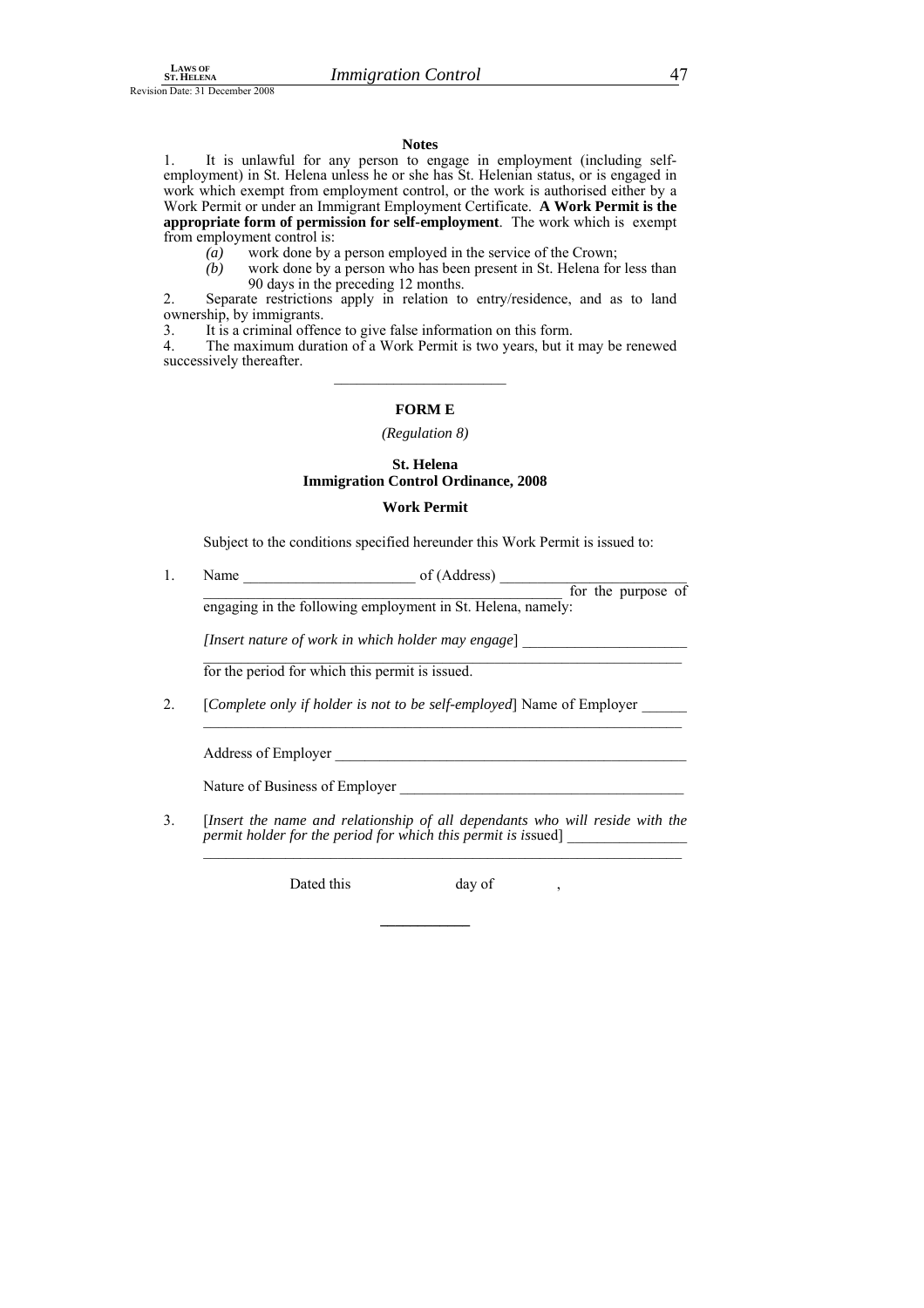#### **Notes**

1. It is unlawful for any person to engage in employment (including selfemployment) in St. Helena unless he or she has St. Helenian status, or is engaged in work which exempt from employment control, or the work is authorised either by a Work Permit or under an Immigrant Employment Certificate. **A Work Permit is the appropriate form of permission for self-employment**. The work which is exempt from employment control is:

 $\overrightarrow{a}$  work done by a person employed in the service of the Crown;

*(b)* work done by a person who has been present in St. Helena for less than 90 days in the preceding 12 months.

2. Separate restrictions apply in relation to entry/residence, and as to land ownership, by immigrants.

3. It is a criminal offence to give false information on this form.<br>4. The maximum duration of a Work Permit is two years, but it

The maximum duration of a Work Permit is two years, but it may be renewed successively thereafter.

### **FORM E**

### *(Regulation 8)*

## **St. Helena Immigration Control Ordinance, 2008**

### **Work Permit**

Subject to the conditions specified hereunder this Work Permit is issued to:

1. Name of (Address)

 $\overline{f}$  for the purpose of engaging in the following employment in St. Helena, namely:

*[Insert nature of work in which holder may engage*] \_\_\_\_\_\_\_\_\_\_\_\_\_\_\_\_\_\_\_\_\_\_

\_\_\_\_\_\_\_\_\_\_\_\_\_\_\_\_\_\_\_\_\_\_\_\_\_\_\_\_\_\_\_\_\_\_\_\_\_\_\_\_\_\_\_\_\_\_\_\_\_\_\_\_\_\_\_\_\_\_\_\_\_\_\_\_ for the period for which this permit is issued.

2. [*Complete only if holder is not to be self-employed*] Name of Employer  $\mathcal{L}_\text{max} = \mathcal{L}_\text{max} = \mathcal{L}_\text{max} = \mathcal{L}_\text{max} = \mathcal{L}_\text{max} = \mathcal{L}_\text{max} = \mathcal{L}_\text{max} = \mathcal{L}_\text{max} = \mathcal{L}_\text{max} = \mathcal{L}_\text{max} = \mathcal{L}_\text{max} = \mathcal{L}_\text{max} = \mathcal{L}_\text{max} = \mathcal{L}_\text{max} = \mathcal{L}_\text{max} = \mathcal{L}_\text{max} = \mathcal{L}_\text{max} = \mathcal{L}_\text{max} = \mathcal{$ 

Address of Employer \_\_\_\_\_\_\_\_\_\_\_\_\_\_\_\_\_\_\_\_\_\_\_\_\_\_\_\_\_\_\_\_\_\_\_\_\_\_\_\_\_\_\_\_\_\_\_

Nature of Business of Employer

3. [*Insert the name and relationship of all dependants who will reside with the permit holder for the period for which this permit is issued*]

**\_\_\_\_\_\_\_\_\_\_\_\_** 

Dated this day of ,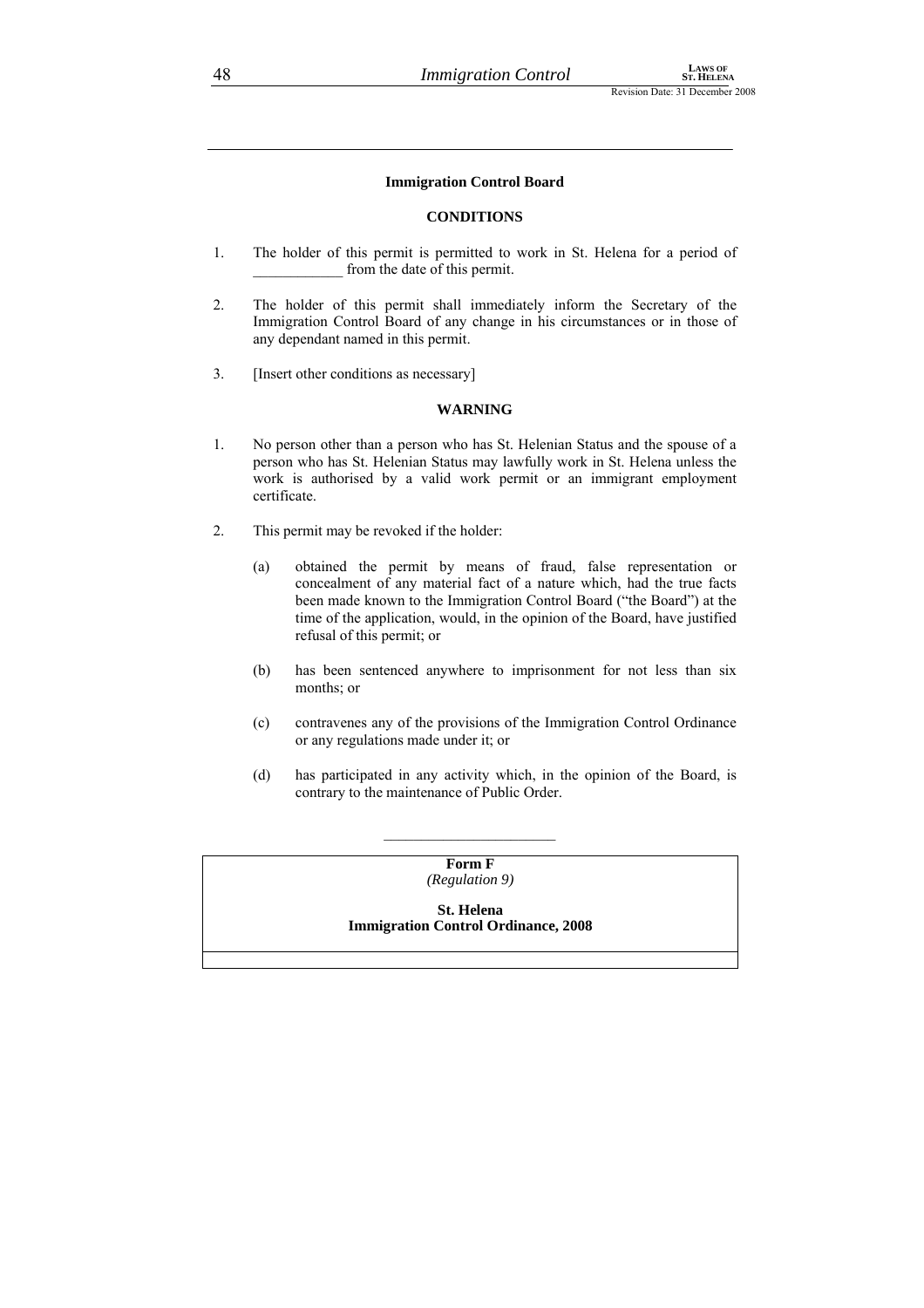#### **Immigration Control Board**

#### **CONDITIONS**

- 1. The holder of this permit is permitted to work in St. Helena for a period of from the date of this permit.
- 2. The holder of this permit shall immediately inform the Secretary of the Immigration Control Board of any change in his circumstances or in those of any dependant named in this permit.
- 3. [Insert other conditions as necessary]

#### **WARNING**

- 1. No person other than a person who has St. Helenian Status and the spouse of a person who has St. Helenian Status may lawfully work in St. Helena unless the work is authorised by a valid work permit or an immigrant employment certificate.
- 2. This permit may be revoked if the holder:
	- (a) obtained the permit by means of fraud, false representation or concealment of any material fact of a nature which, had the true facts been made known to the Immigration Control Board ("the Board") at the time of the application, would, in the opinion of the Board, have justified refusal of this permit; or
	- (b) has been sentenced anywhere to imprisonment for not less than six months; or
	- (c) contravenes any of the provisions of the Immigration Control Ordinance or any regulations made under it; or
	- (d) has participated in any activity which, in the opinion of the Board, is contrary to the maintenance of Public Order.

**Form F**  *(Regulation 9)* 

**St. Helena Immigration Control Ordinance, 2008**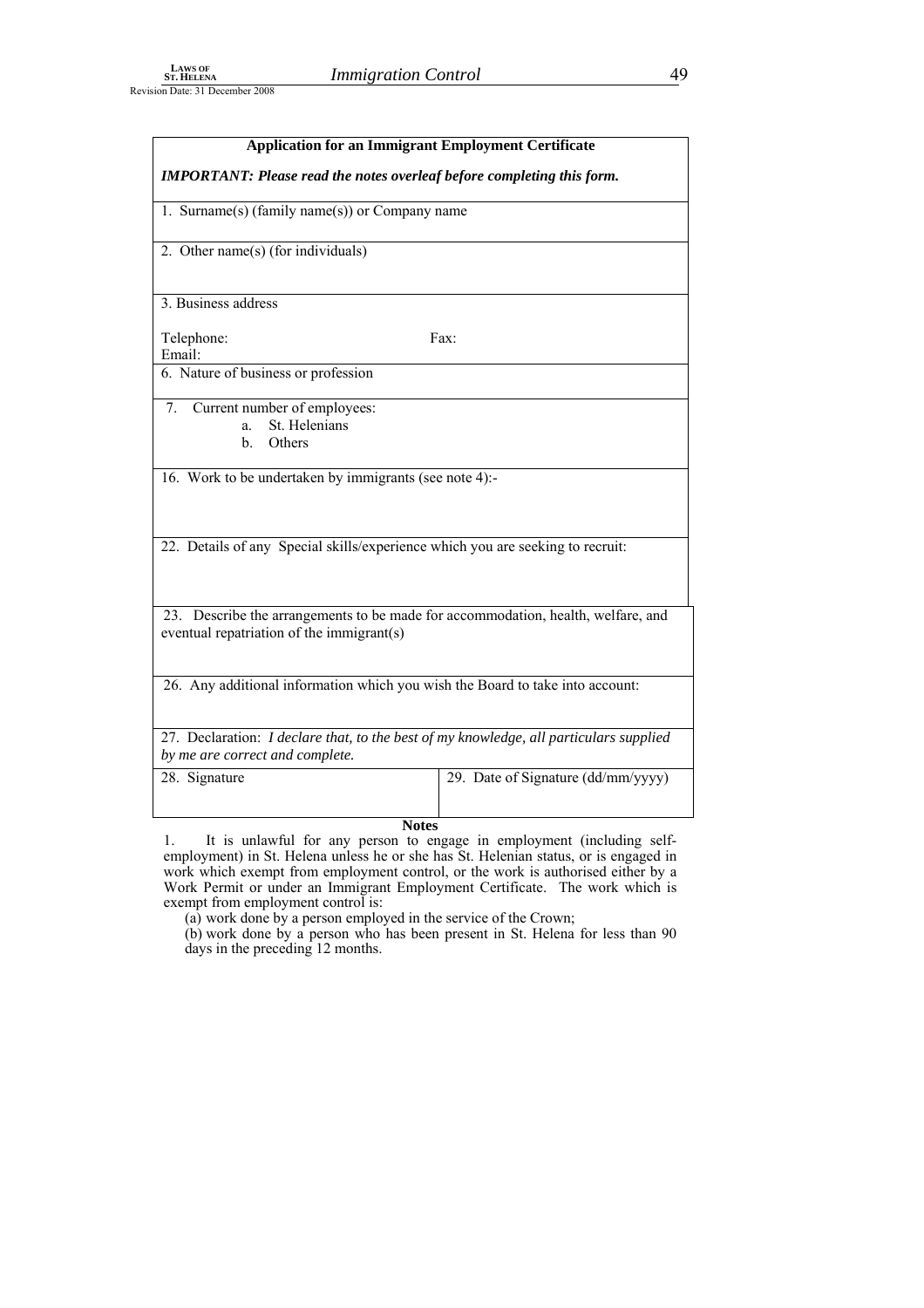|                                                                                           | <b>Application for an Immigrant Employment Certificate</b>                             |
|-------------------------------------------------------------------------------------------|----------------------------------------------------------------------------------------|
| <b>IMPORTANT: Please read the notes overleaf before completing this form.</b>             |                                                                                        |
| 1. Surname(s) (family name(s)) or Company name                                            |                                                                                        |
| 2. Other name(s) (for individuals)                                                        |                                                                                        |
| 3. Business address                                                                       |                                                                                        |
| Telephone:<br>Email:                                                                      | Fax:                                                                                   |
| 6. Nature of business or profession                                                       |                                                                                        |
| 7. Current number of employees:<br>St. Helenians<br>a.<br><b>Others</b><br>$\mathbf{b}$ . |                                                                                        |
| 16. Work to be undertaken by immigrants (see note 4):-                                    |                                                                                        |
|                                                                                           | 22. Details of any Special skills/experience which you are seeking to recruit:         |
| eventual repatriation of the immigrant(s)                                                 | 23. Describe the arrangements to be made for accommodation, health, welfare, and       |
|                                                                                           | 26. Any additional information which you wish the Board to take into account:          |
| by me are correct and complete.                                                           | 27. Declaration: I declare that, to the best of my knowledge, all particulars supplied |
| 28. Signature                                                                             | 29. Date of Signature (dd/mm/yyyy)                                                     |

1. It is unlawful for any person to engage in employment (including selfemployment) in St. Helena unless he or she has St. Helenian status, or is engaged in work which exempt from employment control, or the work is authorised either by a Work Permit or under an Immigrant Employment Certificate. The work which is exempt from employment control is:

(a) work done by a person employed in the service of the Crown;

(b) work done by a person who has been present in St. Helena for less than 90 days in the preceding 12 months.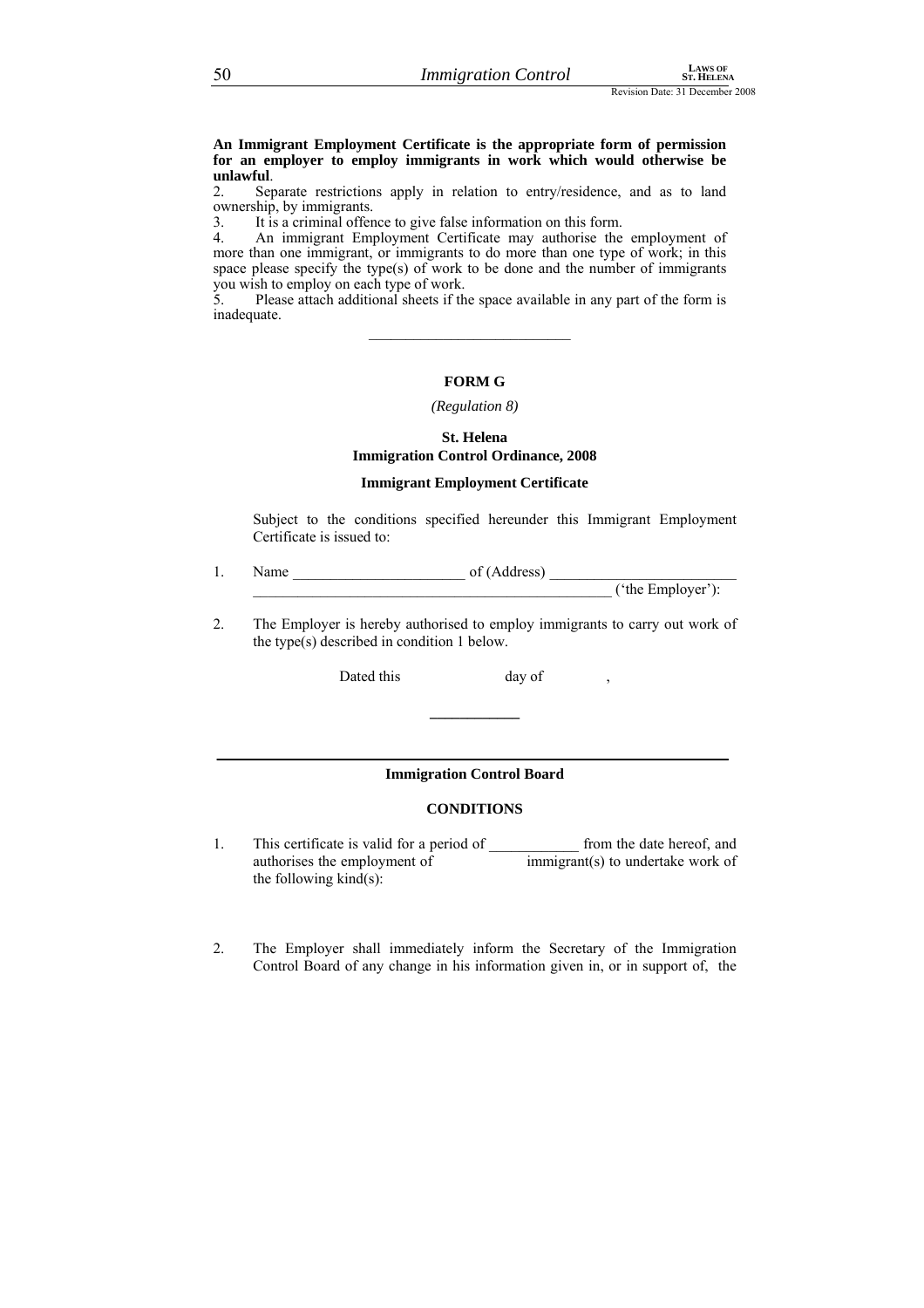#### **An Immigrant Employment Certificate is the appropriate form of permission for an employer to employ immigrants in work which would otherwise be unlawful**.

2. Separate restrictions apply in relation to entry/residence, and as to land ownership, by immigrants.

3. It is a criminal offence to give false information on this form.

4. An immigrant Employment Certificate may authorise the employment of more than one immigrant, or immigrants to do more than one type of work; in this space please specify the type(s) of work to be done and the number of immigrants you wish to employ on each type of work.<br>5. Please attach additional sheats if the

Please attach additional sheets if the space available in any part of the form is inadequate. \_\_\_\_\_\_\_\_\_\_\_\_\_\_\_\_\_\_\_\_\_\_\_\_\_\_\_

## **FORM G**

#### *(Regulation 8)*

## **St. Helena Immigration Control Ordinance, 2008**

### **Immigrant Employment Certificate**

 Subject to the conditions specified hereunder this Immigrant Employment Certificate is issued to:

| . . | racc |                |
|-----|------|----------------|
|     |      | "the Employer" |

2. The Employer is hereby authorised to employ immigrants to carry out work of the type(s) described in condition 1 below.

Dated this day of

#### **\_\_\_\_\_\_\_\_\_\_\_\_**

#### **Immigration Control Board**

### **CONDITIONS**

- 1. This certificate is valid for a period of \_\_\_\_\_\_\_\_\_\_\_\_ from the date hereof, and authorises the employment of immigrant(s) to undertake work of the following kind(s):
- 2. The Employer shall immediately inform the Secretary of the Immigration Control Board of any change in his information given in, or in support of, the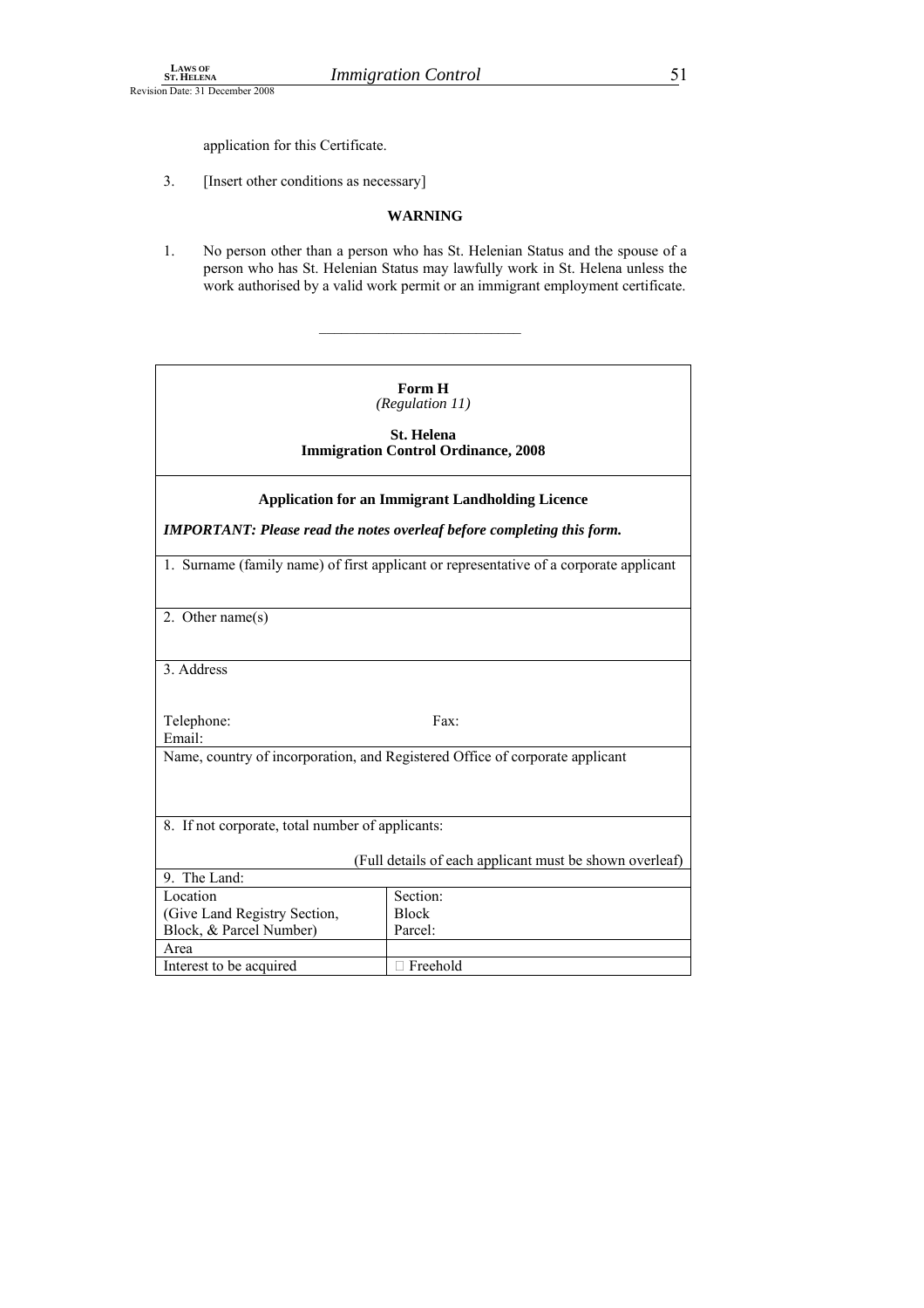application for this Certificate.

3. [Insert other conditions as necessary]

## **WARNING**

1. No person other than a person who has St. Helenian Status and the spouse of a person who has St. Helenian Status may lawfully work in St. Helena unless the work authorised by a valid work permit or an immigrant employment certificate.

 $\mathcal{L}_\text{max}$  and  $\mathcal{L}_\text{max}$  and  $\mathcal{L}_\text{max}$ 

| Form H<br>(Regulation 11)<br><b>St. Helena</b><br><b>Immigration Control Ordinance, 2008</b> |                                                                                        |  |  |
|----------------------------------------------------------------------------------------------|----------------------------------------------------------------------------------------|--|--|
|                                                                                              | <b>Application for an Immigrant Landholding Licence</b>                                |  |  |
|                                                                                              | <b>IMPORTANT: Please read the notes overleaf before completing this form.</b>          |  |  |
|                                                                                              | 1. Surname (family name) of first applicant or representative of a corporate applicant |  |  |
| 2. Other name $(s)$                                                                          |                                                                                        |  |  |
| 3. Address                                                                                   |                                                                                        |  |  |
| Telephone:<br>Email:                                                                         | Fax:                                                                                   |  |  |
| Name, country of incorporation, and Registered Office of corporate applicant                 |                                                                                        |  |  |
| 8. If not corporate, total number of applicants:                                             |                                                                                        |  |  |
| (Full details of each applicant must be shown overleaf)<br>9. The Land:                      |                                                                                        |  |  |
| Location                                                                                     | Section:                                                                               |  |  |
| (Give Land Registry Section,                                                                 | <b>Block</b><br>Parcel:                                                                |  |  |
| Block, & Parcel Number)<br>Area                                                              |                                                                                        |  |  |
| Interest to be acquired                                                                      | □ Freehold                                                                             |  |  |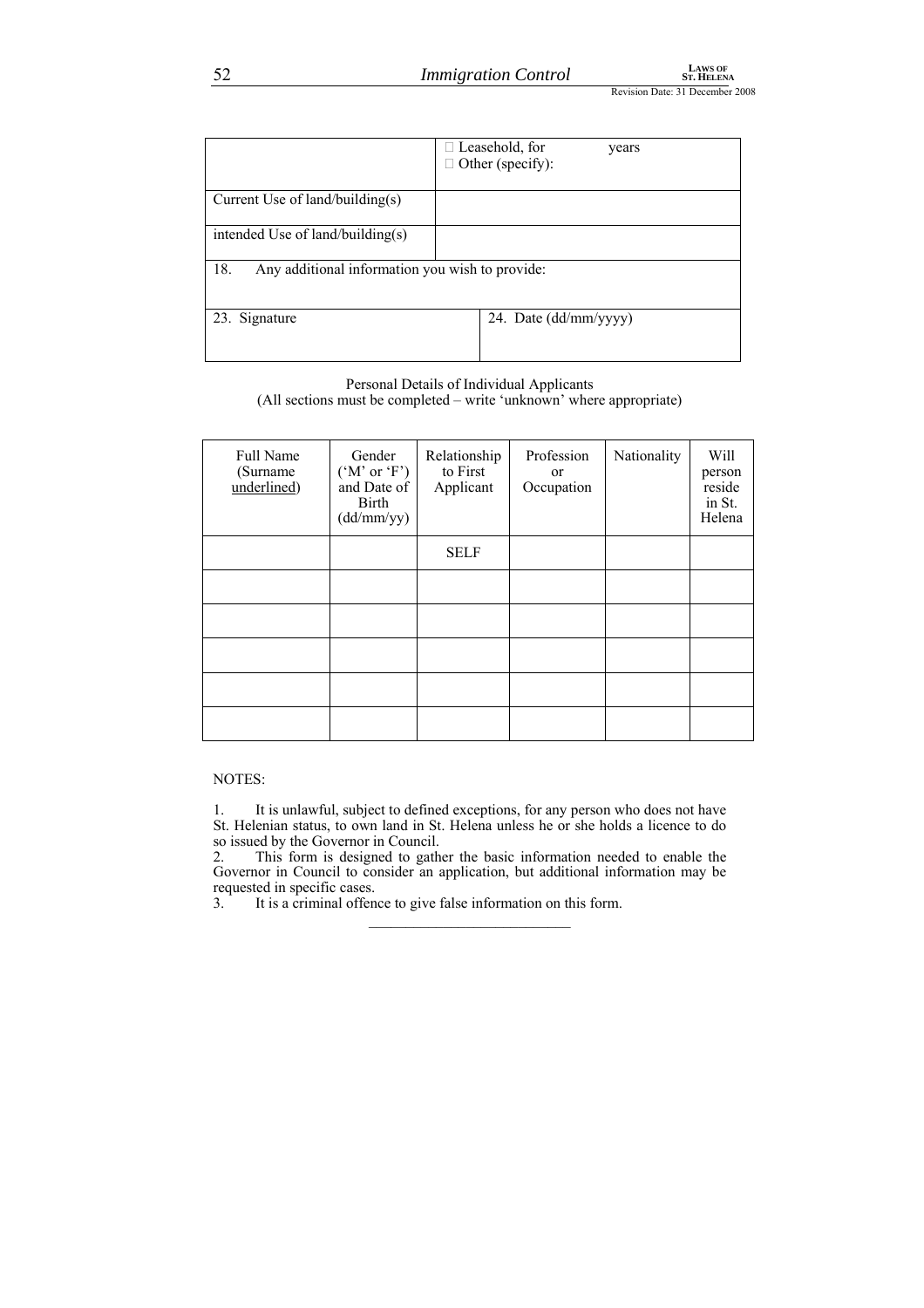□ Leasehold, for years □ Other (specify): Current Use of land/building(s) intended Use of land/building(s) 18. Any additional information you wish to provide: 23. Signature 24. Date (dd/mm/yyyy)

Personal Details of Individual Applicants

(All sections must be completed – write 'unknown' where appropriate)

| Full Name<br>(Surname)<br>underlined) | Gender<br>$({}^{\circ}M^{\circ}$ or ${}^{\circ}F^{\circ})$<br>and Date of<br>Birth<br>(dd/mm/yy) | Relationship<br>to First<br>Applicant | Profession<br>or<br>Occupation | Nationality | Will<br>person<br>reside<br>in St.<br>Helena |
|---------------------------------------|--------------------------------------------------------------------------------------------------|---------------------------------------|--------------------------------|-------------|----------------------------------------------|
|                                       |                                                                                                  | <b>SELF</b>                           |                                |             |                                              |
|                                       |                                                                                                  |                                       |                                |             |                                              |
|                                       |                                                                                                  |                                       |                                |             |                                              |
|                                       |                                                                                                  |                                       |                                |             |                                              |
|                                       |                                                                                                  |                                       |                                |             |                                              |
|                                       |                                                                                                  |                                       |                                |             |                                              |

## NOTES:

1. It is unlawful, subject to defined exceptions, for any person who does not have St. Helenian status, to own land in St. Helena unless he or she holds a licence to do so issued by the Governor in Council.

2. This form is designed to gather the basic information needed to enable the Governor in Council to consider an application, but additional information may be requested in specific cases.

\_\_\_\_\_\_\_\_\_\_\_\_\_\_\_\_\_\_\_\_\_\_\_\_\_\_\_

3. It is a criminal offence to give false information on this form.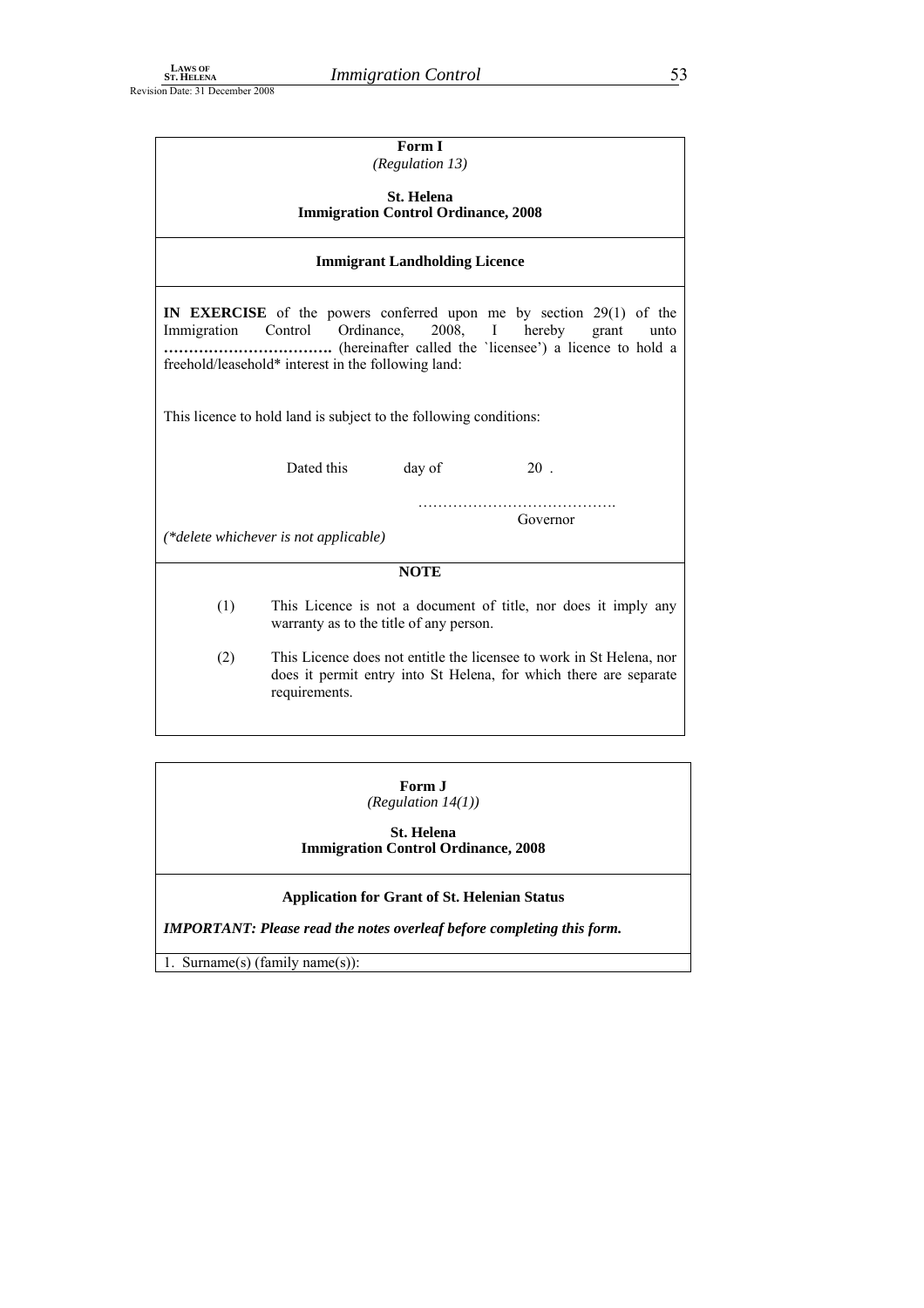|                                                                 |                                                                                                      | Form I<br>(Regulation 13) |                                                                                     |      |  |
|-----------------------------------------------------------------|------------------------------------------------------------------------------------------------------|---------------------------|-------------------------------------------------------------------------------------|------|--|
| <b>St. Helena</b><br><b>Immigration Control Ordinance, 2008</b> |                                                                                                      |                           |                                                                                     |      |  |
| <b>Immigrant Landholding Licence</b>                            |                                                                                                      |                           |                                                                                     |      |  |
|                                                                 | Immigration Control Ordinance, 2008, I hereby<br>freehold/leasehold* interest in the following land: |                           | <b>IN EXERCISE</b> of the powers conferred upon me by section 29(1) of the<br>grant | unto |  |
|                                                                 | This licence to hold land is subject to the following conditions:                                    |                           |                                                                                     |      |  |
|                                                                 | Dated this                                                                                           | day of                    | $20$ .                                                                              |      |  |
|                                                                 | (*delete whichever is not applicable)                                                                |                           | Governor                                                                            |      |  |
|                                                                 |                                                                                                      | <b>NOTE</b>               |                                                                                     |      |  |
| (1)                                                             | warranty as to the title of any person.                                                              |                           | This Licence is not a document of title, nor does it imply any                      |      |  |
| (2)                                                             |                                                                                                      |                           | This Licence does not entitle the licensee to work in St Helena, nor                |      |  |

does it permit entry into St Helena, for which there are separate requirements.

> **Form J**  *(Regulation 14(1))*

**St. Helena Immigration Control Ordinance, 2008** 

## **Application for Grant of St. Helenian Status**

*IMPORTANT: Please read the notes overleaf before completing this form.* 

1. Surname(s) (family name(s)):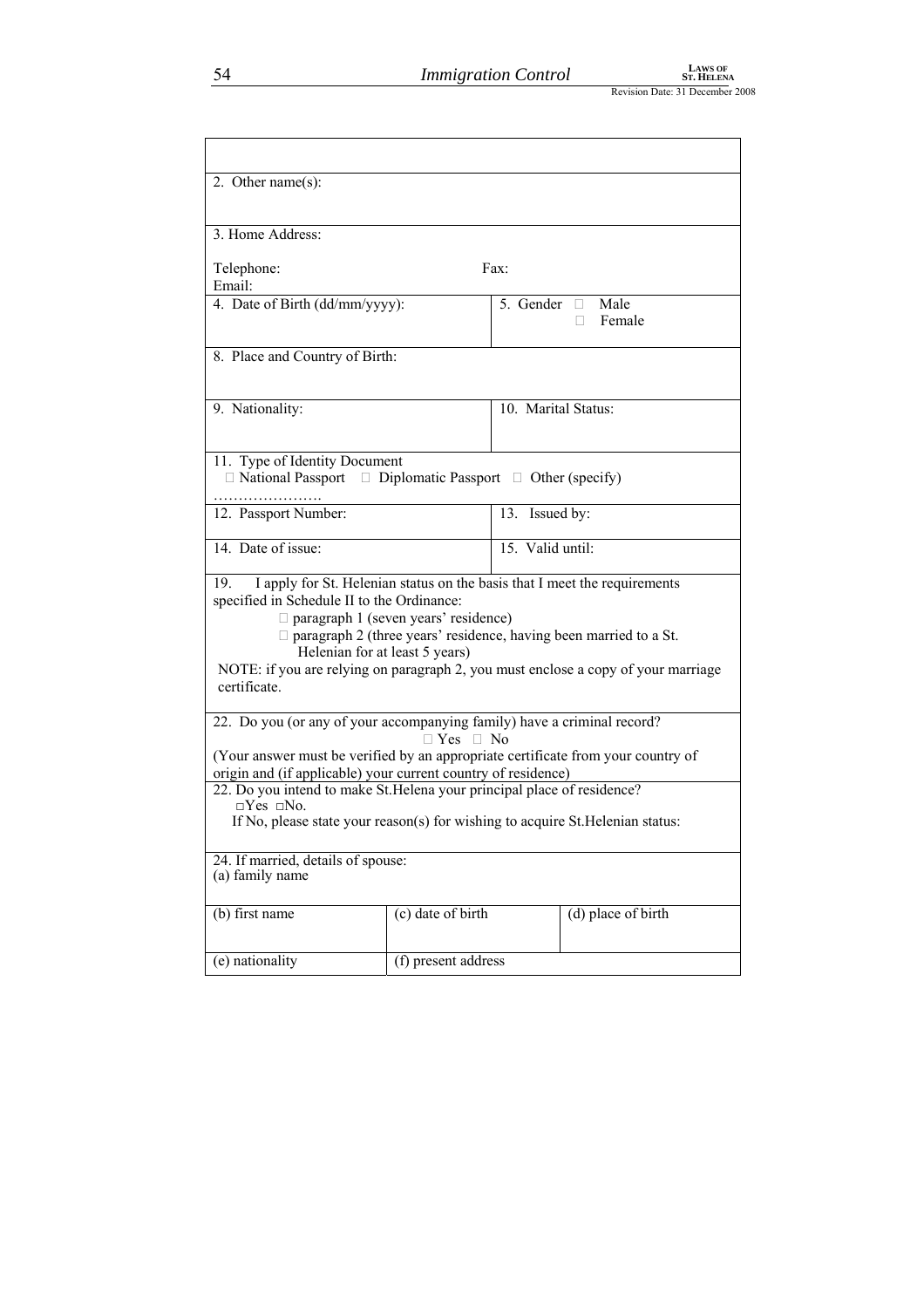| 2. Other name $(s)$ :                                                                                                                             |                     |                     |                                                                          |  |
|---------------------------------------------------------------------------------------------------------------------------------------------------|---------------------|---------------------|--------------------------------------------------------------------------|--|
|                                                                                                                                                   |                     |                     |                                                                          |  |
| 3. Home Address:                                                                                                                                  |                     |                     |                                                                          |  |
| Telephone:                                                                                                                                        |                     | Fax:                |                                                                          |  |
| Email:                                                                                                                                            |                     |                     |                                                                          |  |
| 4. Date of Birth (dd/mm/yyyy):                                                                                                                    |                     |                     | 5. Gender <sup>[1]</sup> Male                                            |  |
|                                                                                                                                                   |                     |                     | Female<br>П                                                              |  |
| 8. Place and Country of Birth:                                                                                                                    |                     |                     |                                                                          |  |
|                                                                                                                                                   |                     |                     |                                                                          |  |
| 9. Nationality:                                                                                                                                   |                     | 10. Marital Status: |                                                                          |  |
|                                                                                                                                                   |                     |                     |                                                                          |  |
| 11. Type of Identity Document                                                                                                                     |                     |                     |                                                                          |  |
| $\Box$ National Passport $\Box$ Diplomatic Passport $\Box$ Other (specify)<br>.                                                                   |                     |                     |                                                                          |  |
|                                                                                                                                                   |                     | 13. Issued by:      |                                                                          |  |
| 12. Passport Number:                                                                                                                              |                     |                     |                                                                          |  |
| 14. Date of issue:                                                                                                                                |                     | 15. Valid until:    |                                                                          |  |
| I apply for St. Helenian status on the basis that I meet the requirements<br>19.                                                                  |                     |                     |                                                                          |  |
| specified in Schedule II to the Ordinance:                                                                                                        |                     |                     |                                                                          |  |
| $\Box$ paragraph 1 (seven years' residence)                                                                                                       |                     |                     |                                                                          |  |
| Helenian for at least 5 years)                                                                                                                    |                     |                     | $\Box$ paragraph 2 (three years' residence, having been married to a St. |  |
| NOTE: if you are relying on paragraph 2, you must enclose a copy of your marriage                                                                 |                     |                     |                                                                          |  |
| certificate.                                                                                                                                      |                     |                     |                                                                          |  |
| 22. Do you (or any of your accompanying family) have a criminal record?                                                                           |                     |                     |                                                                          |  |
| $\Box$ Yes $\Box$ No                                                                                                                              |                     |                     |                                                                          |  |
| (Your answer must be verified by an appropriate certificate from your country of<br>origin and (if applicable) your current country of residence) |                     |                     |                                                                          |  |
| 22. Do you intend to make St. Helena your principal place of residence?                                                                           |                     |                     |                                                                          |  |
| $\Box$ Yes $\Box$ No.<br>If No, please state your reason(s) for wishing to acquire St. Helenian status:                                           |                     |                     |                                                                          |  |
|                                                                                                                                                   |                     |                     |                                                                          |  |
| 24. If married, details of spouse:                                                                                                                |                     |                     |                                                                          |  |
| (a) family name                                                                                                                                   |                     |                     |                                                                          |  |
| (c) date of birth<br>(b) first name                                                                                                               |                     |                     | $(d)$ place of birth                                                     |  |
|                                                                                                                                                   |                     |                     |                                                                          |  |
| (e) nationality                                                                                                                                   | (f) present address |                     |                                                                          |  |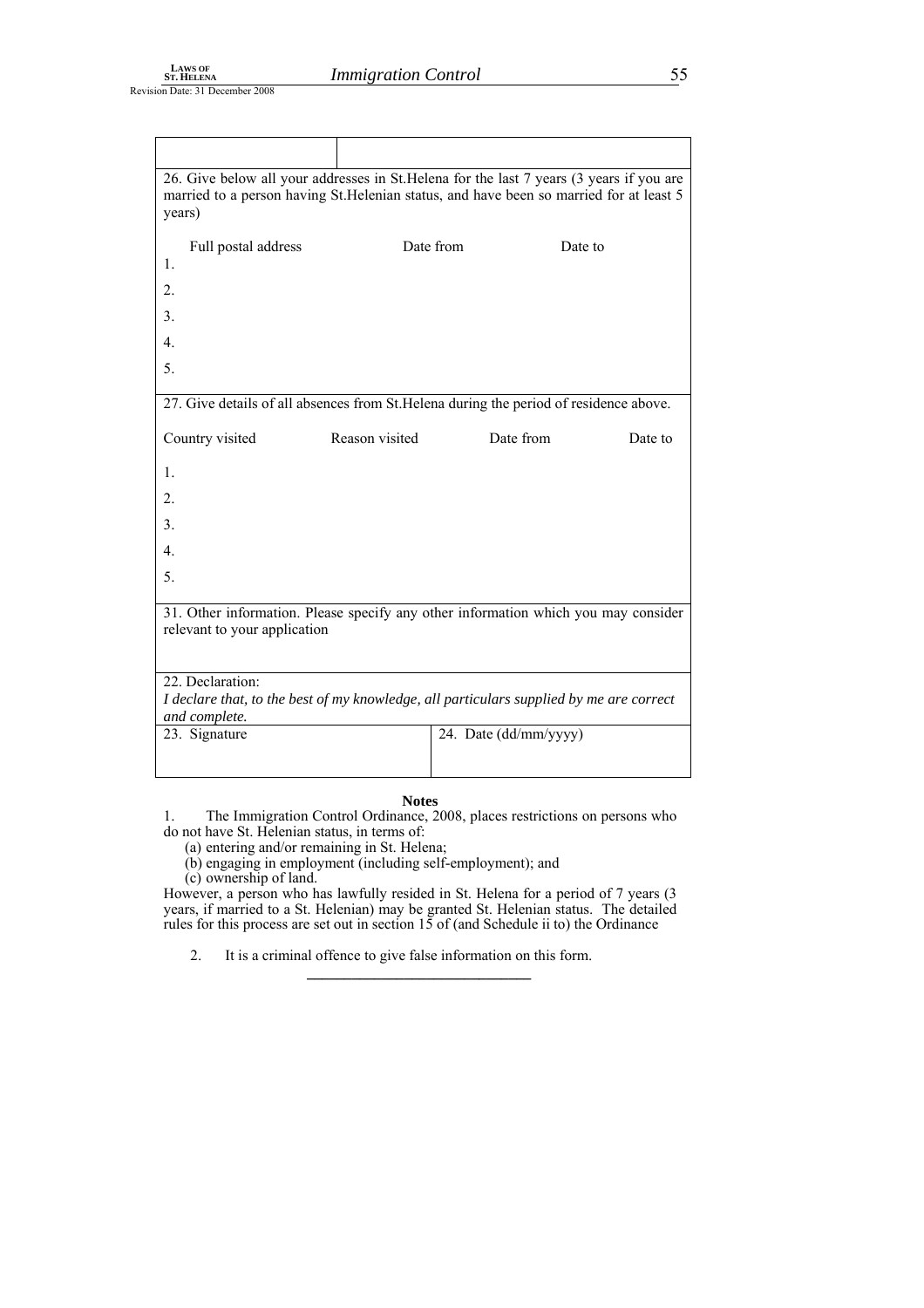| 26. Give below all your addresses in St. Helena for the last 7 years (3 years if you are<br>married to a person having St.Helenian status, and have been so married for at least 5<br>years) |                                                                                        |                |           |         |  |
|----------------------------------------------------------------------------------------------------------------------------------------------------------------------------------------------|----------------------------------------------------------------------------------------|----------------|-----------|---------|--|
| 1.                                                                                                                                                                                           | Full postal address                                                                    |                | Date from | Date to |  |
| 2.                                                                                                                                                                                           |                                                                                        |                |           |         |  |
| 3.                                                                                                                                                                                           |                                                                                        |                |           |         |  |
| $\overline{4}$ .                                                                                                                                                                             |                                                                                        |                |           |         |  |
| 5.                                                                                                                                                                                           |                                                                                        |                |           |         |  |
|                                                                                                                                                                                              | 27. Give details of all absences from St. Helena during the period of residence above. |                |           |         |  |
|                                                                                                                                                                                              | Country visited                                                                        | Reason visited | Date from | Date to |  |
| 1.                                                                                                                                                                                           |                                                                                        |                |           |         |  |
| 2.                                                                                                                                                                                           |                                                                                        |                |           |         |  |
| 3.                                                                                                                                                                                           |                                                                                        |                |           |         |  |
| $\overline{4}$ .                                                                                                                                                                             |                                                                                        |                |           |         |  |
| 5.                                                                                                                                                                                           |                                                                                        |                |           |         |  |
| 31. Other information. Please specify any other information which you may consider<br>relevant to your application                                                                           |                                                                                        |                |           |         |  |
|                                                                                                                                                                                              |                                                                                        |                |           |         |  |
| 22. Declaration:<br>I declare that, to the best of my knowledge, all particulars supplied by me are correct                                                                                  |                                                                                        |                |           |         |  |
|                                                                                                                                                                                              | and complete.<br>23. Signature<br>24. Date (dd/mm/yyyy)                                |                |           |         |  |
|                                                                                                                                                                                              |                                                                                        |                |           |         |  |
|                                                                                                                                                                                              |                                                                                        |                |           |         |  |

#### **Notes**

1. The Immigration Control Ordinance, 2008, places restrictions on persons who do not have St. Helenian status, in terms of:

- (a) entering and/or remaining in St. Helena;
- (b) engaging in employment (including self-employment); and
- (c) ownership of land.

However, a person who has lawfully resided in St. Helena for a period of 7 years (3 years, if married to a St. Helenian) may be granted St. Helenian status. The detailed rules for this process are set out in section 15 of (and Schedule ii to) the Ordinance

*\_\_\_\_\_\_\_\_\_\_\_\_\_\_\_\_\_\_\_\_\_\_\_\_\_\_\_\_\_\_* 

2. It is a criminal offence to give false information on this form.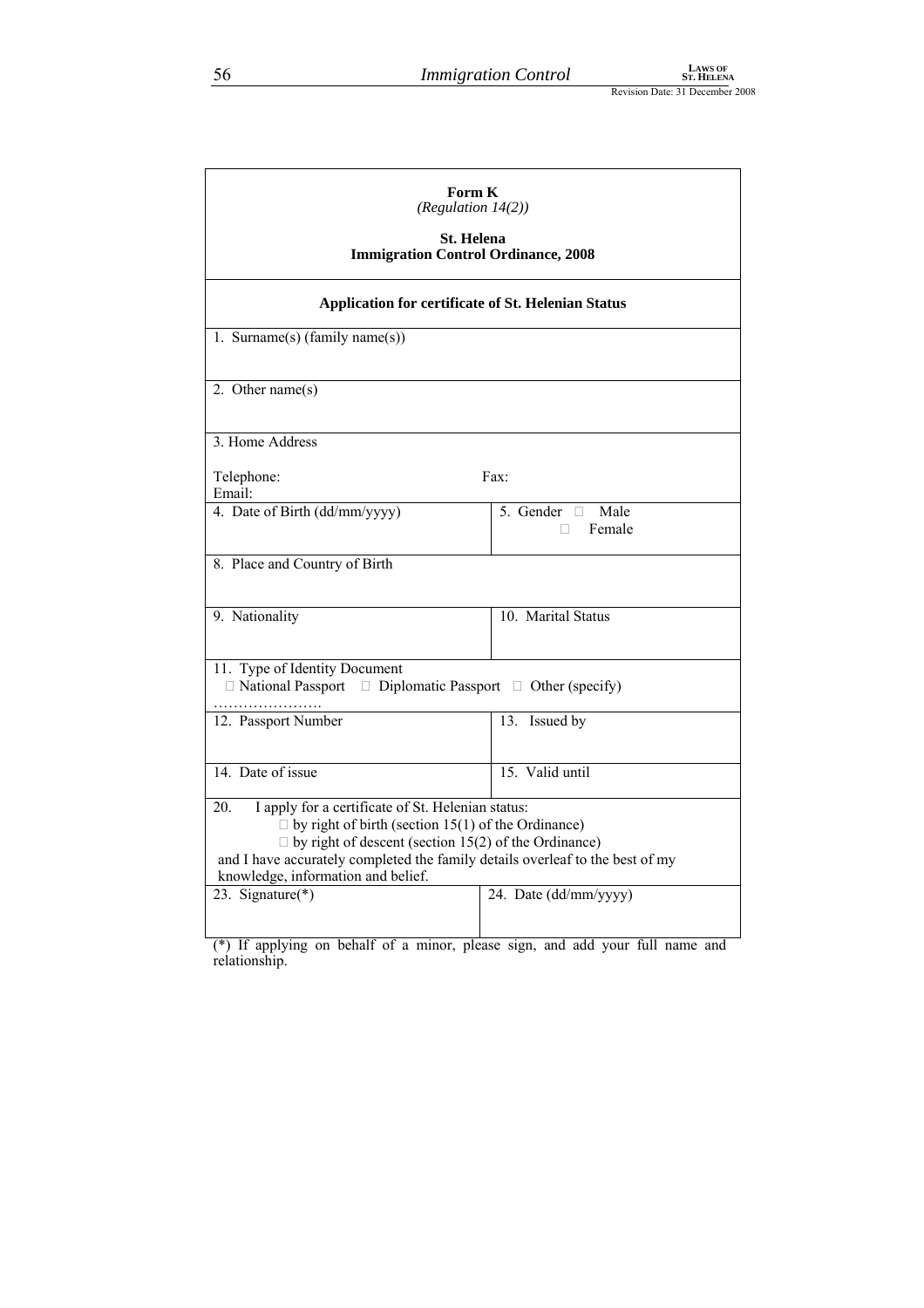| Form K<br>(Regulation $14(2)$ )<br><b>St. Helena</b><br><b>Immigration Control Ordinance, 2008</b>                                                                                                                                                                                                                                                       |                                         |  |  |  |
|----------------------------------------------------------------------------------------------------------------------------------------------------------------------------------------------------------------------------------------------------------------------------------------------------------------------------------------------------------|-----------------------------------------|--|--|--|
| Application for certificate of St. Helenian Status                                                                                                                                                                                                                                                                                                       |                                         |  |  |  |
| 1. Surname(s) (family name(s))                                                                                                                                                                                                                                                                                                                           |                                         |  |  |  |
| 2. Other name $(s)$                                                                                                                                                                                                                                                                                                                                      |                                         |  |  |  |
| 3. Home Address                                                                                                                                                                                                                                                                                                                                          |                                         |  |  |  |
| Telephone:<br>Fax:<br>Email:                                                                                                                                                                                                                                                                                                                             |                                         |  |  |  |
| 4. Date of Birth (dd/mm/yyyy)                                                                                                                                                                                                                                                                                                                            | 5. Gender $\Box$<br>Male<br>Female<br>П |  |  |  |
| 8. Place and Country of Birth                                                                                                                                                                                                                                                                                                                            |                                         |  |  |  |
| 9. Nationality                                                                                                                                                                                                                                                                                                                                           | 10. Marital Status                      |  |  |  |
| 11. Type of Identity Document<br>$\Box$ National Passport $\Box$ Diplomatic Passport $\Box$ Other (specify)                                                                                                                                                                                                                                              |                                         |  |  |  |
| 12. Passport Number                                                                                                                                                                                                                                                                                                                                      | 13. Issued by                           |  |  |  |
| 14. Date of issue                                                                                                                                                                                                                                                                                                                                        | 15. Valid until                         |  |  |  |
| 20.<br>I apply for a certificate of St. Helenian status:<br>$\Box$ by right of birth (section 15(1) of the Ordinance)<br>$\Box$ by right of descent (section 15(2) of the Ordinance)<br>and I have accurately completed the family details overleaf to the best of my<br>knowledge, information and belief.<br>23. Signature(*)<br>24. Date (dd/mm/yyyy) |                                         |  |  |  |
|                                                                                                                                                                                                                                                                                                                                                          |                                         |  |  |  |

(\*) If applying on behalf of a minor, please sign, and add your full name and relationship.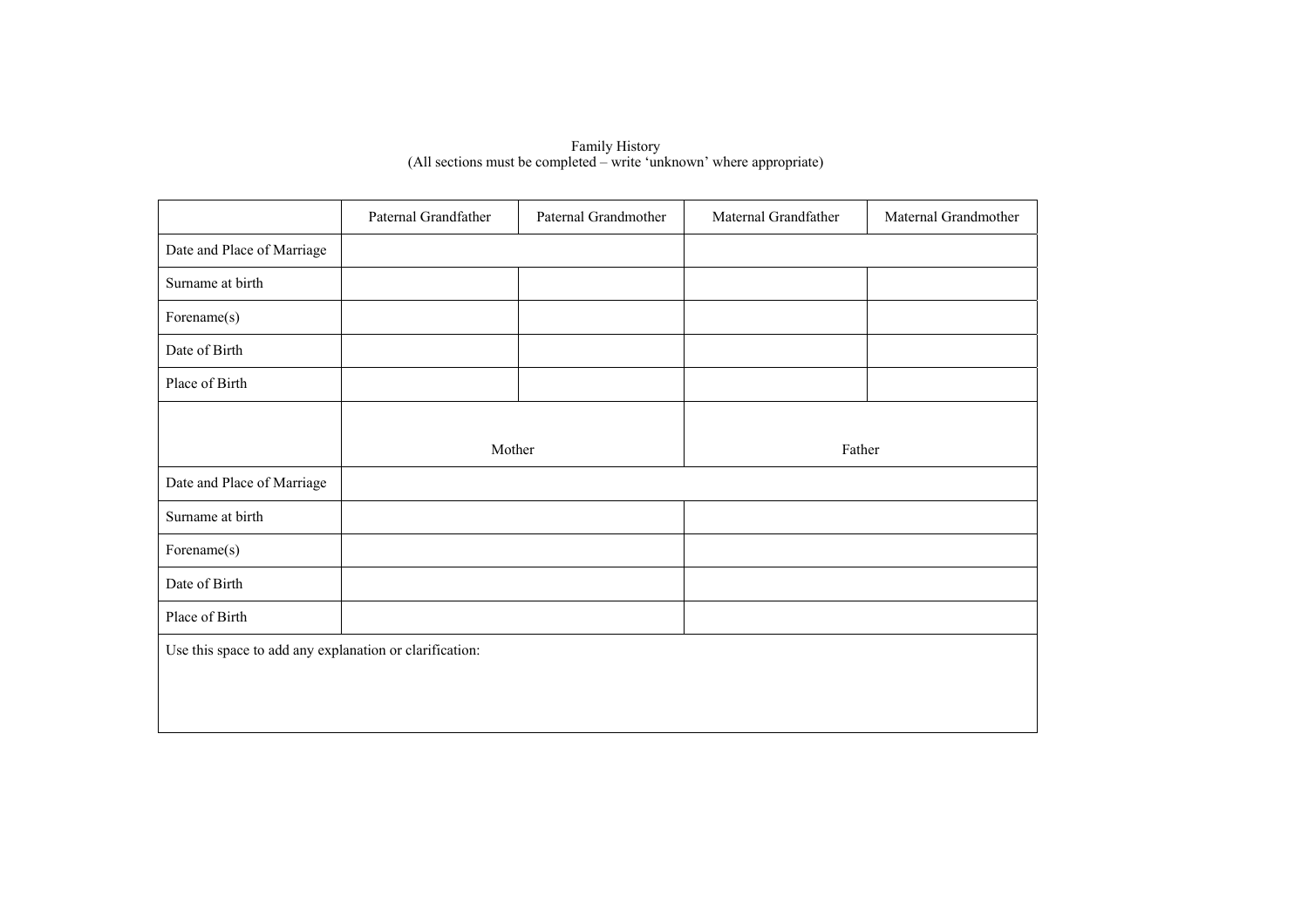#### Family History (All sections must be completed – write 'unknown' where appropriate)

|                                                         | Paternal Grandfather | Paternal Grandmother | Maternal Grandfather | Maternal Grandmother |  |
|---------------------------------------------------------|----------------------|----------------------|----------------------|----------------------|--|
| Date and Place of Marriage                              |                      |                      |                      |                      |  |
| Surname at birth                                        |                      |                      |                      |                      |  |
| Forename(s)                                             |                      |                      |                      |                      |  |
| Date of Birth                                           |                      |                      |                      |                      |  |
| Place of Birth                                          |                      |                      |                      |                      |  |
|                                                         |                      |                      |                      |                      |  |
|                                                         | Mother               |                      | Father               |                      |  |
| Date and Place of Marriage                              |                      |                      |                      |                      |  |
| Surname at birth                                        |                      |                      |                      |                      |  |
| Forename(s)                                             |                      |                      |                      |                      |  |
| Date of Birth                                           |                      |                      |                      |                      |  |
| Place of Birth                                          |                      |                      |                      |                      |  |
| Use this space to add any explanation or clarification: |                      |                      |                      |                      |  |
|                                                         |                      |                      |                      |                      |  |
|                                                         |                      |                      |                      |                      |  |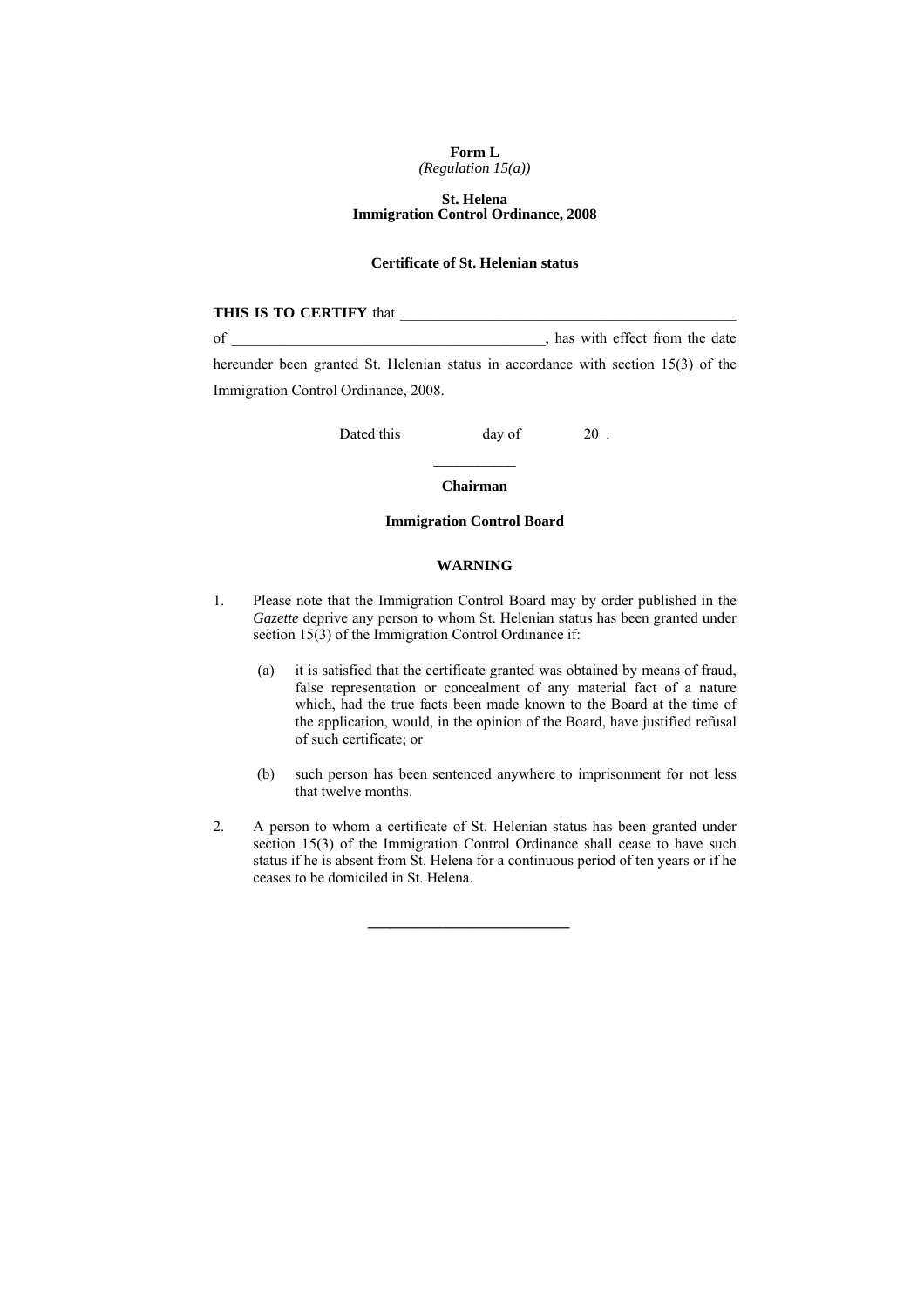### **Form L**  *(Regulation 15(a))*

### **St. Helena Immigration Control Ordinance, 2008**

### **Certificate of St. Helenian status**

### **THIS IS TO CERTIFY** that

of has with effect from the date hereunder been granted St. Helenian status in accordance with section 15(3) of the Immigration Control Ordinance, 2008.

Dated this day of 20.

## **\_\_\_\_\_\_\_\_\_\_\_ Chairman**

### **Immigration Control Board**

#### **WARNING**

- 1. Please note that the Immigration Control Board may by order published in the *Gazette* deprive any person to whom St. Helenian status has been granted under section 15(3) of the Immigration Control Ordinance if:
	- (a) it is satisfied that the certificate granted was obtained by means of fraud, false representation or concealment of any material fact of a nature which, had the true facts been made known to the Board at the time of the application, would, in the opinion of the Board, have justified refusal of such certificate; or
	- (b) such person has been sentenced anywhere to imprisonment for not less that twelve months.
- 2. A person to whom a certificate of St. Helenian status has been granted under section 15(3) of the Immigration Control Ordinance shall cease to have such status if he is absent from St. Helena for a continuous period of ten years or if he ceases to be domiciled in St. Helena.

*\_\_\_\_\_\_\_\_\_\_\_\_\_\_\_\_\_\_\_\_\_\_\_\_\_\_\_*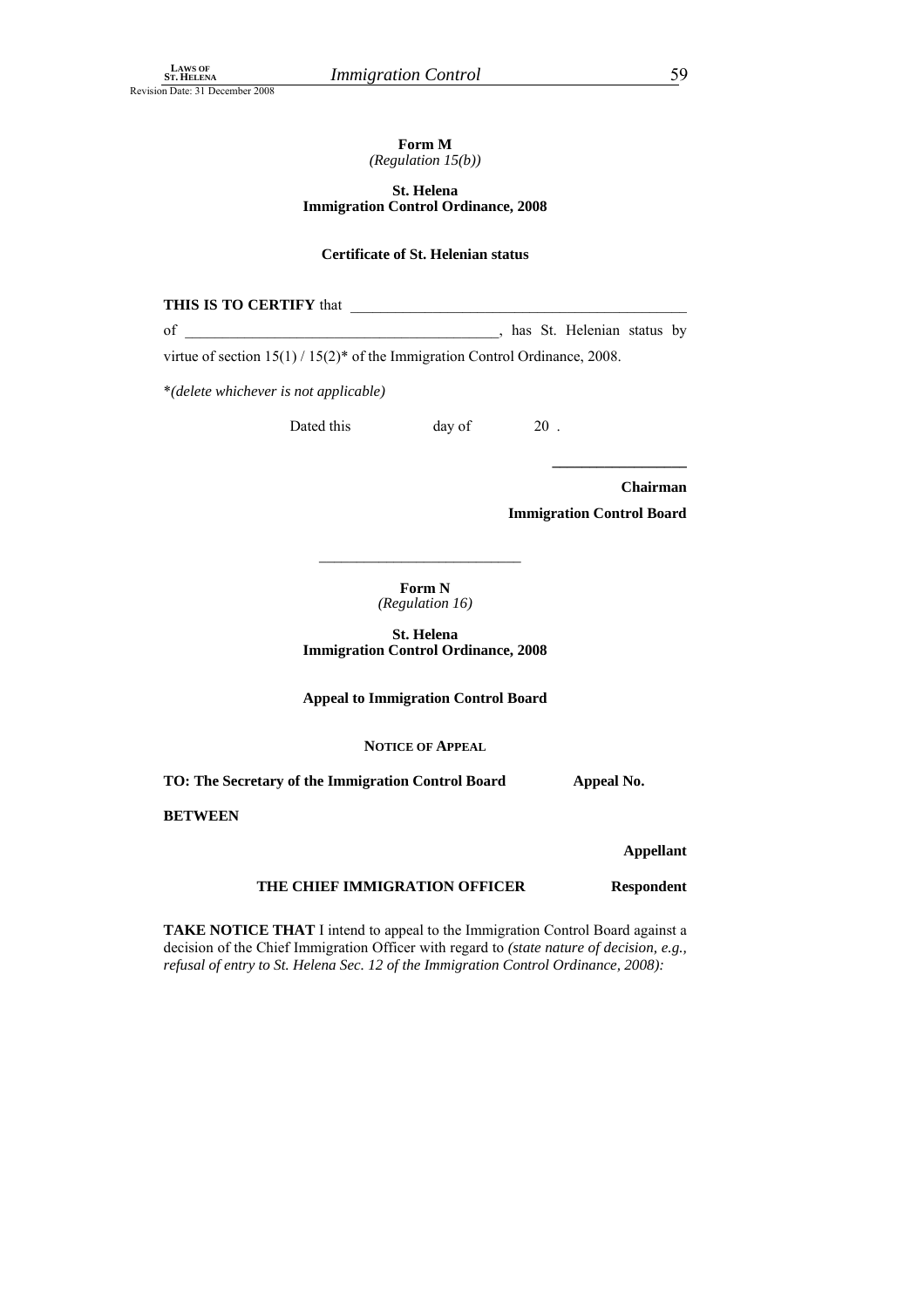**Form M**  *(Regulation 15(b))* 

**St. Helena Immigration Control Ordinance, 2008** 

### **Certificate of St. Helenian status**

THIS IS TO CERTIFY that of has St. Helenian status by virtue of section 15(1) / 15(2)\* of the Immigration Control Ordinance, 2008.

\**(delete whichever is not applicable)* 

Dated this day of 20.

**Chairman** 

**\_\_\_\_\_\_\_\_\_\_\_\_\_\_\_\_\_\_** 

**Immigration Control Board** 

**Form N**  *(Regulation 16)* 

*\_\_\_\_\_\_\_\_\_\_\_\_\_\_\_\_\_\_\_\_\_\_\_\_\_\_\_* 

**St. Helena Immigration Control Ordinance, 2008** 

**Appeal to Immigration Control Board** 

**NOTICE OF APPEAL**

**TO: The Secretary of the Immigration Control Board Appeal No.**

**BETWEEN**

**Appellant**

### **THE CHIEF IMMIGRATION OFFICER Respondent**

**TAKE NOTICE THAT** I intend to appeal to the Immigration Control Board against a decision of the Chief Immigration Officer with regard to *(state nature of decision, e.g., refusal of entry to St. Helena Sec. 12 of the Immigration Control Ordinance, 2008):*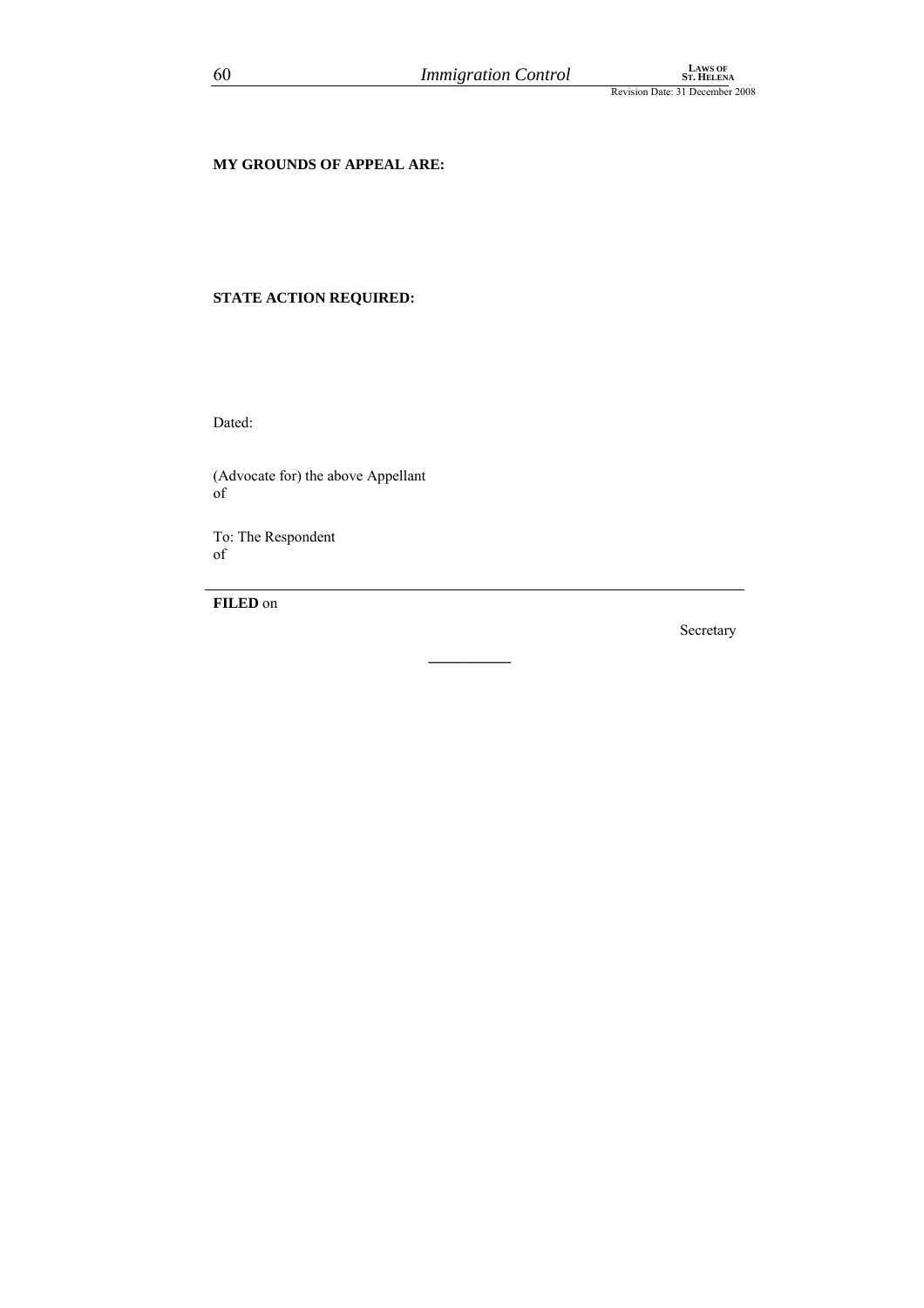**\_\_\_\_\_\_\_\_\_\_\_** 

## **MY GROUNDS OF APPEAL ARE:**

## **STATE ACTION REQUIRED:**

Dated:

(Advocate for) the above Appellant of

To: The Respondent of

**FILED** on

Secretary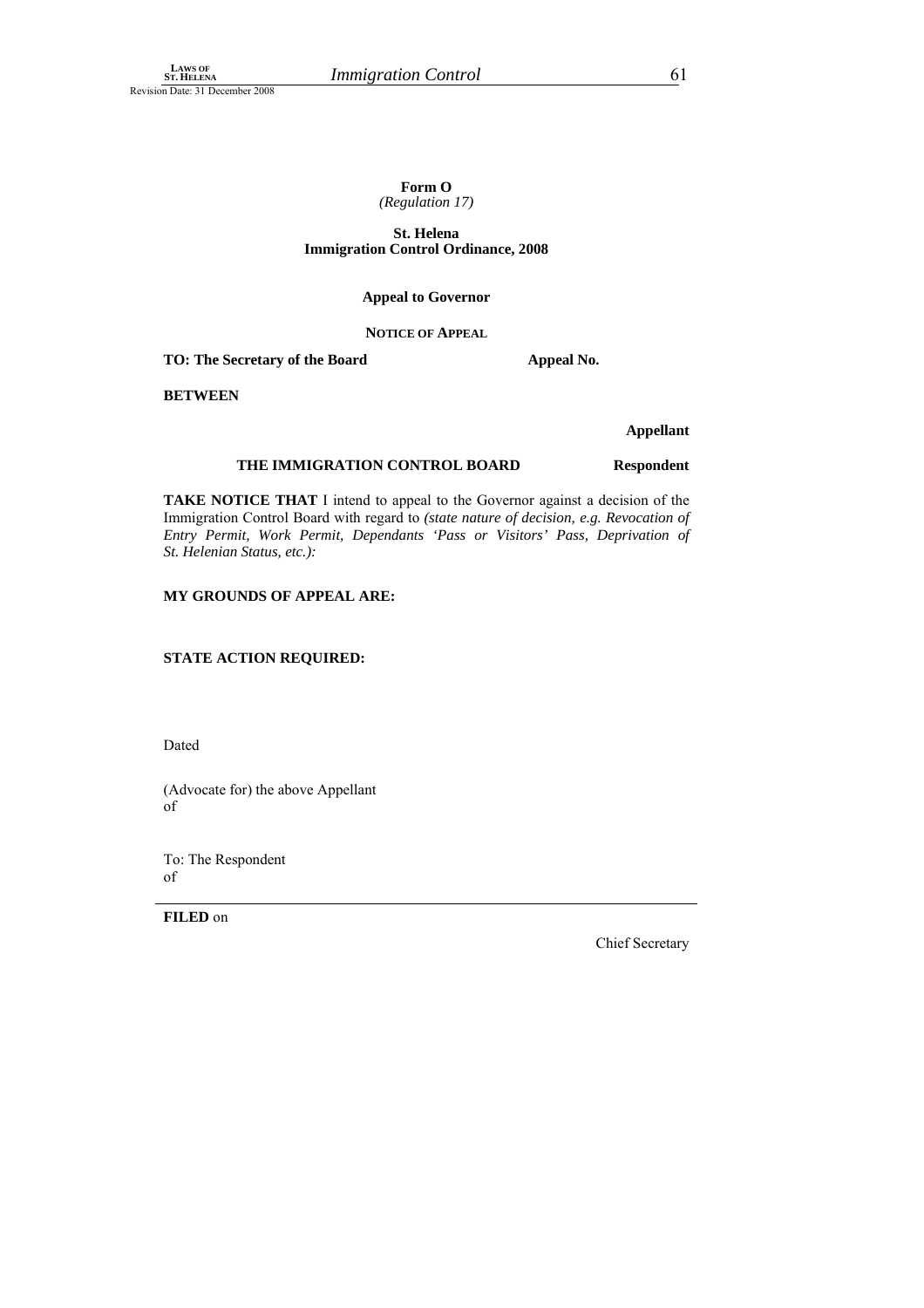**Form O**  *(Regulation 17)* 

**St. Helena Immigration Control Ordinance, 2008** 

**Appeal to Governor** 

**NOTICE OF APPEAL**

**TO: The Secretary of the Board Appeal No.**

**BETWEEN**

**Appellant**

### **THE IMMIGRATION CONTROL BOARD Respondent**

**TAKE NOTICE THAT** I intend to appeal to the Governor against a decision of the Immigration Control Board with regard to *(state nature of decision, e.g. Revocation of Entry Permit, Work Permit, Dependants 'Pass or Visitors' Pass, Deprivation of St. Helenian Status, etc.):*

## **MY GROUNDS OF APPEAL ARE:**

### **STATE ACTION REQUIRED:**

Dated

(Advocate for) the above Appellant of

To: The Respondent of

**FILED** on

Chief Secretary